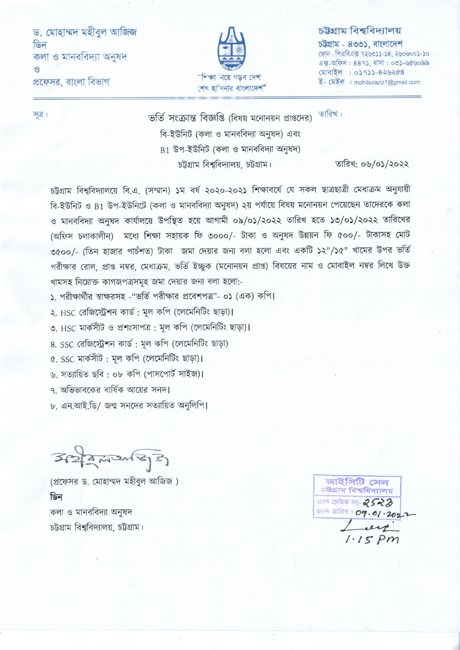ড. মোহাম্মদ মহীবল আজিজ ডিন কলা ও মানববিদ্যা অনুষদ  $\sqrt{3}$ প্রফেসর, বাংলা বিভাগ



#### চউগ্ৰাম বিশ্ববিদ্যালয়

চউগ্ৰাম - ৪৩৩১, বাংলাদেশ ফোন: পিএবিএক্স ৭২৬৩১১-১৪, ২৬০৬০০১-১০ এক্স-অফিস: 889), বাসা: ০৩১-৬৫৬০৯৯ মোবাইল : ০১৭১১-৪২৬২৫৪ ই- মেইল : mohibulaziz1@gmail.com

সূত্র:

তারিখ: ভর্তি সংক্রান্ত বিজ্ঞপ্তি (বিষয় মনোনয়ন প্রাপ্তদের) বি-ইউনিট (কলা ও মানববিদ্যা অনুষদ) এবং  $B1$  উপ-ইউনিট (কলা ও মানববিদ্যা অনুষদ) চট্টগ্রাম বিশ্ববিদ্যালয়, চট্টগ্রাম।

তারিখ: ০৬/০১/২০২২

চট্টগ্রাম বিশ্ববিদ্যালয়ে বি.এ. (সম্মান) ১ম বর্ষ ২০২০-২০২১ শিক্ষাবর্ষে যে সকল ছাত্রছাত্রী মেধাক্রম অনুযায়ী বি-ইউনিট ও B1 উপ-ইউনিটে (কলা ও মানববিদ্যা অনুষদ) ২য় পর্যায়ে বিষয় মনোনয়ন পেয়েছেন তাদেরকে কলা ও মানববিদ্যা অনুষদ কার্যালয়ে উপস্থিত হয়ে আগামী ০৯/০১/২০২২ তারিখ হতে ১৩/০১/২০২২ তারিখের (অফিস চলাকালীন) মধ্যে শিক্ষা সহায়ক ফি ৩০০০/- টাকা ও অনুষদ উন্নয়ন ফি ৫০০/- টাকাসহ মোট ৩৫০০/- (তিন হাজার পাচঁশত) টাকা জমা দেয়ার জন্য বলা হলো এবং একটি ১২"/১৫" খামের উপর ভর্তি পরীক্ষার রোল, প্রাপ্ত নম্বর, মেধাক্রম, ভর্তি ইচ্ছুক (মনোনয়ন প্রাপ্ত) বিষয়ের নাম ও মোবাইল নম্বর লিখে উক্ত খামসহ নিম্নোক্ত কাগজপত্রসমূহ জমা দেয়ার জন্য বলা হলো:-

১. পরীক্ষার্থীর স্বাক্ষরসহ -"ভর্তি পরীক্ষার প্রবেশপত্র"- ০১ (এক) কপি।

২. HSC রেজিস্ট্রেশন কার্ড: মূল কপি (লেমেনিটিং ছাড়া)।

৩. HSC মাৰ্কসীট ও প্ৰশংসাপত্ৰ : মূল কপি (লেমেনিটিং ছাড়া)।

8. SSC রেজিস্ট্রেশন কার্ড: মূল কপি (লেমেনিটিং ছাড়া)

৫. SSC মাৰ্কসীট: মূল কপি (লেমেনিটিং ছাড়া)।

৬. সত্যায়িত ছবি: ০৮ কপি (পাসপোর্ট সাইজ)।

৭. অভিভাবকের বার্ষিক আয়ের সনদ।

৮. এন.আই.ডি/ জন্ম সনদের সত্যায়িত অনলিপি।

 $3227272133$ 

(প্রফেসর ড. মোহাম্মদ মহীবুল আজিজ) ডিন কলা ও মানববিদ্যা অনুষদ চট্টগ্রাম বিশ্ববিদ্যালয়, চট্টগ্রাম।

আইসিটি সেল চউগ্ৰাম বিশ্ববিদ্যালয়  $239$  ক্ৰমিক নং- 2523 **DEP তারিখ: 09.01.202.7**  $S$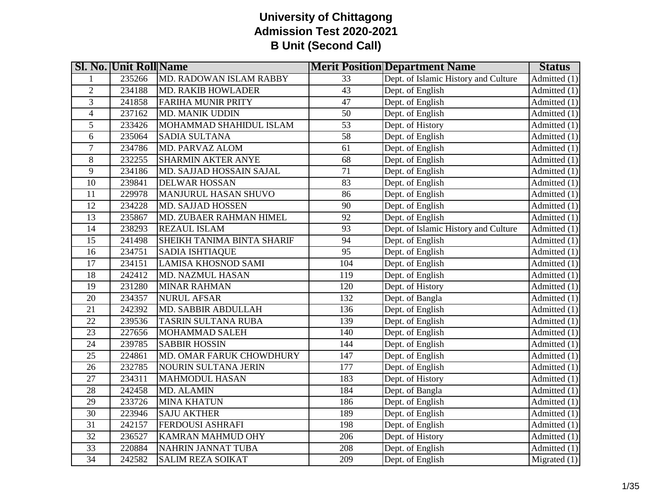|                 | <b>SI. No. Unit Roll Name</b> |                             |                 | <b>Merit Position Department Name</b> | <b>Status</b>                   |
|-----------------|-------------------------------|-----------------------------|-----------------|---------------------------------------|---------------------------------|
|                 | 235266                        | MD. RADOWAN ISLAM RABBY     | 33              | Dept. of Islamic History and Culture  | $\overline{\text{Admitted}}(1)$ |
| $\overline{2}$  | 234188                        | <b>MD. RAKIB HOWLADER</b>   | $\overline{43}$ | Dept. of English                      | $\overline{\text{Admitted}}(1)$ |
| 3               | 241858                        | <b>FARIHA MUNIR PRITY</b>   | 47              | Dept. of English                      | Admitted (1)                    |
| $\overline{4}$  | 237162                        | <b>MD. MANIK UDDIN</b>      | $\overline{50}$ | Dept. of English                      | Admitted (1)                    |
| 5               | 233426                        | MOHAMMAD SHAHIDUL ISLAM     | $\overline{53}$ | Dept. of History                      | Admitted (1)                    |
| 6               | 235064                        | SADIA SULTANA               | 58              | Dept. of English                      | Admitted (1)                    |
| $\tau$          | 234786                        | MD. PARVAZ ALOM             | 61              | Dept. of English                      | Admitted (1)                    |
| 8               | 232255                        | <b>SHARMIN AKTER ANYE</b>   | 68              | Dept. of English                      | Admitted (1)                    |
| 9               | 234186                        | MD. SAJJAD HOSSAIN SAJAL    | $\overline{71}$ | Dept. of English                      | Admitted (1)                    |
| 10              | 239841                        | <b>DELWAR HOSSAN</b>        | 83              | Dept. of English                      | Admitted (1)                    |
| 11              | 229978                        | <b>MANJURUL HASAN SHUVO</b> | 86              | Dept. of English                      | Admitted (1)                    |
| 12              | 234228                        | <b>MD. SAJJAD HOSSEN</b>    | 90              | Dept. of English                      | Admitted (1)                    |
| $\overline{13}$ | 235867                        | MD. ZUBAER RAHMAN HIMEL     | $\overline{92}$ | Dept. of English                      | Admitted (1)                    |
| 14              | 238293                        | REZAUL ISLAM                | 93              | Dept. of Islamic History and Culture  | Admitted (1)                    |
| $\overline{15}$ | 241498                        | SHEIKH TANIMA BINTA SHARIF  | 94              | Dept. of English                      | Admitted (1)                    |
| 16              | 234751                        | <b>SADIA ISHTIAQUE</b>      | $\overline{95}$ | Dept. of English                      | Admitted (1)                    |
| $\overline{17}$ | 234151                        | <b>LAMISA KHOSNOD SAMI</b>  | 104             | Dept. of English                      | Admitted (1)                    |
| 18              | 242412                        | MD. NAZMUL HASAN            | 119             | Dept. of English                      | Admitted (1)                    |
| 19              | 231280                        | <b>MINAR RAHMAN</b>         | 120             | Dept. of History                      | Admitted (1)                    |
| 20              | 234357                        | <b>NURUL AFSAR</b>          | 132             | Dept. of Bangla                       | Admitted (1)                    |
| $\overline{21}$ | 242392                        | MD. SABBIR ABDULLAH         | 136             | Dept. of English                      | Admitted (1)                    |
| 22              | 239536                        | TASRIN SULTANA RUBA         | 139             | Dept. of English                      | Admitted (1)                    |
| 23              | 227656                        | MOHAMMAD SALEH              | 140             | Dept. of English                      | Admitted (1)                    |
| 24              | 239785                        | <b>SABBIR HOSSIN</b>        | 144             | Dept. of English                      | Admitted (1)                    |
| $\overline{25}$ | 224861                        | MD. OMAR FARUK CHOWDHURY    | 147             | Dept. of English                      | Admitted (1)                    |
| 26              | 232785                        | <b>NOURIN SULTANA JERIN</b> | 177             | Dept. of English                      | Admitted (1)                    |
| $\overline{27}$ | 234311                        | <b>MAHMODUL HASAN</b>       | 183             | Dept. of History                      | Admitted (1)                    |
| 28              | 242458                        | MD. ALAMIN                  | 184             | Dept. of Bangla                       | Admitted (1)                    |
| $\overline{29}$ | 233726                        | <b>MINA KHATUN</b>          | 186             | Dept. of English                      | Admitted (1)                    |
| $\overline{30}$ | 223946                        | <b>SAJU AKTHER</b>          | 189             | Dept. of English                      | Admitted (1)                    |
| $\overline{31}$ | 242157                        | FERDOUSI ASHRAFI            | 198             | Dept. of English                      | $\overline{\text{Admitted}}(1)$ |
| 32              | 236527                        | KAMRAN MAHMUD OHY           | 206             | Dept. of History                      | Admitted (1)                    |
| $\overline{33}$ | 220884                        | NAHRIN JANNAT TUBA          | 208             | Dept. of English                      | $\overline{\text{Admitted}}(1)$ |
| $\overline{34}$ | 242582                        | <b>SALIM REZA SOIKAT</b>    | 209             | Dept. of English                      | Migrated $(1)$                  |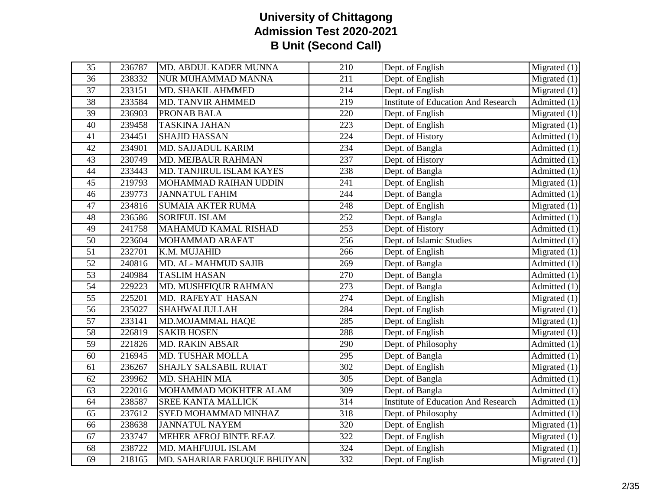| 35              | 236787 | MD. ABDUL KADER MUNNA           | 210              | Dept. of English                           | $\overline{\text{Migrated}}(1)$ |
|-----------------|--------|---------------------------------|------------------|--------------------------------------------|---------------------------------|
| 36              | 238332 | NUR MUHAMMAD MANNA              | 211              | Dept. of English                           | Migrated $(1)$                  |
| $\overline{37}$ | 233151 | MD. SHAKIL AHMMED               | 214              | Dept. of English                           | Migrated $(1)$                  |
| 38              | 233584 | <b>MD. TANVIR AHMMED</b>        | 219              | <b>Institute of Education And Research</b> | $\overline{\text{Admitted}}(1)$ |
| $\overline{39}$ | 236903 | PRONAB BALA                     | 220              | Dept. of English                           | Migrated $(1)$                  |
| 40              | 239458 | <b>TASKINA JAHAN</b>            | 223              | Dept. of English                           | Migrated $(1)$                  |
| 41              | 234451 | <b>SHAJID HASSAN</b>            | 224              | Dept. of History                           | Admitted (1)                    |
| 42              | 234901 | MD. SAJJADUL KARIM              | 234              | Dept. of Bangla                            | Admitted (1)                    |
| 43              | 230749 | MD. MEJBAUR RAHMAN              | 237              | Dept. of History                           | Admitted (1)                    |
| $\overline{44}$ | 233443 | <b>MD. TANJIRUL ISLAM KAYES</b> | 238              | Dept. of Bangla                            | Admitted $(1)$                  |
| 45              | 219793 | MOHAMMAD RAIHAN UDDIN           | 241              | Dept. of English                           | Migrated $(1)$                  |
| 46              | 239773 | <b>JANNATUL FAHIM</b>           | 244              | Dept. of Bangla                            | $\overline{\text{Admitted}}(1)$ |
| 47              | 234816 | <b>SUMAIA AKTER RUMA</b>        | 248              | Dept. of English                           | Migrated $(1)$                  |
| $\overline{48}$ | 236586 | <b>SORIFUL ISLAM</b>            | 252              | Dept. of Bangla                            | Admitted (1)                    |
| 49              | 241758 | MAHAMUD KAMAL RISHAD            | 253              | Dept. of History                           | Admitted (1)                    |
| $\overline{50}$ | 223604 | MOHAMMAD ARAFAT                 | 256              | Dept. of Islamic Studies                   | Admitted (1)                    |
| 51              | 232701 | K.M. MUJAHID                    | 266              | Dept. of English                           | Migrated $(1)$                  |
| $\overline{52}$ | 240816 | MD. AL-MAHMUD SAJIB             | 269              | Dept. of Bangla                            | Admitted $(1)$                  |
| 53              | 240984 | <b>TASLIM HASAN</b>             | 270              | Dept. of Bangla                            | Admitted $(1)$                  |
| $\overline{54}$ | 229223 | MD. MUSHFIQUR RAHMAN            | 273              | Dept. of Bangla                            | Admitted (1)                    |
| $\overline{55}$ | 225201 | MD. RAFEYAT HASAN               | 274              | Dept. of English                           | Migrated $(1)$                  |
| $\overline{56}$ | 235027 | <b>SHAHWALIULLAH</b>            | 284              | Dept. of English                           | Migrated $(1)$                  |
| $\overline{57}$ | 233141 | MD.MOJAMMAL HAQE                | 285              | Dept. of English                           | $\overline{\text{Migrated}}(1)$ |
| 58              | 226819 | <b>SAKIB HOSEN</b>              | 288              | Dept. of English                           | Migrated $(1)$                  |
| $\overline{59}$ | 221826 | <b>MD. RAKIN ABSAR</b>          | 290              | Dept. of Philosophy                        | Admitted $(1)$                  |
| 60              | 216945 | <b>MD. TUSHAR MOLLA</b>         | 295              | Dept. of Bangla                            | Admitted (1)                    |
| 61              | 236267 | SHAJLY SALSABIL RUIAT           | 302              | Dept. of English                           | Migrated $(1)$                  |
| $\overline{62}$ | 239962 | MD. SHAHIN MIA                  | $\overline{305}$ | Dept. of Bangla                            | Admitted $(1)$                  |
| 63              | 222016 | MOHAMMAD MOKHTER ALAM           | 309              | Dept. of Bangla                            | Admitted (1)                    |
| 64              | 238587 | <b>SREE KANTA MALLICK</b>       | 314              | <b>Institute of Education And Research</b> | Admitted (1)                    |
| 65              | 237612 | SYED MOHAMMAD MINHAZ            | 318              | Dept. of Philosophy                        | Admitted (1)                    |
| 66              | 238638 | <b>JANNATUL NAYEM</b>           | 320              | Dept. of English                           | Migrated $(1)$                  |
| 67              | 233747 | MEHER AFROJ BINTE REAZ          | 322              | Dept. of English                           | $\overline{\text{Migrated}}(1)$ |
| 68              | 238722 | <b>MD. MAHFUJUL ISLAM</b>       | 324              | Dept. of English                           | Migrated $(1)$                  |
| 69              | 218165 | MD. SAHARIAR FARUQUE BHUIYAN    | 332              | Dept. of English                           | Migrated $(1)$                  |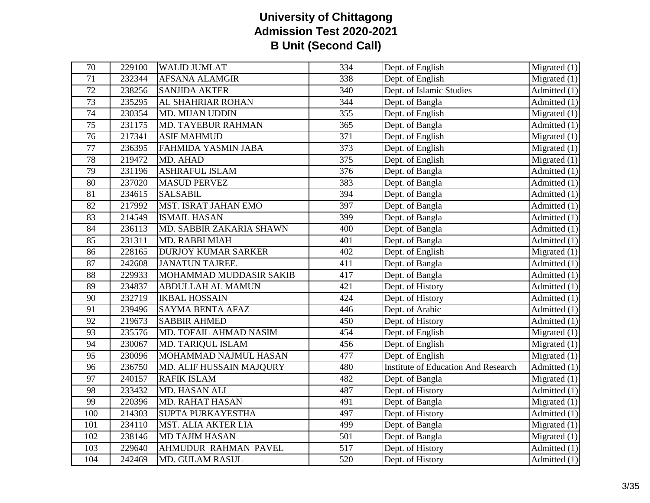| 70              | 229100 | <b>WALID JUMLAT</b>         | 334              | Dept. of English                           | $\overline{\text{Migrated}}(1)$ |
|-----------------|--------|-----------------------------|------------------|--------------------------------------------|---------------------------------|
| 71              | 232344 | <b>AFSANA ALAMGIR</b>       | 338              | Dept. of English                           | Migrated $(1)$                  |
| 72              | 238256 | <b>SANJIDA AKTER</b>        | 340              | Dept. of Islamic Studies                   | Admitted $(1)$                  |
| 73              | 235295 | AL SHAHRIAR ROHAN           | 344              | Dept. of Bangla                            | $\overline{Admitted}$ (1)       |
| 74              | 230354 | MD. MIJAN UDDIN             | $\overline{355}$ | Dept. of English                           | Migrated $(1)$                  |
| 75              | 231175 | <b>MD. TAYEBUR RAHMAN</b>   | 365              | Dept. of Bangla                            | Admitted (1)                    |
| $\overline{76}$ | 217341 | <b>ASIF MAHMUD</b>          | 371              | Dept. of English                           | Migrated $(1)$                  |
| 77              | 236395 | FAHMIDA YASMIN JABA         | 373              | Dept. of English                           | Migrated $(1)$                  |
| 78              | 219472 | MD. AHAD                    | 375              | Dept. of English                           | Migrated $(1)$                  |
| 79              | 231196 | <b>ASHRAFUL ISLAM</b>       | 376              | Dept. of Bangla                            | Admitted $(1)$                  |
| 80              | 237020 | <b>MASUD PERVEZ</b>         | 383              | Dept. of Bangla                            | Admitted (1)                    |
| 81              | 234615 | <b>SALSABIL</b>             | 394              | Dept. of Bangla                            | $\overline{\text{Admitted}}(1)$ |
| 82              | 217992 | <b>MST. ISRAT JAHAN EMO</b> | 397              | Dept. of Bangla                            | Admitted (1)                    |
| 83              | 214549 | <b>ISMAIL HASAN</b>         | 399              | Dept. of Bangla                            | Admitted (1)                    |
| 84              | 236113 | MD. SABBIR ZAKARIA SHAWN    | 400              | Dept. of Bangla                            | Admitted (1)                    |
| 85              | 231311 | MD. RABBI MIAH              | 401              | Dept. of Bangla                            | $\overline{\text{Admitted}}(1)$ |
| 86              | 228165 | <b>DURJOY KUMAR SARKER</b>  | 402              | Dept. of English                           | Migrated $(1)$                  |
| 87              | 242608 | <b>JANATUN TAJREE.</b>      | 411              | Dept. of Bangla                            | $\overline{\text{Admitted}}(1)$ |
| 88              | 229933 | MOHAMMAD MUDDASIR SAKIB     | 417              | Dept. of Bangla                            | Admitted (1)                    |
| 89              | 234837 | ABDULLAH AL MAMUN           | 421              | Dept. of History                           | Admitted (1)                    |
| 90              | 232719 | <b>IKBAL HOSSAIN</b>        | 424              | Dept. of History                           | Admitted (1)                    |
| 91              | 239496 | <b>SAYMA BENTA AFAZ</b>     | 446              | Dept. of Arabic                            | Admitted (1)                    |
| 92              | 219673 | <b>SABBIR AHMED</b>         | 450              | Dept. of History                           | Admitted (1)                    |
| 93              | 235576 | MD. TOFAIL AHMAD NASIM      | 454              | Dept. of English                           | Migrated $(1)$                  |
| 94              | 230067 | MD. TARIQUL ISLAM           | 456              | Dept. of English                           | Migrated $(1)$                  |
| 95              | 230096 | MOHAMMAD NAJMUL HASAN       | 477              | Dept. of English                           | $\overline{\text{Migrated}}(1)$ |
| 96              | 236750 | MD. ALIF HUSSAIN MAJQURY    | 480              | <b>Institute of Education And Research</b> | Admitted (1)                    |
| 97              | 240157 | <b>RAFIK ISLAM</b>          | 482              | Dept. of Bangla                            | Migrated $(1)$                  |
| $\overline{98}$ | 233432 | MD. HASAN ALI               | 487              | Dept. of History                           | Admitted $(1)$                  |
| 99              | 220396 | <b>MD. RAHAT HASAN</b>      | 491              | Dept. of Bangla                            | Migrated $(1)$                  |
| 100             | 214303 | SUPTA PURKAYESTHA           | 497              | Dept. of History                           | Admitted (1)                    |
| 101             | 234110 | <b>MST. ALIA AKTER LIA</b>  | 499              | Dept. of Bangla                            | $\overline{\text{Migrated}}(1)$ |
| 102             | 238146 | <b>MD TAJIM HASAN</b>       | 501              | Dept. of Bangla                            | Migrated $(1)$                  |
| 103             | 229640 | AHMUDUR RAHMAN PAVEL        | 517              | Dept. of History                           | Admitted $(1)$                  |
| 104             | 242469 | <b>MD. GULAM RASUL</b>      | 520              | Dept. of History                           | $\overline{\text{Admitted}}(1)$ |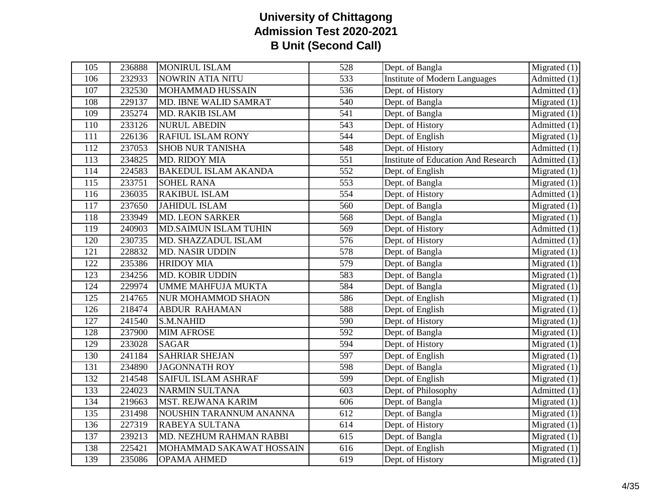| 105              | 236888 | <b>MONIRUL ISLAM</b>         | 528              | Dept. of Bangla                            | $\overline{\text{Migrated}}(1)$            |
|------------------|--------|------------------------------|------------------|--------------------------------------------|--------------------------------------------|
| 106              | 232933 | NOWRIN ATIA NITU             | 533              | <b>Institute of Modern Languages</b>       | $\overline{\text{Admitted}}(1)$            |
| 107              | 232530 | <b>MOHAMMAD HUSSAIN</b>      | 536              | Dept. of History                           | Admitted $(1)$                             |
| 108              | 229137 | MD. IBNE WALID SAMRAT        | 540              | Dept. of Bangla                            | Migrated $(1)$                             |
| 109              | 235274 | <b>MD. RAKIB ISLAM</b>       | 541              | Dept. of Bangla                            | Migrated $(1)$                             |
| 110              | 233126 | <b>NURUL ABEDIN</b>          | 543              | Dept. of History                           | Admitted (1)                               |
| 111              | 226136 | RAFIUL ISLAM RONY            | 544              | Dept. of English                           | Migrated (1)                               |
| 112              | 237053 | <b>SHOB NUR TANISHA</b>      | 548              | Dept. of History                           | Admitted (1)                               |
| 113              | 234825 | MD. RIDOY MIA                | 551              | <b>Institute of Education And Research</b> | $\overline{Admitted}$ (1)                  |
| 114              | 224583 | <b>BAKEDUL ISLAM AKANDA</b>  | 552              | Dept. of English                           | Migrated $(1)$                             |
| 115              | 233751 | <b>SOHEL RANA</b>            | $\overline{553}$ | Dept. of Bangla                            | Migrated $(1)$                             |
| 116              | 236035 | <b>RAKIBUL ISLAM</b>         | 554              | Dept. of History                           | Admitted $(1)$                             |
| 117              | 237650 | <b>JAHIDUL ISLAM</b>         | 560              | Dept. of Bangla                            | Migrated $(1)$                             |
| 118              | 233949 | <b>MD. LEON SARKER</b>       | 568              | Dept. of Bangla                            | Migrated $(1)$                             |
| 119              | 240903 | <b>MD.SAIMUN ISLAM TUHIN</b> | 569              | Dept. of History                           | Admitted (1)                               |
| 120              | 230735 | MD. SHAZZADUL ISLAM          | 576              | Dept. of History                           | $\overline{\text{Admitted}}(1)$            |
| 121              | 228832 | <b>MD. NASIR UDDIN</b>       | 578              | Dept. of Bangla                            | Migrated $(1)$                             |
| 122              | 235386 | <b>HRIDOY MIA</b>            | 579              | Dept. of Bangla                            | Migrated $(1)$                             |
| 123              | 234256 | MD. KOBIR UDDIN              | 583              | Dept. of Bangla                            | Migrated $(1)$                             |
| 124              | 229974 | <b>UMME MAHFUJA MUKTA</b>    | 584              | Dept. of Bangla                            | $\overline{\text{Migrated}}(1)$            |
| $\overline{125}$ | 214765 | NUR MOHAMMOD SHAON           | 586              | Dept. of English                           | Migrated $(1)$                             |
| 126              | 218474 | <b>ABDUR RAHAMAN</b>         | 588              | Dept. of English                           | $\overline{\text{Migrated}}(1)$            |
| 127              | 241540 | S.M.NAHID                    | 590              | Dept. of History                           | Migrated $(1)$                             |
| 128              | 237900 | <b>MIM AFROSE</b>            | 592              | Dept. of Bangla                            | $\overline{\text{Migrated}}(1)$            |
| 129              | 233028 | <b>SAGAR</b>                 | 594              | Dept. of History                           | Migrated $(1)$                             |
| 130              | 241184 | <b>SAHRIAR SHEJAN</b>        | 597              | Dept. of English                           | $\overline{\text{Migrated}}(1)$            |
| 131              | 234890 | <b>JAGONNATH ROY</b>         | 598              | Dept. of Bangla                            | Migrated $(1)$                             |
| 132              | 214548 | SAIFUL ISLAM ASHRAF          | 599              | Dept. of English                           | Migrated $(1)$                             |
| 133              | 224023 | <b>NARMIN SULTANA</b>        | 603              | Dept. of Philosophy                        | Admitted $(1)$                             |
| 134              | 219663 | MST. REJWANA KARIM           | 606              | Dept. of Bangla                            | Migrated $(1)$                             |
| 135              | 231498 | NOUSHIN TARANNUM ANANNA      | $\overline{612}$ | Dept. of Bangla                            | $\overline{\text{Migrated}}(1)$            |
| 136              | 227319 | RABEYA SULTANA               | 614              | Dept. of History                           | Migrated $(1)$                             |
| 137              | 239213 | MD. NEZHUM RAHMAN RABBI      | 615              | Dept. of Bangla                            | Migrated $(1)$                             |
| 138              | 225421 | MOHAMMAD SAKAWAT HOSSAIN     | $\overline{616}$ | Dept. of English                           | $\overline{\text{Migrated}\left(1\right)}$ |
| 139              | 235086 | <b>OPAMA AHMED</b>           | 619              | Dept. of History                           | Migrated $(1)$                             |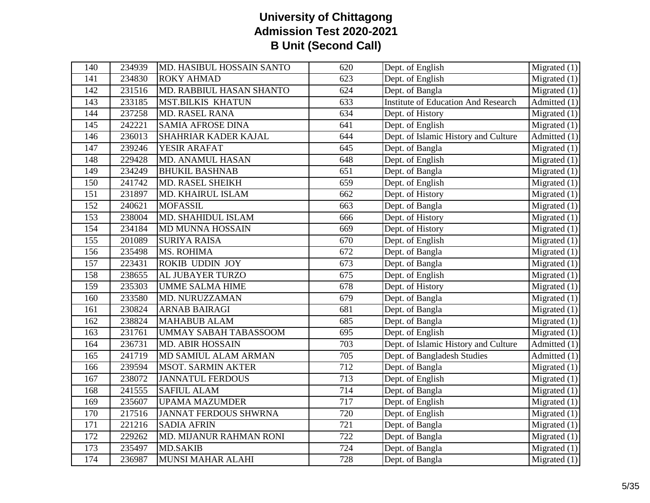| 140 | 234939             | MD. HASIBUL HOSSAIN SANTO    | 620 | Dept. of English                           | Migrated $(1)$                  |
|-----|--------------------|------------------------------|-----|--------------------------------------------|---------------------------------|
| 141 | 234830             | <b>ROKY AHMAD</b>            | 623 | Dept. of English                           | Migrated $(1)$                  |
| 142 | 231516             | MD. RABBIUL HASAN SHANTO     | 624 | Dept. of Bangla                            | Migrated $(1)$                  |
| 143 | 233185             | <b>MST.BILKIS KHATUN</b>     | 633 | <b>Institute of Education And Research</b> | $\overline{\text{Admitted}}(1)$ |
| 144 | 237258             | <b>MD. RASEL RANA</b>        | 634 | Dept. of History                           | Migrated $(1)$                  |
| 145 | 242221             | <b>SAMIA AFROSE DINA</b>     | 641 | Dept. of English                           | $\overline{\text{Migrated}}(1)$ |
| 146 | 236013             | SHAHRIAR KADER KAJAL         | 644 | Dept. of Islamic History and Culture       | Admitted (1)                    |
| 147 | 239246             | YESIR ARAFAT                 | 645 | Dept. of Bangla                            | Migrated $(1)$                  |
| 148 | 229428             | MD. ANAMUL HASAN             | 648 | Dept. of English                           | Migrated $(1)$                  |
| 149 | 234249             | <b>BHUKIL BASHNAB</b>        | 651 | Dept. of Bangla                            | Migrated $(1)$                  |
| 150 | 241742             | MD. RASEL SHEIKH             | 659 | Dept. of English                           | Migrated $(1)$                  |
| 151 | 231897             | MD. KHAIRUL ISLAM            | 662 | Dept. of History                           | $\overline{\text{Migrated}}(1)$ |
| 152 | 240621             | <b>MOFASSIL</b>              | 663 | Dept. of Bangla                            | Migrated $(1)$                  |
| 153 | 238004             | MD. SHAHIDUL ISLAM           | 666 | Dept. of History                           | Migrated $(1)$                  |
| 154 | 234184             | MD MUNNA HOSSAIN             | 669 | Dept. of History                           | Migrated $(1)$                  |
| 155 | 201089             | <b>SURIYA RAISA</b>          | 670 | Dept. of English                           | $\overline{\text{Migrated}}(1)$ |
| 156 | 235498             | <b>MS. ROHIMA</b>            | 672 | Dept. of Bangla                            | Migrated $(1)$                  |
| 157 | 223431             | <b>ROKIB UDDIN JOY</b>       | 673 | Dept. of Bangla                            | Migrated $(1)$                  |
| 158 | 238655             | AL JUBAYER TURZO             | 675 | Dept. of English                           | Migrated $(1)$                  |
| 159 | 235303             | <b>UMME SALMA HIME</b>       | 678 | Dept. of History                           | Migrated $(1)$                  |
| 160 | 233580             | MD. NURUZZAMAN               | 679 | Dept. of Bangla                            | Migrated $(1)$                  |
| 161 | 230824             | <b>ARNAB BAIRAGI</b>         | 681 | Dept. of Bangla                            | $\overline{\text{Migrated}}(1)$ |
| 162 | 238824             | <b>MAHABUB ALAM</b>          | 685 | Dept. of Bangla                            | Migrated $(1)$                  |
| 163 | 231761             | <b>UMMAY SABAH TABASSOOM</b> | 695 | Dept. of English                           | $\overline{\text{Migrated}}(1)$ |
| 164 | 236731             | <b>MD. ABIR HOSSAIN</b>      | 703 | Dept. of Islamic History and Culture       | Admitted $(1)$                  |
| 165 | $\frac{1}{241719}$ | MD SAMIUL ALAM ARMAN         | 705 | Dept. of Bangladesh Studies                | Admitted (1)                    |
| 166 | 239594             | <b>MSOT. SARMIN AKTER</b>    | 712 | Dept. of Bangla                            | Migrated $(1)$                  |
| 167 | 238072             | <b>JANNATUL FERDOUS</b>      | 713 | Dept. of English                           | Migrated $(1)$                  |
| 168 | 241555             | <b>SAFIUL ALAM</b>           | 714 | Dept. of Bangla                            | Migrated $(1)$                  |
| 169 | 235607             | <b>UPAMA MAZUMDER</b>        | 717 | Dept. of English                           | Migrated $(1)$                  |
| 170 | 217516             | <b>JANNAT FERDOUS SHWRNA</b> | 720 | Dept. of English                           | Migrated $(1)$                  |
| 171 | 221216             | <b>SADIA AFRIN</b>           | 721 | Dept. of Bangla                            | $\overline{\text{Migrated}}(1)$ |
| 172 | 229262             | MD. MIJANUR RAHMAN RONI      | 722 | Dept. of Bangla                            | Migrated $(1)$                  |
| 173 | 235497             | <b>MD.SAKIB</b>              | 724 | Dept. of Bangla                            | Migrated $(1)$                  |
| 174 | 236987             | <b>MUNSI MAHAR ALAHI</b>     | 728 | Dept. of Bangla                            | $\overline{\text{Migrated}}(1)$ |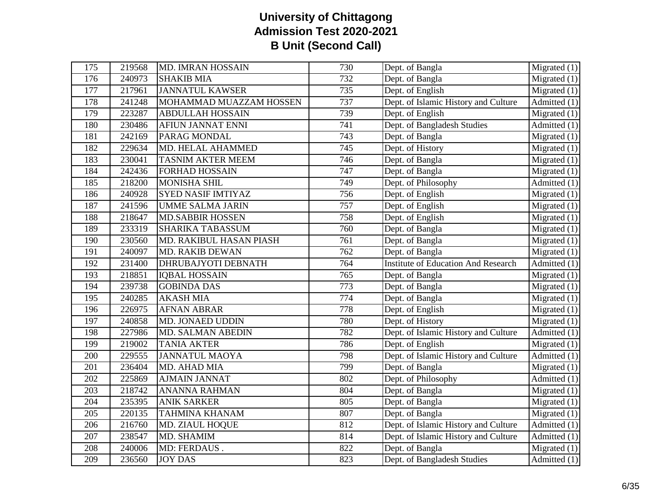| $\overline{175}$ | 219568 | MD. IMRAN HOSSAIN         | 730              | Dept. of Bangla                            | Migrated $(1)$                   |
|------------------|--------|---------------------------|------------------|--------------------------------------------|----------------------------------|
| 176              | 240973 | <b>SHAKIB MIA</b>         | 732              | Dept. of Bangla                            | Migrated (1)                     |
| $\overline{177}$ | 217961 | <b>JANNATUL KAWSER</b>    | 735              | Dept. of English                           | Migrated $(1)$                   |
| 178              | 241248 | MOHAMMAD MUAZZAM HOSSEN   | 737              | Dept. of Islamic History and Culture       | Admitted (1)                     |
| 179              | 223287 | <b>ABDULLAH HOSSAIN</b>   | 739              | Dept. of English                           | Migrated (1)                     |
| 180              | 230486 | <b>AFIUN JANNAT ENNI</b>  | 741              | Dept. of Bangladesh Studies                | Admitted (1)                     |
| 181              | 242169 | PARAG MONDAL              | $\overline{743}$ | Dept. of Bangla                            | Migrated (1)                     |
| 182              | 229634 | MD. HELAL AHAMMED         | 745              | Dept. of History                           | Migrated (1)                     |
| 183              | 230041 | <b>TASNIM AKTER MEEM</b>  | 746              | Dept. of Bangla                            | Migrated $(1)$                   |
| 184              | 242436 | <b>FORHAD HOSSAIN</b>     | 747              | Dept. of Bangla                            | Migrated $(1)$                   |
| 185              | 218200 | <b>MONISHA SHIL</b>       | 749              | Dept. of Philosophy                        | Admitted (1)                     |
| 186              | 240928 | <b>SYED NASIF IMTIYAZ</b> | 756              | Dept. of English                           | Migrated (1)                     |
| 187              | 241596 | <b>UMME SALMA JARIN</b>   | 757              | Dept. of English                           | Migrated $(1)$                   |
| 188              | 218647 | <b>MD.SABBIR HOSSEN</b>   | 758              | Dept. of English                           | $\overline{\text{Migrated}}$ (1) |
| 189              | 233319 | <b>SHARIKA TABASSUM</b>   | 760              | Dept. of Bangla                            | Migrated (1)                     |
| 190              | 230560 | MD. RAKIBUL HASAN PIASH   | $\overline{761}$ | Dept. of Bangla                            | Migrated $(1)$                   |
| 191              | 240097 | MD. RAKIB DEWAN           | 762              | Dept. of Bangla                            | Migrated (1)                     |
| 192              | 231400 | DHRUBAJYOTI DEBNATH       | 764              | <b>Institute of Education And Research</b> | Admitted (1)                     |
| 193              | 218851 | <b>IQBAL HOSSAIN</b>      | 765              | Dept. of Bangla                            | Migrated (1)                     |
| 194              | 239738 | <b>GOBINDA DAS</b>        | 773              | Dept. of Bangla                            | Migrated (1)                     |
| 195              | 240285 | <b>AKASH MIA</b>          | 774              | Dept. of Bangla                            | Migrated (1)                     |
| 196              | 226975 | <b>AFNAN ABRAR</b>        | 778              | Dept. of English                           | $\overline{\text{Migrated}}$ (1) |
| 197              | 240858 | MD. JONAED UDDIN          | 780              | Dept. of History                           | Migrated $(1)$                   |
| 198              | 227986 | MD. SALMAN ABEDIN         | 782              | Dept. of Islamic History and Culture       | $\overline{\text{Admitted}}(1)$  |
| 199              | 219002 | <b>TANIA AKTER</b>        | 786              | Dept. of English                           | Migrated $(1)$                   |
| 200              | 229555 | <b>JANNATUL MAOYA</b>     | 798              | Dept. of Islamic History and Culture       | $\overline{\text{Admitted}}(1)$  |
| 201              | 236404 | MD. AHAD MIA              | 799              | Dept. of Bangla                            | Migrated $(1)$                   |
| 202              | 225869 | <b>AJMAIN JANNAT</b>      | 802              | Dept. of Philosophy                        | Admitted (1)                     |
| $\overline{203}$ | 218742 | <b>ANANNA RAHMAN</b>      | 804              | Dept. of Bangla                            | Migrated $(1)$                   |
| 204              | 235395 | <b>ANIK SARKER</b>        | 805              | Dept. of Bangla                            | Migrated (1)                     |
| $\overline{205}$ | 220135 | <b>TAHMINA KHANAM</b>     | 807              | Dept. of Bangla                            | Migrated (1)                     |
| 206              | 216760 | MD. ZIAUL HOQUE           | 812              | Dept. of Islamic History and Culture       | $\overline{\text{Admitted}}(1)$  |
| 207              | 238547 | MD. SHAMIM                | 814              | Dept. of Islamic History and Culture       | Admitted (1)                     |
| 208              | 240006 | MD: FERDAUS.              | 822              | Dept. of Bangla                            | Migrated (1)                     |
| 209              | 236560 | <b>JOY DAS</b>            | 823              | Dept. of Bangladesh Studies                | $\overline{\text{Admitted}}(1)$  |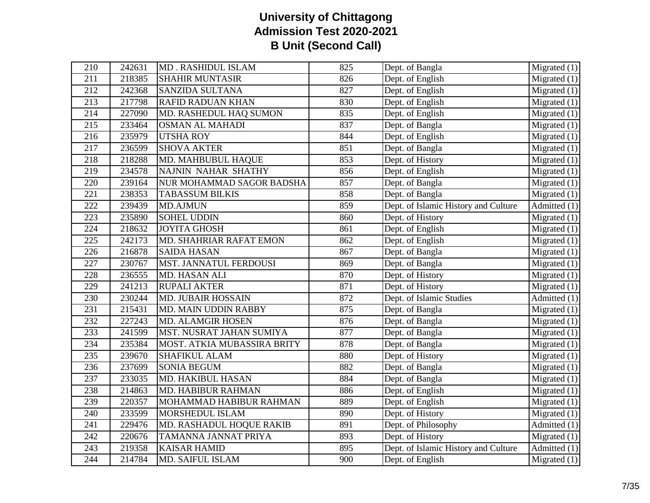| Dept. of English<br>Migrated $(1)$<br>211<br>218385<br><b>SHAHIR MUNTASIR</b><br>826<br>Dept. of English<br>212<br>242368<br><b>SANZIDA SULTANA</b><br>827<br>Migrated $(1)$<br>213<br>217798<br><b>RAFID RADUAN KHAN</b><br>830<br>Dept. of English<br>Migrated $(1)$<br>Dept. of English<br>214<br>227090<br>MD. RASHEDUL HAQ SUMON<br>835<br>Migrated $(1)$<br>233464<br>215<br><b>OSMAN AL MAHADI</b><br>837<br>Dept. of Bangla<br>Migrated $(1)$<br>216<br>235979<br><b>UTSHA ROY</b><br>844<br>Dept. of English<br>Migrated $(1)$<br>217<br>236599<br><b>SHOVA AKTER</b><br>851<br>Dept. of Bangla<br>$\overline{\text{Migrated}}(1)$<br>218<br>218288<br>MD. MAHBUBUL HAQUE<br>853<br>Dept. of History<br>Migrated $(1)$<br><b>NAJNIN NAHAR SHATHY</b><br>Dept. of English<br>Migrated $(1)$<br>219<br>234578<br>856<br>220<br>239164<br>857<br>Dept. of Bangla<br>NUR MOHAMMAD SAGOR BADSHA<br>Migrated $(1)$<br>Dept. of Bangla<br>221<br>238353<br><b>TABASSUM BILKIS</b><br>858<br>Migrated $(1)$<br>222<br>859<br>Dept. of Islamic History and Culture<br>239439<br><b>MD.AJMUN</b><br>Admitted (1)<br>$\overline{223}$<br>235890<br><b>SOHEL UDDIN</b><br>860<br>Dept. of History<br>Migrated(1)<br>224<br>218632<br><b>JOYITA GHOSH</b><br>861<br>Dept. of English<br>$\overline{\text{Migrated}}(1)$<br>$\overline{225}$<br>Dept. of English<br>242173<br>MD. SHAHRIAR RAFAT EMON<br>862<br>Migrated $(1)$<br>Dept. of Bangla<br>Migrated $(1)$<br>226<br>216878<br><b>SAIDA HASAN</b><br>867<br>227<br>230767<br>MST. JANNATUL FERDOUSI<br>Dept. of Bangla<br>869<br>Migrated $(1)$<br>Dept. of History<br>236555<br>870<br>$\overline{\text{Migrated}}(1)$<br>228<br>MD. HASAN ALI<br>229<br>871<br>Dept. of History<br>241213<br><b>RUPALI AKTER</b><br>Migrated $(1)$<br>230244<br>872<br>Dept. of Islamic Studies<br>230<br><b>MD. JUBAIR HOSSAIN</b><br>Admitted (1)<br>231<br>215431<br>MD. MAIN UDDIN RABBY<br>875<br>Dept. of Bangla<br>Migrated (1)<br>876<br>232<br>227243<br><b>MD. ALAMGIR HOSEN</b><br>Dept. of Bangla<br>Migrated $(1)$<br>233<br>877<br>$\overline{\text{Migrated}}(1)$<br>241599<br>MST. NUSRAT JAHAN SUMIYA<br>Dept. of Bangla<br>234<br>235384<br>878<br>Dept. of Bangla<br>Migrated $(1)$<br>MOST. ATKIA MUBASSIRA BRITY<br>235<br>239670<br><b>SHAFIKUL ALAM</b><br>880<br>Dept. of History<br>Migrated $(1)$<br>237699<br><b>SONIA BEGUM</b><br>882<br>Dept. of Bangla<br>236<br>Migrated $(1)$<br>237<br>233035<br><b>MD. HAKIBUL HASAN</b><br>884<br>Dept. of Bangla<br>Migrated $(1)$<br>238<br>214863<br><b>MD. HABIBUR RAHMAN</b><br>886<br>Dept. of English<br>Migrated $(1)$<br>889<br>239<br>220357<br>MOHAMMAD HABIBUR RAHMAN<br>Dept. of English<br>Migrated $(1)$<br>890<br>Dept. of History<br>$\overline{\text{Migrated}}(1)$<br>240<br>233599<br>MORSHEDUL ISLAM<br>241<br>891<br>Dept. of Philosophy<br>$\overline{\text{Admitted}}(1)$<br>229476<br>MD. RASHADUL HOQUE RAKIB<br>242<br>Dept. of History<br>220676<br>TAMANNA JANNAT PRIYA<br>893<br>Migrated $(1)$ | 210 | 242631 |                    | 825 |                 |                                 |
|-----------------------------------------------------------------------------------------------------------------------------------------------------------------------------------------------------------------------------------------------------------------------------------------------------------------------------------------------------------------------------------------------------------------------------------------------------------------------------------------------------------------------------------------------------------------------------------------------------------------------------------------------------------------------------------------------------------------------------------------------------------------------------------------------------------------------------------------------------------------------------------------------------------------------------------------------------------------------------------------------------------------------------------------------------------------------------------------------------------------------------------------------------------------------------------------------------------------------------------------------------------------------------------------------------------------------------------------------------------------------------------------------------------------------------------------------------------------------------------------------------------------------------------------------------------------------------------------------------------------------------------------------------------------------------------------------------------------------------------------------------------------------------------------------------------------------------------------------------------------------------------------------------------------------------------------------------------------------------------------------------------------------------------------------------------------------------------------------------------------------------------------------------------------------------------------------------------------------------------------------------------------------------------------------------------------------------------------------------------------------------------------------------------------------------------------------------------------------------------------------------------------------------------------------------------------------------------------------------------------------------------------------------------------------------------------------------------------------------------------------------------------------------------------------------------------------------------------------------------------------------------------------------------------------------------------------------------------------------------------------------------------------------------------|-----|--------|--------------------|-----|-----------------|---------------------------------|
|                                                                                                                                                                                                                                                                                                                                                                                                                                                                                                                                                                                                                                                                                                                                                                                                                                                                                                                                                                                                                                                                                                                                                                                                                                                                                                                                                                                                                                                                                                                                                                                                                                                                                                                                                                                                                                                                                                                                                                                                                                                                                                                                                                                                                                                                                                                                                                                                                                                                                                                                                                                                                                                                                                                                                                                                                                                                                                                                                                                                                                         |     |        | MD. RASHIDUL ISLAM |     | Dept. of Bangla | $\overline{\text{Migrated}}(1)$ |
|                                                                                                                                                                                                                                                                                                                                                                                                                                                                                                                                                                                                                                                                                                                                                                                                                                                                                                                                                                                                                                                                                                                                                                                                                                                                                                                                                                                                                                                                                                                                                                                                                                                                                                                                                                                                                                                                                                                                                                                                                                                                                                                                                                                                                                                                                                                                                                                                                                                                                                                                                                                                                                                                                                                                                                                                                                                                                                                                                                                                                                         |     |        |                    |     |                 |                                 |
|                                                                                                                                                                                                                                                                                                                                                                                                                                                                                                                                                                                                                                                                                                                                                                                                                                                                                                                                                                                                                                                                                                                                                                                                                                                                                                                                                                                                                                                                                                                                                                                                                                                                                                                                                                                                                                                                                                                                                                                                                                                                                                                                                                                                                                                                                                                                                                                                                                                                                                                                                                                                                                                                                                                                                                                                                                                                                                                                                                                                                                         |     |        |                    |     |                 |                                 |
|                                                                                                                                                                                                                                                                                                                                                                                                                                                                                                                                                                                                                                                                                                                                                                                                                                                                                                                                                                                                                                                                                                                                                                                                                                                                                                                                                                                                                                                                                                                                                                                                                                                                                                                                                                                                                                                                                                                                                                                                                                                                                                                                                                                                                                                                                                                                                                                                                                                                                                                                                                                                                                                                                                                                                                                                                                                                                                                                                                                                                                         |     |        |                    |     |                 |                                 |
|                                                                                                                                                                                                                                                                                                                                                                                                                                                                                                                                                                                                                                                                                                                                                                                                                                                                                                                                                                                                                                                                                                                                                                                                                                                                                                                                                                                                                                                                                                                                                                                                                                                                                                                                                                                                                                                                                                                                                                                                                                                                                                                                                                                                                                                                                                                                                                                                                                                                                                                                                                                                                                                                                                                                                                                                                                                                                                                                                                                                                                         |     |        |                    |     |                 |                                 |
|                                                                                                                                                                                                                                                                                                                                                                                                                                                                                                                                                                                                                                                                                                                                                                                                                                                                                                                                                                                                                                                                                                                                                                                                                                                                                                                                                                                                                                                                                                                                                                                                                                                                                                                                                                                                                                                                                                                                                                                                                                                                                                                                                                                                                                                                                                                                                                                                                                                                                                                                                                                                                                                                                                                                                                                                                                                                                                                                                                                                                                         |     |        |                    |     |                 |                                 |
|                                                                                                                                                                                                                                                                                                                                                                                                                                                                                                                                                                                                                                                                                                                                                                                                                                                                                                                                                                                                                                                                                                                                                                                                                                                                                                                                                                                                                                                                                                                                                                                                                                                                                                                                                                                                                                                                                                                                                                                                                                                                                                                                                                                                                                                                                                                                                                                                                                                                                                                                                                                                                                                                                                                                                                                                                                                                                                                                                                                                                                         |     |        |                    |     |                 |                                 |
|                                                                                                                                                                                                                                                                                                                                                                                                                                                                                                                                                                                                                                                                                                                                                                                                                                                                                                                                                                                                                                                                                                                                                                                                                                                                                                                                                                                                                                                                                                                                                                                                                                                                                                                                                                                                                                                                                                                                                                                                                                                                                                                                                                                                                                                                                                                                                                                                                                                                                                                                                                                                                                                                                                                                                                                                                                                                                                                                                                                                                                         |     |        |                    |     |                 |                                 |
|                                                                                                                                                                                                                                                                                                                                                                                                                                                                                                                                                                                                                                                                                                                                                                                                                                                                                                                                                                                                                                                                                                                                                                                                                                                                                                                                                                                                                                                                                                                                                                                                                                                                                                                                                                                                                                                                                                                                                                                                                                                                                                                                                                                                                                                                                                                                                                                                                                                                                                                                                                                                                                                                                                                                                                                                                                                                                                                                                                                                                                         |     |        |                    |     |                 |                                 |
|                                                                                                                                                                                                                                                                                                                                                                                                                                                                                                                                                                                                                                                                                                                                                                                                                                                                                                                                                                                                                                                                                                                                                                                                                                                                                                                                                                                                                                                                                                                                                                                                                                                                                                                                                                                                                                                                                                                                                                                                                                                                                                                                                                                                                                                                                                                                                                                                                                                                                                                                                                                                                                                                                                                                                                                                                                                                                                                                                                                                                                         |     |        |                    |     |                 |                                 |
|                                                                                                                                                                                                                                                                                                                                                                                                                                                                                                                                                                                                                                                                                                                                                                                                                                                                                                                                                                                                                                                                                                                                                                                                                                                                                                                                                                                                                                                                                                                                                                                                                                                                                                                                                                                                                                                                                                                                                                                                                                                                                                                                                                                                                                                                                                                                                                                                                                                                                                                                                                                                                                                                                                                                                                                                                                                                                                                                                                                                                                         |     |        |                    |     |                 |                                 |
|                                                                                                                                                                                                                                                                                                                                                                                                                                                                                                                                                                                                                                                                                                                                                                                                                                                                                                                                                                                                                                                                                                                                                                                                                                                                                                                                                                                                                                                                                                                                                                                                                                                                                                                                                                                                                                                                                                                                                                                                                                                                                                                                                                                                                                                                                                                                                                                                                                                                                                                                                                                                                                                                                                                                                                                                                                                                                                                                                                                                                                         |     |        |                    |     |                 |                                 |
|                                                                                                                                                                                                                                                                                                                                                                                                                                                                                                                                                                                                                                                                                                                                                                                                                                                                                                                                                                                                                                                                                                                                                                                                                                                                                                                                                                                                                                                                                                                                                                                                                                                                                                                                                                                                                                                                                                                                                                                                                                                                                                                                                                                                                                                                                                                                                                                                                                                                                                                                                                                                                                                                                                                                                                                                                                                                                                                                                                                                                                         |     |        |                    |     |                 |                                 |
|                                                                                                                                                                                                                                                                                                                                                                                                                                                                                                                                                                                                                                                                                                                                                                                                                                                                                                                                                                                                                                                                                                                                                                                                                                                                                                                                                                                                                                                                                                                                                                                                                                                                                                                                                                                                                                                                                                                                                                                                                                                                                                                                                                                                                                                                                                                                                                                                                                                                                                                                                                                                                                                                                                                                                                                                                                                                                                                                                                                                                                         |     |        |                    |     |                 |                                 |
|                                                                                                                                                                                                                                                                                                                                                                                                                                                                                                                                                                                                                                                                                                                                                                                                                                                                                                                                                                                                                                                                                                                                                                                                                                                                                                                                                                                                                                                                                                                                                                                                                                                                                                                                                                                                                                                                                                                                                                                                                                                                                                                                                                                                                                                                                                                                                                                                                                                                                                                                                                                                                                                                                                                                                                                                                                                                                                                                                                                                                                         |     |        |                    |     |                 |                                 |
|                                                                                                                                                                                                                                                                                                                                                                                                                                                                                                                                                                                                                                                                                                                                                                                                                                                                                                                                                                                                                                                                                                                                                                                                                                                                                                                                                                                                                                                                                                                                                                                                                                                                                                                                                                                                                                                                                                                                                                                                                                                                                                                                                                                                                                                                                                                                                                                                                                                                                                                                                                                                                                                                                                                                                                                                                                                                                                                                                                                                                                         |     |        |                    |     |                 |                                 |
|                                                                                                                                                                                                                                                                                                                                                                                                                                                                                                                                                                                                                                                                                                                                                                                                                                                                                                                                                                                                                                                                                                                                                                                                                                                                                                                                                                                                                                                                                                                                                                                                                                                                                                                                                                                                                                                                                                                                                                                                                                                                                                                                                                                                                                                                                                                                                                                                                                                                                                                                                                                                                                                                                                                                                                                                                                                                                                                                                                                                                                         |     |        |                    |     |                 |                                 |
|                                                                                                                                                                                                                                                                                                                                                                                                                                                                                                                                                                                                                                                                                                                                                                                                                                                                                                                                                                                                                                                                                                                                                                                                                                                                                                                                                                                                                                                                                                                                                                                                                                                                                                                                                                                                                                                                                                                                                                                                                                                                                                                                                                                                                                                                                                                                                                                                                                                                                                                                                                                                                                                                                                                                                                                                                                                                                                                                                                                                                                         |     |        |                    |     |                 |                                 |
|                                                                                                                                                                                                                                                                                                                                                                                                                                                                                                                                                                                                                                                                                                                                                                                                                                                                                                                                                                                                                                                                                                                                                                                                                                                                                                                                                                                                                                                                                                                                                                                                                                                                                                                                                                                                                                                                                                                                                                                                                                                                                                                                                                                                                                                                                                                                                                                                                                                                                                                                                                                                                                                                                                                                                                                                                                                                                                                                                                                                                                         |     |        |                    |     |                 |                                 |
|                                                                                                                                                                                                                                                                                                                                                                                                                                                                                                                                                                                                                                                                                                                                                                                                                                                                                                                                                                                                                                                                                                                                                                                                                                                                                                                                                                                                                                                                                                                                                                                                                                                                                                                                                                                                                                                                                                                                                                                                                                                                                                                                                                                                                                                                                                                                                                                                                                                                                                                                                                                                                                                                                                                                                                                                                                                                                                                                                                                                                                         |     |        |                    |     |                 |                                 |
|                                                                                                                                                                                                                                                                                                                                                                                                                                                                                                                                                                                                                                                                                                                                                                                                                                                                                                                                                                                                                                                                                                                                                                                                                                                                                                                                                                                                                                                                                                                                                                                                                                                                                                                                                                                                                                                                                                                                                                                                                                                                                                                                                                                                                                                                                                                                                                                                                                                                                                                                                                                                                                                                                                                                                                                                                                                                                                                                                                                                                                         |     |        |                    |     |                 |                                 |
|                                                                                                                                                                                                                                                                                                                                                                                                                                                                                                                                                                                                                                                                                                                                                                                                                                                                                                                                                                                                                                                                                                                                                                                                                                                                                                                                                                                                                                                                                                                                                                                                                                                                                                                                                                                                                                                                                                                                                                                                                                                                                                                                                                                                                                                                                                                                                                                                                                                                                                                                                                                                                                                                                                                                                                                                                                                                                                                                                                                                                                         |     |        |                    |     |                 |                                 |
|                                                                                                                                                                                                                                                                                                                                                                                                                                                                                                                                                                                                                                                                                                                                                                                                                                                                                                                                                                                                                                                                                                                                                                                                                                                                                                                                                                                                                                                                                                                                                                                                                                                                                                                                                                                                                                                                                                                                                                                                                                                                                                                                                                                                                                                                                                                                                                                                                                                                                                                                                                                                                                                                                                                                                                                                                                                                                                                                                                                                                                         |     |        |                    |     |                 |                                 |
|                                                                                                                                                                                                                                                                                                                                                                                                                                                                                                                                                                                                                                                                                                                                                                                                                                                                                                                                                                                                                                                                                                                                                                                                                                                                                                                                                                                                                                                                                                                                                                                                                                                                                                                                                                                                                                                                                                                                                                                                                                                                                                                                                                                                                                                                                                                                                                                                                                                                                                                                                                                                                                                                                                                                                                                                                                                                                                                                                                                                                                         |     |        |                    |     |                 |                                 |
|                                                                                                                                                                                                                                                                                                                                                                                                                                                                                                                                                                                                                                                                                                                                                                                                                                                                                                                                                                                                                                                                                                                                                                                                                                                                                                                                                                                                                                                                                                                                                                                                                                                                                                                                                                                                                                                                                                                                                                                                                                                                                                                                                                                                                                                                                                                                                                                                                                                                                                                                                                                                                                                                                                                                                                                                                                                                                                                                                                                                                                         |     |        |                    |     |                 |                                 |
|                                                                                                                                                                                                                                                                                                                                                                                                                                                                                                                                                                                                                                                                                                                                                                                                                                                                                                                                                                                                                                                                                                                                                                                                                                                                                                                                                                                                                                                                                                                                                                                                                                                                                                                                                                                                                                                                                                                                                                                                                                                                                                                                                                                                                                                                                                                                                                                                                                                                                                                                                                                                                                                                                                                                                                                                                                                                                                                                                                                                                                         |     |        |                    |     |                 |                                 |
|                                                                                                                                                                                                                                                                                                                                                                                                                                                                                                                                                                                                                                                                                                                                                                                                                                                                                                                                                                                                                                                                                                                                                                                                                                                                                                                                                                                                                                                                                                                                                                                                                                                                                                                                                                                                                                                                                                                                                                                                                                                                                                                                                                                                                                                                                                                                                                                                                                                                                                                                                                                                                                                                                                                                                                                                                                                                                                                                                                                                                                         |     |        |                    |     |                 |                                 |
|                                                                                                                                                                                                                                                                                                                                                                                                                                                                                                                                                                                                                                                                                                                                                                                                                                                                                                                                                                                                                                                                                                                                                                                                                                                                                                                                                                                                                                                                                                                                                                                                                                                                                                                                                                                                                                                                                                                                                                                                                                                                                                                                                                                                                                                                                                                                                                                                                                                                                                                                                                                                                                                                                                                                                                                                                                                                                                                                                                                                                                         |     |        |                    |     |                 |                                 |
|                                                                                                                                                                                                                                                                                                                                                                                                                                                                                                                                                                                                                                                                                                                                                                                                                                                                                                                                                                                                                                                                                                                                                                                                                                                                                                                                                                                                                                                                                                                                                                                                                                                                                                                                                                                                                                                                                                                                                                                                                                                                                                                                                                                                                                                                                                                                                                                                                                                                                                                                                                                                                                                                                                                                                                                                                                                                                                                                                                                                                                         |     |        |                    |     |                 |                                 |
|                                                                                                                                                                                                                                                                                                                                                                                                                                                                                                                                                                                                                                                                                                                                                                                                                                                                                                                                                                                                                                                                                                                                                                                                                                                                                                                                                                                                                                                                                                                                                                                                                                                                                                                                                                                                                                                                                                                                                                                                                                                                                                                                                                                                                                                                                                                                                                                                                                                                                                                                                                                                                                                                                                                                                                                                                                                                                                                                                                                                                                         |     |        |                    |     |                 |                                 |
|                                                                                                                                                                                                                                                                                                                                                                                                                                                                                                                                                                                                                                                                                                                                                                                                                                                                                                                                                                                                                                                                                                                                                                                                                                                                                                                                                                                                                                                                                                                                                                                                                                                                                                                                                                                                                                                                                                                                                                                                                                                                                                                                                                                                                                                                                                                                                                                                                                                                                                                                                                                                                                                                                                                                                                                                                                                                                                                                                                                                                                         |     |        |                    |     |                 |                                 |
|                                                                                                                                                                                                                                                                                                                                                                                                                                                                                                                                                                                                                                                                                                                                                                                                                                                                                                                                                                                                                                                                                                                                                                                                                                                                                                                                                                                                                                                                                                                                                                                                                                                                                                                                                                                                                                                                                                                                                                                                                                                                                                                                                                                                                                                                                                                                                                                                                                                                                                                                                                                                                                                                                                                                                                                                                                                                                                                                                                                                                                         |     |        |                    |     |                 |                                 |
|                                                                                                                                                                                                                                                                                                                                                                                                                                                                                                                                                                                                                                                                                                                                                                                                                                                                                                                                                                                                                                                                                                                                                                                                                                                                                                                                                                                                                                                                                                                                                                                                                                                                                                                                                                                                                                                                                                                                                                                                                                                                                                                                                                                                                                                                                                                                                                                                                                                                                                                                                                                                                                                                                                                                                                                                                                                                                                                                                                                                                                         |     |        |                    |     |                 |                                 |
| Dept. of Islamic History and Culture<br>$\overline{243}$<br>219358<br><b>KAISAR HAMID</b><br>895<br>Admitted $(1)$                                                                                                                                                                                                                                                                                                                                                                                                                                                                                                                                                                                                                                                                                                                                                                                                                                                                                                                                                                                                                                                                                                                                                                                                                                                                                                                                                                                                                                                                                                                                                                                                                                                                                                                                                                                                                                                                                                                                                                                                                                                                                                                                                                                                                                                                                                                                                                                                                                                                                                                                                                                                                                                                                                                                                                                                                                                                                                                      |     |        |                    |     |                 |                                 |
| 244<br>Dept. of English<br>214784<br>900<br>Migrated $(1)$<br>MD. SAIFUL ISLAM                                                                                                                                                                                                                                                                                                                                                                                                                                                                                                                                                                                                                                                                                                                                                                                                                                                                                                                                                                                                                                                                                                                                                                                                                                                                                                                                                                                                                                                                                                                                                                                                                                                                                                                                                                                                                                                                                                                                                                                                                                                                                                                                                                                                                                                                                                                                                                                                                                                                                                                                                                                                                                                                                                                                                                                                                                                                                                                                                          |     |        |                    |     |                 |                                 |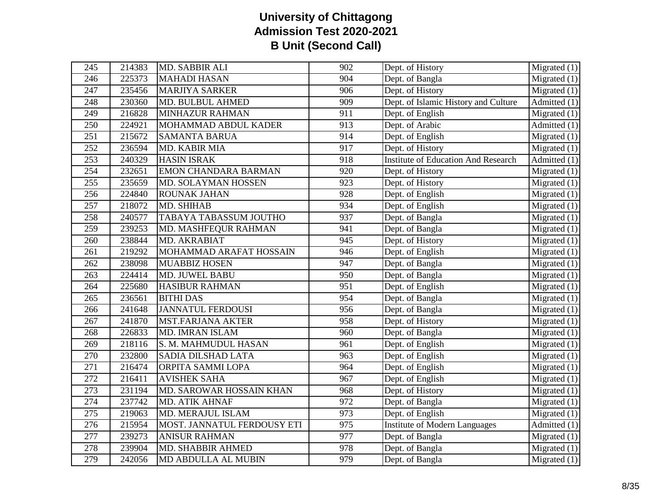| 245 | 214383 | MD. SABBIR ALI              | 902              | Dept. of History                           | $\overline{\text{Migrated}}(1)$ |
|-----|--------|-----------------------------|------------------|--------------------------------------------|---------------------------------|
| 246 | 225373 | <b>MAHADI HASAN</b>         | 904              | Dept. of Bangla                            | Migrated $(1)$                  |
| 247 | 235456 | <b>MARJIYA SARKER</b>       | $\overline{906}$ | Dept. of History                           | Migrated $(1)$                  |
| 248 | 230360 | <b>MD. BULBUL AHMED</b>     | 909              | Dept. of Islamic History and Culture       | Admitted $(1)$                  |
| 249 | 216828 | <b>MINHAZUR RAHMAN</b>      | 911              | Dept. of English                           | Migrated $(1)$                  |
| 250 | 224921 | MOHAMMAD ABDUL KADER        | 913              | Dept. of Arabic                            | Admitted (1)                    |
| 251 | 215672 | <b>SAMANTA BARUA</b>        | 914              | Dept. of English                           | $\overline{\text{Migrated}}(1)$ |
| 252 | 236594 | MD. KABIR MIA               | 917              | Dept. of History                           | $\overline{\text{Migrated}}(1)$ |
| 253 | 240329 | <b>HASIN ISRAK</b>          | 918              | <b>Institute of Education And Research</b> | $\overline{\text{Admitted}}(1)$ |
| 254 | 232651 | <b>EMON CHANDARA BARMAN</b> | 920              | Dept. of History                           | Migrated $(1)$                  |
| 255 | 235659 | <b>MD. SOLAYMAN HOSSEN</b>  | 923              | Dept. of History                           | Migrated $(1)$                  |
| 256 | 224840 | <b>ROUNAK JAHAN</b>         | 928              | Dept. of English                           | $\overline{\text{Migrated}}(1)$ |
| 257 | 218072 | MD. SHIHAB                  | 934              | Dept. of English                           | Migrated $(1)$                  |
| 258 | 240577 | TABAYA TABASSUM JOUTHO      | 937              | Dept. of Bangla                            | Migrated $(1)$                  |
| 259 | 239253 | MD. MASHFEQUR RAHMAN        | 941              | Dept. of Bangla                            | Migrated $(1)$                  |
| 260 | 238844 | MD. AKRABIAT                | 945              | Dept. of History                           | $\overline{\text{Migrated}}(1)$ |
| 261 | 219292 | MOHAMMAD ARAFAT HOSSAIN     | 946              | Dept. of English                           | Migrated $(1)$                  |
| 262 | 238098 | <b>MUABBIZ HOSEN</b>        | 947              | Dept. of Bangla                            | Migrated $(1)$                  |
| 263 | 224414 | MD. JUWEL BABU              | 950              | Dept. of Bangla                            | Migrated $(1)$                  |
| 264 | 225680 | <b>HASIBUR RAHMAN</b>       | 951              | Dept. of English                           | Migrated $(1)$                  |
| 265 | 236561 | <b>BITHI DAS</b>            | 954              | Dept. of Bangla                            | Migrated $(1)$                  |
| 266 | 241648 | <b>JANNATUL FERDOUSI</b>    | 956              | Dept. of Bangla                            | Migrated $(1)$                  |
| 267 | 241870 | <b>MST.FARJANA AKTER</b>    | 958              | Dept. of History                           | Migrated $(1)$                  |
| 268 | 226833 | MD. IMRAN ISLAM             | 960              | Dept. of Bangla                            | $\overline{\text{Migrated}}(1)$ |
| 269 | 218116 | S. M. MAHMUDUL HASAN        | 961              | Dept. of English                           | Migrated $(1)$                  |
| 270 | 232800 | SADIA DILSHAD LATA          | 963              | Dept. of English                           | $\overline{\text{Migrated}}(1)$ |
| 271 | 216474 | ORPITA SAMMI LOPA           | 964              | Dept. of English                           | Migrated $(1)$                  |
| 272 | 216411 | <b>AVISHEK SAHA</b>         | 967              | Dept. of English                           | Migrated $(1)$                  |
| 273 | 231194 | MD. SAROWAR HOSSAIN KHAN    | 968              | Dept. of History                           | Migrated $(1)$                  |
| 274 | 237742 | <b>MD. ATIK AHNAF</b>       | 972              | Dept. of Bangla                            | Migrated $(1)$                  |
| 275 | 219063 | MD. MERAJUL ISLAM           | 973              | Dept. of English                           | Migrated $(1)$                  |
| 276 | 215954 | MOST. JANNATUL FERDOUSY ETI | $\overline{975}$ | <b>Institute of Modern Languages</b>       | $\overline{\text{Admitted}}(1)$ |
| 277 | 239273 | <b>ANISUR RAHMAN</b>        | 977              | Dept. of Bangla                            | Migrated $(1)$                  |
| 278 | 239904 | MD. SHABBIR AHMED           | 978              | Dept. of Bangla                            | Migrated(1)                     |
| 279 | 242056 | MD ABDULLA AL MUBIN         | 979              | Dept. of Bangla                            | Migrated $(1)$                  |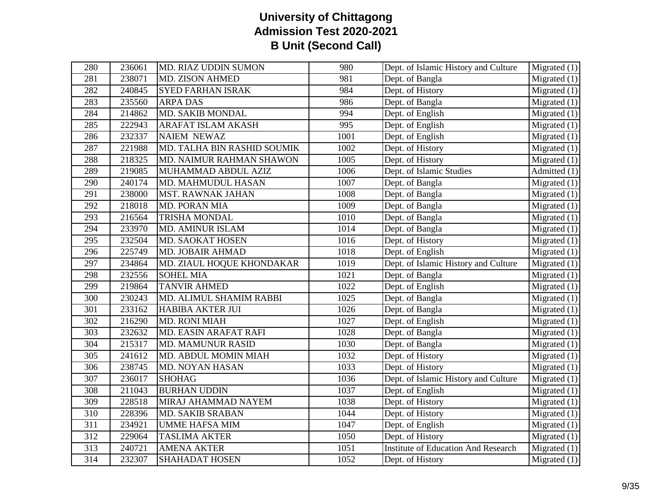| 280              | 236061 | MD. RIAZ UDDIN SUMON        | 980  | Dept. of Islamic History and Culture       | Migrated $(1)$                  |
|------------------|--------|-----------------------------|------|--------------------------------------------|---------------------------------|
| 281              | 238071 | <b>MD. ZISON AHMED</b>      | 981  | Dept. of Bangla                            | $\overline{\text{Migrated}}(1)$ |
| 282              | 240845 | <b>SYED FARHAN ISRAK</b>    | 984  | Dept. of History                           | Migrated $(1)$                  |
| 283              | 235560 | <b>ARPA DAS</b>             | 986  | Dept. of Bangla                            | Migrated $(1)$                  |
| 284              | 214862 | <b>MD. SAKIB MONDAL</b>     | 994  | Dept. of English                           | Migrated $(1)$                  |
| 285              | 222943 | <b>ARAFAT ISLAM AKASH</b>   | 995  | Dept. of English                           | Migrated $(1)$                  |
| 286              | 232337 | <b>NAIEM NEWAZ</b>          | 1001 | Dept. of English                           | Migrated $(1)$                  |
| 287              | 221988 | MD. TALHA BIN RASHID SOUMIK | 1002 | Dept. of History                           | Migrated $(1)$                  |
| 288              | 218325 | MD. NAIMUR RAHMAN SHAWON    | 1005 | Dept. of History                           | Migrated $(1)$                  |
| 289              | 219085 | MUHAMMAD ABDUL AZIZ         | 1006 | Dept. of Islamic Studies                   | Admitted $(1)$                  |
| 290              | 240174 | MD. MAHMUDUL HASAN          | 1007 | Dept. of Bangla                            | Migrated $(1)$                  |
| 291              | 238000 | <b>MST. RAWNAK JAHAN</b>    | 1008 | Dept. of Bangla                            | Migrated $(1)$                  |
| 292              | 218018 | MD. PORAN MIA               | 1009 | Dept. of Bangla                            | Migrated $(1)$                  |
| 293              | 216564 | <b>TRISHA MONDAL</b>        | 1010 | Dept. of Bangla                            | Migrated $(1)$                  |
| 294              | 233970 | MD. AMINUR ISLAM            | 1014 | Dept. of Bangla                            | $\overline{\text{Migrated}}(1)$ |
| 295              | 232504 | MD. SAOKAT HOSEN            | 1016 | Dept. of History                           | Migrated $(1)$                  |
| 296              | 225749 | MD. JOBAIR AHMAD            | 1018 | Dept. of English                           | Migrated $(1)$                  |
| 297              | 234864 | MD. ZIAUL HOQUE KHONDAKAR   | 1019 | Dept. of Islamic History and Culture       | Migrated (1)                    |
| 298              | 232556 | <b>SOHEL MIA</b>            | 1021 | Dept. of Bangla                            | $\overline{\text{Migrated}}(1)$ |
| 299              | 219864 | <b>TANVIR AHMED</b>         | 1022 | Dept. of English                           | Migrated $(1)$                  |
| 300              | 230243 | MD. ALIMUL SHAMIM RABBI     | 1025 | Dept. of Bangla                            | Migrated $(1)$                  |
| 301              | 233162 | <b>HABIBA AKTER JUI</b>     | 1026 | Dept. of Bangla                            | Migrated $(1)$                  |
| 302              | 216290 | <b>MD. RONI MIAH</b>        | 1027 | Dept. of English                           | $\overline{\text{Migrated}}(1)$ |
| 303              | 232632 | MD. EASIN ARAFAT RAFI       | 1028 | Dept. of Bangla                            | $\overline{\text{Migrated}}(1)$ |
| 304              | 215317 | <b>MD. MAMUNUR RASID</b>    | 1030 | Dept. of Bangla                            | Migrated $(1)$                  |
| 305              | 241612 | MD. ABDUL MOMIN MIAH        | 1032 | Dept. of History                           | Migrated $(1)$                  |
| 306              | 238745 | <b>MD. NOYAN HASAN</b>      | 1033 | Dept. of History                           | Migrated $(1)$                  |
| 307              | 236017 | <b>SHOHAG</b>               | 1036 | Dept. of Islamic History and Culture       | $\overline{\text{Migrated}}(1)$ |
| 308              | 211043 | <b>BURHAN UDDIN</b>         | 1037 | Dept. of English                           | Migrated $(1)$                  |
| 309              | 228518 | MIRAJ AHAMMAD NAYEM         | 1038 | Dept. of History                           | Migrated $(1)$                  |
| 310              | 228396 | MD. SAKIB SRABAN            | 1044 | Dept. of History                           | $\overline{\text{Migrated}}(1)$ |
| $\overline{311}$ | 234921 | <b>UMME HAFSA MIM</b>       | 1047 | Dept. of English                           | Migrated $(1)$                  |
| $\overline{312}$ | 229064 | <b>TASLIMA AKTER</b>        | 1050 | Dept. of History                           | $\overline{\text{Migrated}}(1)$ |
| 313              | 240721 | <b>AMENA AKTER</b>          | 1051 | <b>Institute of Education And Research</b> | Migrated $(1)$                  |
| 314              | 232307 | <b>SHAHADAT HOSEN</b>       | 1052 | Dept. of History                           | $\overline{\text{Migrated}}(1)$ |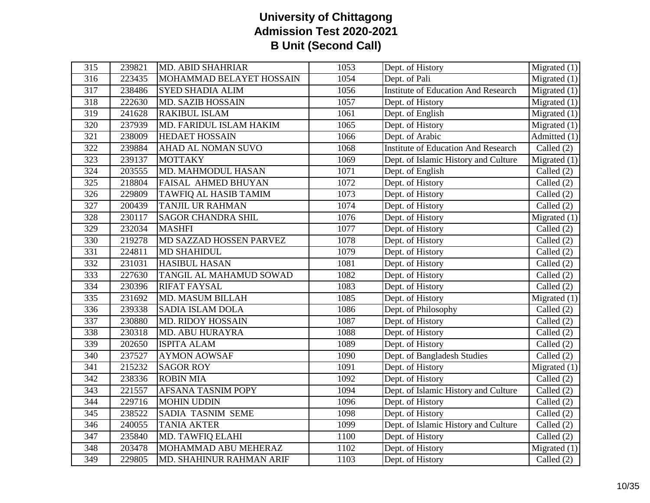| $\overline{315}$ | 239821 | <b>MD. ABID SHAHRIAR</b>  | 1053 | Dept. of History                           | $\overline{\text{Migrated}}(1)$ |
|------------------|--------|---------------------------|------|--------------------------------------------|---------------------------------|
| 316              | 223435 | MOHAMMAD BELAYET HOSSAIN  | 1054 | Dept. of Pali                              | Migrated $(1)$                  |
| $\overline{317}$ | 238486 | <b>SYED SHADIA ALIM</b>   | 1056 | <b>Institute of Education And Research</b> | Migrated $(1)$                  |
| 318              | 222630 | <b>MD. SAZIB HOSSAIN</b>  | 1057 | Dept. of History                           | Migrated $(1)$                  |
| 319              | 241628 | <b>RAKIBUL ISLAM</b>      | 1061 | Dept. of English                           | Migrated $(1)$                  |
| 320              | 237939 | MD. FARIDUL ISLAM HAKIM   | 1065 | Dept. of History                           | $\overline{\text{Migrated}}(1)$ |
| 321              | 238009 | <b>HEDAET HOSSAIN</b>     | 1066 | Dept. of Arabic                            | Admitted $(1)$                  |
| 322              | 239884 | AHAD AL NOMAN SUVO        | 1068 | <b>Institute of Education And Research</b> | Called (2)                      |
| 323              | 239137 | <b>MOTTAKY</b>            | 1069 | Dept. of Islamic History and Culture       | Migrated $(1)$                  |
| 324              | 203555 | MD. MAHMODUL HASAN        | 1071 | Dept. of English                           | Called $(2)$                    |
| 325              | 218804 | FAISAL AHMED BHUYAN       | 1072 | Dept. of History                           | Called $(2)$                    |
| 326              | 229809 | TAWFIQ AL HASIB TAMIM     | 1073 | Dept. of History                           | Called $(2)$                    |
| 327              | 200439 | <b>TANJIL UR RAHMAN</b>   | 1074 | Dept. of History                           | Called (2)                      |
| 328              | 230117 | <b>SAGOR CHANDRA SHIL</b> | 1076 | Dept. of History                           | Migrated $(1)$                  |
| 329              | 232034 | <b>MASHFI</b>             | 1077 | Dept. of History                           | Called $(2)$                    |
| 330              | 219278 | MD SAZZAD HOSSEN PARVEZ   | 1078 | Dept. of History                           | Called (2)                      |
| 331              | 224811 | <b>MD SHAHIDUL</b>        | 1079 | Dept. of History                           | Called (2)                      |
| 332              | 231031 | <b>HASIBUL HASAN</b>      | 1081 | Dept. of History                           | Called (2)                      |
| 333              | 227630 | TANGIL AL MAHAMUD SOWAD   | 1082 | Dept. of History                           | Called (2)                      |
| 334              | 230396 | <b>RIFAT FAYSAL</b>       | 1083 | Dept. of History                           | Called $(2)$                    |
| 335              | 231692 | <b>MD. MASUM BILLAH</b>   | 1085 | Dept. of History                           | Migrated $(1)$                  |
| 336              | 239338 | <b>SADIA ISLAM DOLA</b>   | 1086 | Dept. of Philosophy                        | Called $(2)$                    |
| 337              | 230880 | <b>MD. RIDOY HOSSAIN</b>  | 1087 | Dept. of History                           | Called $(2)$                    |
| 338              | 230318 | MD. ABU HURAYRA           | 1088 | Dept. of History                           | Called (2)                      |
| 339              | 202650 | <b>ISPITA ALAM</b>        | 1089 | Dept. of History                           | Called $(2)$                    |
| 340              | 237527 | <b>AYMON AOWSAF</b>       | 1090 | Dept. of Bangladesh Studies                | Called $(2)$                    |
| 341              | 215232 | <b>SAGOR ROY</b>          | 1091 | Dept. of History                           | Migrated $(1)$                  |
| 342              | 238336 | <b>ROBIN MIA</b>          | 1092 | Dept. of History                           | Called $(2)$                    |
| 343              | 221557 | <b>AFSANA TASNIM POPY</b> | 1094 | Dept. of Islamic History and Culture       | Called (2)                      |
| 344              | 229716 | <b>MOHIN UDDIN</b>        | 1096 | Dept. of History                           | Called (2)                      |
| 345              | 238522 | SADIA TASNIM SEME         | 1098 | Dept. of History                           | Called (2)                      |
| 346              | 240055 | <b>TANIA AKTER</b>        | 1099 | Dept. of Islamic History and Culture       | Called $(2)$                    |
| 347              | 235840 | MD. TAWFIQ ELAHI          | 1100 | Dept. of History                           | Called (2)                      |
| 348              | 203478 | MOHAMMAD ABU MEHERAZ      | 1102 | Dept. of History                           | $\overline{\text{Migrated}}(1)$ |
| 349              | 229805 | MD. SHAHINUR RAHMAN ARIF  | 1103 | Dept. of History                           | Called $(2)$                    |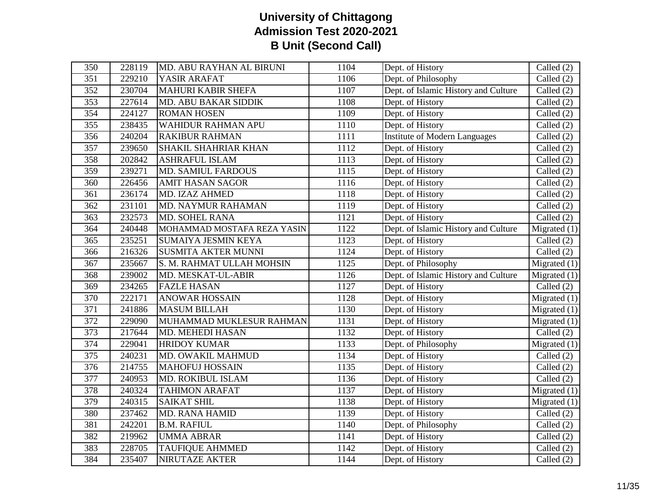| 350              | 228119 | MD. ABU RAYHAN AL BIRUNI    | 1104 | Dept. of History                     | Called $(2)$                    |
|------------------|--------|-----------------------------|------|--------------------------------------|---------------------------------|
| 351              | 229210 | YASIR ARAFAT                | 1106 | Dept. of Philosophy                  | Called (2)                      |
| $\overline{352}$ | 230704 | <b>MAHURI KABIR SHEFA</b>   | 1107 | Dept. of Islamic History and Culture | Called (2)                      |
| 353              | 227614 | <b>MD. ABU BAKAR SIDDIK</b> | 1108 | Dept. of History                     | Called $(2)$                    |
| 354              | 224127 | <b>ROMAN HOSEN</b>          | 1109 | Dept. of History                     | Called (2)                      |
| 355              | 238435 | WAHIDUR RAHMAN APU          | 1110 | Dept. of History                     | Called (2)                      |
| 356              | 240204 | <b>RAKIBUR RAHMAN</b>       | 1111 | <b>Institute of Modern Languages</b> | Called (2)                      |
| 357              | 239650 | SHAKIL SHAHRIAR KHAN        | 1112 | Dept. of History                     | Called (2)                      |
| 358              | 202842 | <b>ASHRAFUL ISLAM</b>       | 1113 | Dept. of History                     | Called $(2)$                    |
| 359              | 239271 | <b>MD. SAMIUL FARDOUS</b>   | 1115 | Dept. of History                     | Called $(2)$                    |
| 360              | 226456 | <b>AMIT HASAN SAGOR</b>     | 1116 | Dept. of History                     | Called (2)                      |
| 361              | 236174 | MD. IZAZ AHMED              | 1118 | Dept. of History                     | Called (2)                      |
| 362              | 231101 | MD. NAYMUR RAHAMAN          | 1119 | Dept. of History                     | Called (2)                      |
| 363              | 232573 | <b>MD. SOHEL RANA</b>       | 1121 | Dept. of History                     | Called $(2)$                    |
| 364              | 240448 | MOHAMMAD MOSTAFA REZA YASIN | 1122 | Dept. of Islamic History and Culture | Migrated $(1)$                  |
| 365              | 235251 | SUMAIYA JESMIN KEYA         | 1123 | Dept. of History                     | Called $(2)$                    |
| 366              | 216326 | <b>SUSMITA AKTER MUNNI</b>  | 1124 | Dept. of History                     | Called (2)                      |
| 367              | 235667 | S. M. RAHMAT ULLAH MOHSIN   | 1125 | Dept. of Philosophy                  | $\overline{\text{Migrated}}(1)$ |
| 368              | 239002 | MD. MESKAT-UL-ABIR          | 1126 | Dept. of Islamic History and Culture | $\overline{\text{Migrated}}(1)$ |
| 369              | 234265 | <b>FAZLE HASAN</b>          | 1127 | Dept. of History                     | Called $(2)$                    |
| 370              | 222171 | <b>ANOWAR HOSSAIN</b>       | 1128 | Dept. of History                     | Migrated $(1)$                  |
| 371              | 241886 | <b>MASUM BILLAH</b>         | 1130 | Dept. of History                     | Migrated $(1)$                  |
| 372              | 229090 | MUHAMMAD MUKLESUR RAHMAN    | 1131 | Dept. of History                     | $\overline{\text{Migrated}}(1)$ |
| 373              | 217644 | MD. MEHEDI HASAN            | 1132 | Dept. of History                     | Called $(2)$                    |
| 374              | 229041 | <b>HRIDOY KUMAR</b>         | 1133 | Dept. of Philosophy                  | Migrated $(1)$                  |
| 375              | 240231 | MD. OWAKIL MAHMUD           | 1134 | Dept. of History                     | Called $(2)$                    |
| 376              | 214755 | <b>MAHOFUJ HOSSAIN</b>      | 1135 | Dept. of History                     | Called (2)                      |
| 377              | 240953 | MD. ROKIBUL ISLAM           | 1136 | Dept. of History                     | Called $(2)$                    |
| 378              | 240324 | <b>TAHIMON ARAFAT</b>       | 1137 | Dept. of History                     | Migrated $(1)$                  |
| 379              | 240315 | <b>SAIKAT SHIL</b>          | 1138 | Dept. of History                     | Migrated $(1)$                  |
| 380              | 237462 | <b>MD. RANA HAMID</b>       | 1139 | Dept. of History                     | Called $(2)$                    |
| 381              | 242201 | <b>B.M. RAFIUL</b>          | 1140 | Dept. of Philosophy                  | Called $(2)$                    |
| 382              | 219962 | <b>UMMA ABRAR</b>           | 1141 | Dept. of History                     | Called $(2)$                    |
| 383              | 228705 | <b>TAUFIQUE AHMMED</b>      | 1142 | Dept. of History                     | Called $(2)$                    |
| 384              | 235407 | NIRUTAZE AKTER              | 1144 | Dept. of History                     | Called (2)                      |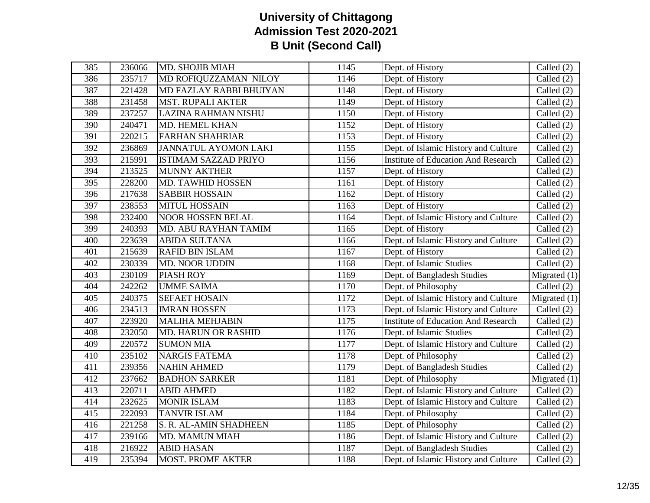| $\overline{385}$ | 236066 | <b>MD. SHOJIB MIAH</b>      | 1145 | Dept. of History                           | Called (2)                      |
|------------------|--------|-----------------------------|------|--------------------------------------------|---------------------------------|
| 386              | 235717 | MD ROFIQUZZAMAN NILOY       | 1146 | Dept. of History                           | Called $(2)$                    |
| 387              | 221428 | MD FAZLAY RABBI BHUIYAN     | 1148 | Dept. of History                           | Called (2)                      |
| 388              | 231458 | <b>MST. RUPALI AKTER</b>    | 1149 | Dept. of History                           | Called (2)                      |
| 389              | 237257 | LAZINA RAHMAN NISHU         | 1150 | Dept. of History                           | Called (2)                      |
| 390              | 240471 | MD. HEMEL KHAN              | 1152 | Dept. of History                           | Called $(2)$                    |
| 391              | 220215 | <b>FARHAN SHAHRIAR</b>      | 1153 | Dept. of History                           | Called (2)                      |
| 392              | 236869 | JANNATUL AYOMON LAKI        | 1155 | Dept. of Islamic History and Culture       | Called (2)                      |
| 393              | 215991 | <b>ISTIMAM SAZZAD PRIYO</b> | 1156 | <b>Institute of Education And Research</b> | Called (2)                      |
| 394              | 213525 | <b>MUNNY AKTHER</b>         | 1157 | Dept. of History                           | Called $(2)$                    |
| 395              | 228200 | MD. TAWHID HOSSEN           | 1161 | Dept. of History                           | Called (2)                      |
| 396              | 217638 | <b>SABBIR HOSSAIN</b>       | 1162 | Dept. of History                           | Called $(2)$                    |
| 397              | 238553 | <b>MITUL HOSSAIN</b>        | 1163 | Dept. of History                           | Called $(2)$                    |
| 398              | 232400 | <b>NOOR HOSSEN BELAL</b>    | 1164 | Dept. of Islamic History and Culture       | Called $(2)$                    |
| 399              | 240393 | MD. ABU RAYHAN TAMIM        | 1165 | Dept. of History                           | Called (2)                      |
| 400              | 223639 | <b>ABIDA SULTANA</b>        | 1166 | Dept. of Islamic History and Culture       | Called (2)                      |
| 401              | 215639 | <b>RAFID BIN ISLAM</b>      | 1167 | Dept. of History                           | Called (2)                      |
| 402              | 230339 | MD. NOOR UDDIN              | 1168 | Dept. of Islamic Studies                   | Called $(2)$                    |
| 403              | 230109 | <b>PIASH ROY</b>            | 1169 | Dept. of Bangladesh Studies                | $\overline{\text{Migrated}}(1)$ |
| 404              | 242262 | <b>UMME SAIMA</b>           | 1170 | Dept. of Philosophy                        | Called $(2)$                    |
| 405              | 240375 | <b>SEFAET HOSAIN</b>        | 1172 | Dept. of Islamic History and Culture       | $\overline{\text{Migrated}}(1)$ |
| 406              | 234513 | <b>IMRAN HOSSEN</b>         | 1173 | Dept. of Islamic History and Culture       | Called (2)                      |
| 407              | 223920 | <b>MALIHA MEHJABIN</b>      | 1175 | Institute of Education And Research        | Called $(2)$                    |
| 408              | 232050 | <b>MD. HARUN OR RASHID</b>  | 1176 | Dept. of Islamic Studies                   | Called $(2)$                    |
| 409              | 220572 | <b>SUMON MIA</b>            | 1177 | Dept. of Islamic History and Culture       | Called (2)                      |
| 410              | 235102 | <b>NARGIS FATEMA</b>        | 1178 | Dept. of Philosophy                        | Called (2)                      |
| 411              | 239356 | <b>NAHIN AHMED</b>          | 1179 | Dept. of Bangladesh Studies                | Called (2)                      |
| 412              | 237662 | <b>BADHON SARKER</b>        | 1181 | Dept. of Philosophy                        | Migrated $(1)$                  |
| 413              | 220711 | <b>ABID AHMED</b>           | 1182 | Dept. of Islamic History and Culture       | Called (2)                      |
| 414              | 232625 | <b>MONIR ISLAM</b>          | 1183 | Dept. of Islamic History and Culture       | Called (2)                      |
| 415              | 222093 | TANVIR ISLAM                | 1184 | Dept. of Philosophy                        | Called (2)                      |
| 416              | 221258 | S. R. AL-AMIN SHADHEEN      | 1185 | Dept. of Philosophy                        | Called $(2)$                    |
| 417              | 239166 | <b>MD. MAMUN MIAH</b>       | 1186 | Dept. of Islamic History and Culture       | Called (2)                      |
| 418              | 216922 | <b>ABID HASAN</b>           | 1187 | Dept. of Bangladesh Studies                | Called $(2)$                    |
| 419              | 235394 | <b>MOST. PROME AKTER</b>    | 1188 | Dept. of Islamic History and Culture       | Called $(2)$                    |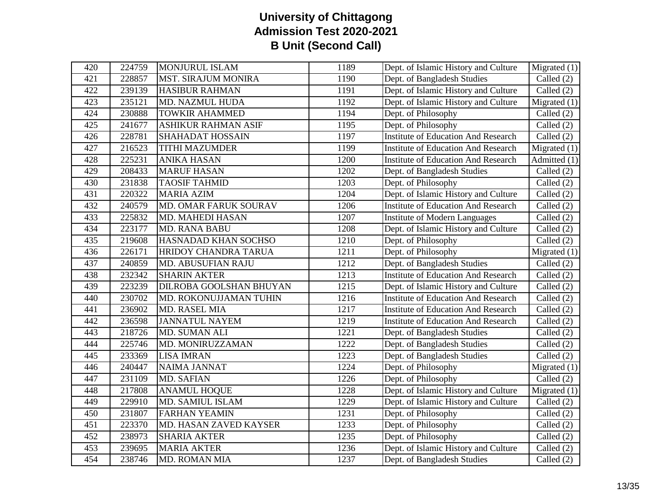| 420 | 224759 | <b>MONJURUL ISLAM</b>          | 1189 | Dept. of Islamic History and Culture       | Migrated $(1)$ |
|-----|--------|--------------------------------|------|--------------------------------------------|----------------|
| 421 | 228857 | <b>MST. SIRAJUM MONIRA</b>     | 1190 | Dept. of Bangladesh Studies                | Called $(2)$   |
| 422 | 239139 | <b>HASIBUR RAHMAN</b>          | 1191 | Dept. of Islamic History and Culture       | Called $(2)$   |
| 423 | 235121 | MD. NAZMUL HUDA                | 1192 | Dept. of Islamic History and Culture       | Migrated $(1)$ |
| 424 | 230888 | <b>TOWKIR AHAMMED</b>          | 1194 | Dept. of Philosophy                        | Called $(2)$   |
| 425 | 241677 | <b>ASHIKUR RAHMAN ASIF</b>     | 1195 | Dept. of Philosophy                        | Called (2)     |
| 426 | 228781 | SHAHADAT HOSSAIN               | 1197 | <b>Institute of Education And Research</b> | Called $(2)$   |
| 427 | 216523 | <b>TITHI MAZUMDER</b>          | 1199 | <b>Institute of Education And Research</b> | Migrated $(1)$ |
| 428 | 225231 | <b>ANIKA HASAN</b>             | 1200 | <b>Institute of Education And Research</b> | Admitted (1)   |
| 429 | 208433 | <b>MARUF HASAN</b>             | 1202 | Dept. of Bangladesh Studies                | Called $(2)$   |
| 430 | 231838 | <b>TAOSIF TAHMID</b>           | 1203 | Dept. of Philosophy                        | Called (2)     |
| 431 | 220322 | <b>MARIA AZIM</b>              | 1204 | Dept. of Islamic History and Culture       | Called (2)     |
| 432 | 240579 | MD. OMAR FARUK SOURAV          | 1206 | <b>Institute of Education And Research</b> | Called $(2)$   |
| 433 | 225832 | <b>MD. MAHEDI HASAN</b>        | 1207 | <b>Institute of Modern Languages</b>       | Called $(2)$   |
| 434 | 223177 | MD. RANA BABU                  | 1208 | Dept. of Islamic History and Culture       | Called (2)     |
| 435 | 219608 | HASNADAD KHAN SOCHSO           | 1210 | Dept. of Philosophy                        | Called $(2)$   |
| 436 | 226171 | HRIDOY CHANDRA TARUA           | 1211 | Dept. of Philosophy                        | Migrated $(1)$ |
| 437 | 240859 | MD. ABUSUFIAN RAJU             | 1212 | Dept. of Bangladesh Studies                | Called (2)     |
| 438 | 232342 | <b>SHARIN AKTER</b>            | 1213 | <b>Institute of Education And Research</b> | Called (2)     |
| 439 | 223239 | <b>DILROBA GOOLSHAN BHUYAN</b> | 1215 | Dept. of Islamic History and Culture       | Called (2)     |
| 440 | 230702 | MD. ROKONUJJAMAN TUHIN         | 1216 | <b>Institute of Education And Research</b> | Called (2)     |
| 441 | 236902 | <b>MD. RASEL MIA</b>           | 1217 | <b>Institute of Education And Research</b> | Called (2)     |
| 442 | 236598 | <b>JANNATUL NAYEM</b>          | 1219 | <b>Institute of Education And Research</b> | Called (2)     |
| 443 | 218726 | MD. SUMAN ALI                  | 1221 | Dept. of Bangladesh Studies                | Called (2)     |
| 444 | 225746 | MD. MONIRUZZAMAN               | 1222 | Dept. of Bangladesh Studies                | Called $(2)$   |
| 445 | 233369 | <b>LISA IMRAN</b>              | 1223 | Dept. of Bangladesh Studies                | Called (2)     |
| 446 | 240447 | <b>NAIMA JANNAT</b>            | 1224 | Dept. of Philosophy                        | Migrated $(1)$ |
| 447 | 231109 | <b>MD. SAFIAN</b>              | 1226 | Dept. of Philosophy                        | Called $(2)$   |
| 448 | 217808 | <b>ANAMUL HOQUE</b>            | 1228 | Dept. of Islamic History and Culture       | Migrated $(1)$ |
| 449 | 229910 | <b>MD. SAMIUL ISLAM</b>        | 1229 | Dept. of Islamic History and Culture       | Called $(2)$   |
| 450 | 231807 | <b>FARHAN YEAMIN</b>           | 1231 | Dept. of Philosophy                        | Called $(2)$   |
| 451 | 223370 | MD. HASAN ZAVED KAYSER         | 1233 | Dept. of Philosophy                        | Called $(2)$   |
| 452 | 238973 | <b>SHARIA AKTER</b>            | 1235 | Dept. of Philosophy                        | Called $(2)$   |
| 453 | 239695 | <b>MARIA AKTER</b>             | 1236 | Dept. of Islamic History and Culture       | Called (2)     |
| 454 | 238746 | MD. ROMAN MIA                  | 1237 | Dept. of Bangladesh Studies                | Called (2)     |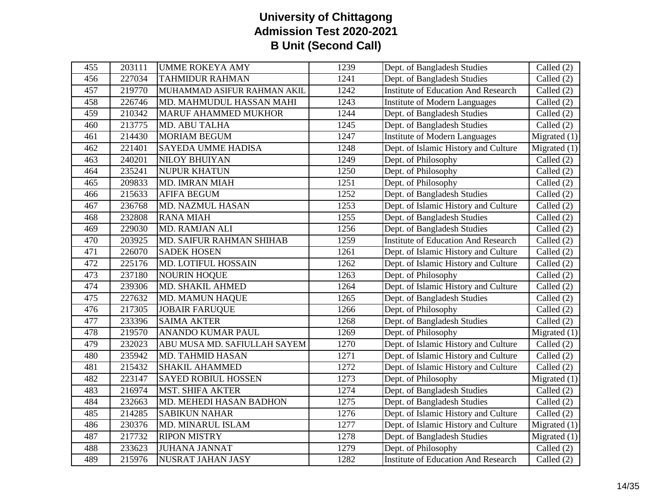| 455 | 203111 | <b>UMME ROKEYA AMY</b>       | 1239 | Dept. of Bangladesh Studies                | Called (2)                      |
|-----|--------|------------------------------|------|--------------------------------------------|---------------------------------|
| 456 | 227034 | <b>TAHMIDUR RAHMAN</b>       | 1241 | Dept. of Bangladesh Studies                | Called $(2)$                    |
| 457 | 219770 | MUHAMMAD ASIFUR RAHMAN AKIL  | 1242 | <b>Institute of Education And Research</b> | Called $(2)$                    |
| 458 | 226746 | MD. MAHMUDUL HASSAN MAHI     | 1243 | <b>Institute of Modern Languages</b>       | Called (2)                      |
| 459 | 210342 | <b>MARUF AHAMMED MUKHOR</b>  | 1244 | Dept. of Bangladesh Studies                | Called (2)                      |
| 460 | 213775 | MD. ABU TALHA                | 1245 | Dept. of Bangladesh Studies                | Called $(2)$                    |
| 461 | 214430 | <b>MORIAM BEGUM</b>          | 1247 | <b>Institute of Modern Languages</b>       | Migrated $(1)$                  |
| 462 | 221401 | <b>SAYEDA UMME HADISA</b>    | 1248 | Dept. of Islamic History and Culture       | Migrated $(1)$                  |
| 463 | 240201 | NILOY BHUIYAN                | 1249 | Dept. of Philosophy                        | Called (2)                      |
| 464 | 235241 | <b>NUPUR KHATUN</b>          | 1250 | Dept. of Philosophy                        | Called $(2)$                    |
| 465 | 209833 | <b>MD. IMRAN MIAH</b>        | 1251 | Dept. of Philosophy                        | Called (2)                      |
| 466 | 215633 | <b>AFIFA BEGUM</b>           | 1252 | Dept. of Bangladesh Studies                | Called $(2)$                    |
| 467 | 236768 | MD. NAZMUL HASAN             | 1253 | Dept. of Islamic History and Culture       | Called (2)                      |
| 468 | 232808 | <b>RANA MIAH</b>             | 1255 | Dept. of Bangladesh Studies                | Called $(2)$                    |
| 469 | 229030 | MD. RAMJAN ALI               | 1256 | Dept. of Bangladesh Studies                | Called (2)                      |
| 470 | 203925 | MD. SAIFUR RAHMAN SHIHAB     | 1259 | <b>Institute of Education And Research</b> | Called (2)                      |
| 471 | 226070 | <b>SADEK HOSEN</b>           | 1261 | Dept. of Islamic History and Culture       | Called (2)                      |
| 472 | 225176 | MD. LOTIFUL HOSSAIN          | 1262 | Dept. of Islamic History and Culture       | Called (2)                      |
| 473 | 237180 | <b>NOURIN HOQUE</b>          | 1263 | Dept. of Philosophy                        | Called (2)                      |
| 474 | 239306 | MD. SHAKIL AHMED             | 1264 | Dept. of Islamic History and Culture       | Called (2)                      |
| 475 | 227632 | MD. MAMUN HAQUE              | 1265 | Dept. of Bangladesh Studies                | Called (2)                      |
| 476 | 217305 | <b>JOBAIR FARUQUE</b>        | 1266 | Dept. of Philosophy                        | Called (2)                      |
| 477 | 233396 | <b>SAIMA AKTER</b>           | 1268 | Dept. of Bangladesh Studies                | Called (2)                      |
| 478 | 219570 | <b>ANANDO KUMAR PAUL</b>     | 1269 | Dept. of Philosophy                        | Migrated $(1)$                  |
| 479 | 232023 | ABU MUSA MD. SAFIULLAH SAYEM | 1270 | Dept. of Islamic History and Culture       | Called $(2)$                    |
| 480 | 235942 | <b>MD. TAHMID HASAN</b>      | 1271 | Dept. of Islamic History and Culture       | Called (2)                      |
| 481 | 215432 | <b>SHAKIL AHAMMED</b>        | 1272 | Dept. of Islamic History and Culture       | Called (2)                      |
| 482 | 223147 | <b>SAYED ROBIUL HOSSEN</b>   | 1273 | Dept. of Philosophy                        | Migrated $(1)$                  |
| 483 | 216974 | <b>MST. SHIFA AKTER</b>      | 1274 | Dept. of Bangladesh Studies                | Called $(2)$                    |
| 484 | 232663 | MD. MEHEDI HASAN BADHON      | 1275 | Dept. of Bangladesh Studies                | Called (2)                      |
| 485 | 214285 | <b>SABIKUN NAHAR</b>         | 1276 | Dept. of Islamic History and Culture       | Called (2)                      |
| 486 | 230376 | MD. MINARUL ISLAM            | 1277 | Dept. of Islamic History and Culture       | Migrated $(1)$                  |
| 487 | 217732 | <b>RIPON MISTRY</b>          | 1278 | Dept. of Bangladesh Studies                | $\overline{\text{Migrated}}(1)$ |
| 488 | 233623 | <b>JUHANA JANNAT</b>         | 1279 | Dept. of Philosophy                        | Called (2)                      |
| 489 | 215976 | NUSRAT JAHAN JASY            | 1282 | Institute of Education And Research        | Called (2)                      |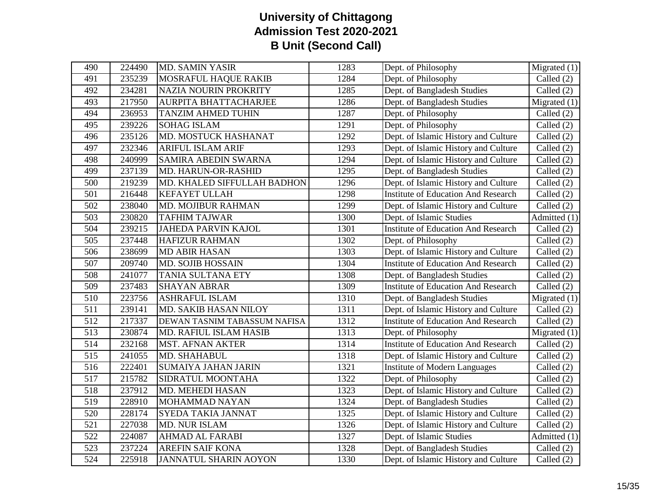| 490              | 224490 | <b>MD. SAMIN YASIR</b>        | 1283 | Dept. of Philosophy                        | Migrated $(1)$ |
|------------------|--------|-------------------------------|------|--------------------------------------------|----------------|
| 491              | 235239 | <b>MOSRAFUL HAQUE RAKIB</b>   | 1284 | Dept. of Philosophy                        | Called $(2)$   |
| 492              | 234281 | <b>NAZIA NOURIN PROKRITY</b>  | 1285 | Dept. of Bangladesh Studies                | Called (2)     |
| 493              | 217950 | AURPITA BHATTACHARJEE         | 1286 | Dept. of Bangladesh Studies                | Migrated $(1)$ |
| 494              | 236953 | <b>TANZIM AHMED TUHIN</b>     | 1287 | Dept. of Philosophy                        | Called $(2)$   |
| 495              | 239226 | <b>SOHAG ISLAM</b>            | 1291 | Dept. of Philosophy                        | Called (2)     |
| 496              | 235126 | MD. MOSTUCK HASHANAT          | 1292 | Dept. of Islamic History and Culture       | Called (2)     |
| 497              | 232346 | <b>ARIFUL ISLAM ARIF</b>      | 1293 | Dept. of Islamic History and Culture       | Called (2)     |
| 498              | 240999 | SAMIRA ABEDIN SWARNA          | 1294 | Dept. of Islamic History and Culture       | Called (2)     |
| 499              | 237139 | MD. HARUN-OR-RASHID           | 1295 | Dept. of Bangladesh Studies                | Called (2)     |
| 500              | 219239 | MD. KHALED SIFFULLAH BADHON   | 1296 | Dept. of Islamic History and Culture       | Called (2)     |
| 501              | 216448 | <b>KEFAYET ULLAH</b>          | 1298 | <b>Institute of Education And Research</b> | Called $(2)$   |
| 502              | 238040 | MD. MOJIBUR RAHMAN            | 1299 | Dept. of Islamic History and Culture       | Called (2)     |
| $\overline{503}$ | 230820 | <b>TAFHIM TAJWAR</b>          | 1300 | Dept. of Islamic Studies                   | Admitted (1)   |
| 504              | 239215 | <b>JAHEDA PARVIN KAJOL</b>    | 1301 | <b>Institute of Education And Research</b> | Called $(2)$   |
| $\overline{505}$ | 237448 | <b>HAFIZUR RAHMAN</b>         | 1302 | Dept. of Philosophy                        | Called (2)     |
| 506              | 238699 | <b>MD ABIR HASAN</b>          | 1303 | Dept. of Islamic History and Culture       | Called (2)     |
| 507              | 209740 | MD. SOJIB HOSSAIN             | 1304 | <b>Institute of Education And Research</b> | Called (2)     |
| 508              | 241077 | <b>TANIA SULTANA ETY</b>      | 1308 | Dept. of Bangladesh Studies                | Called (2)     |
| 509              | 237483 | <b>SHAYAN ABRAR</b>           | 1309 | <b>Institute of Education And Research</b> | Called (2)     |
| 510              | 223756 | <b>ASHRAFUL ISLAM</b>         | 1310 | Dept. of Bangladesh Studies                | Migrated $(1)$ |
| 511              | 239141 | MD. SAKIB HASAN NILOY         | 1311 | Dept. of Islamic History and Culture       | Called $(2)$   |
| 512              | 217337 | DEWAN TASNIM TABASSUM NAFISA  | 1312 | <b>Institute of Education And Research</b> | Called $(2)$   |
| 513              | 230874 | <b>MD. RAFIUL ISLAM HASIB</b> | 1313 | Dept. of Philosophy                        | Migrated $(1)$ |
| 514              | 232168 | <b>MST. AFNAN AKTER</b>       | 1314 | <b>Institute of Education And Research</b> | Called $(2)$   |
| 515              | 241055 | MD. SHAHABUL                  | 1318 | Dept. of Islamic History and Culture       | Called (2)     |
| 516              | 222401 | <b>SUMAIYA JAHAN JARIN</b>    | 1321 | <b>Institute of Modern Languages</b>       | Called (2)     |
| 517              | 215782 | SIDRATUL MOONTAHA             | 1322 | Dept. of Philosophy                        | Called (2)     |
| 518              | 237912 | MD. MEHEDI HASAN              | 1323 | Dept. of Islamic History and Culture       | Called (2)     |
| 519              | 228910 | MOHAMMAD NAYAN                | 1324 | Dept. of Bangladesh Studies                | Called (2)     |
| 520              | 228174 | SYEDA TAKIA JANNAT            | 1325 | Dept. of Islamic History and Culture       | Called (2)     |
| $\overline{521}$ | 227038 | MD. NUR ISLAM                 | 1326 | Dept. of Islamic History and Culture       | Called (2)     |
| 522              | 224087 | <b>AHMAD AL FARABI</b>        | 1327 | Dept. of Islamic Studies                   | Admitted (1)   |
| 523              | 237224 | <b>AREFIN SAIF KONA</b>       | 1328 | Dept. of Bangladesh Studies                | Called $(2)$   |
| 524              | 225918 | <b>JANNATUL SHARIN AOYON</b>  | 1330 | Dept. of Islamic History and Culture       | Called (2)     |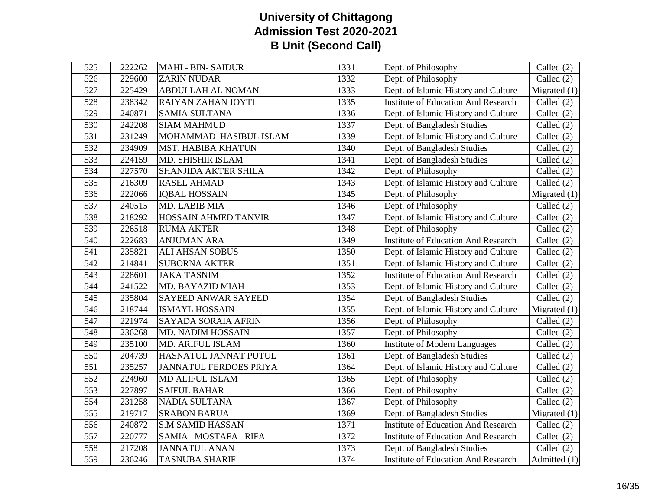| 525 | 222262 | <b>MAHI - BIN- SAIDUR</b>     | 1331 | Dept. of Philosophy                        | Called $(2)$                    |
|-----|--------|-------------------------------|------|--------------------------------------------|---------------------------------|
| 526 | 229600 | <b>ZARIN NUDAR</b>            | 1332 | Dept. of Philosophy                        | Called $(2)$                    |
| 527 | 225429 | <b>ABDULLAH AL NOMAN</b>      | 1333 | Dept. of Islamic History and Culture       | $\overline{\text{Migrated}}(1)$ |
| 528 | 238342 | RAIYAN ZAHAN JOYTI            | 1335 | <b>Institute of Education And Research</b> | Called $(2)$                    |
| 529 | 240871 | <b>SAMIA SULTANA</b>          | 1336 | Dept. of Islamic History and Culture       | Called $(2)$                    |
| 530 | 242208 | <b>SIAM MAHMUD</b>            | 1337 | Dept. of Bangladesh Studies                | Called (2)                      |
| 531 | 231249 | MOHAMMAD HASIBUL ISLAM        | 1339 | Dept. of Islamic History and Culture       | Called (2)                      |
| 532 | 234909 | <b>MST. HABIBA KHATUN</b>     | 1340 | Dept. of Bangladesh Studies                | Called $(2)$                    |
| 533 | 224159 | <b>MD. SHISHIR ISLAM</b>      | 1341 | Dept. of Bangladesh Studies                | Called $(2)$                    |
| 534 | 227570 | <b>SHANJIDA AKTER SHILA</b>   | 1342 | Dept. of Philosophy                        | Called $(2)$                    |
| 535 | 216309 | <b>RASEL AHMAD</b>            | 1343 | Dept. of Islamic History and Culture       | Called $(2)$                    |
| 536 | 222066 | <b>IQBAL HOSSAIN</b>          | 1345 | Dept. of Philosophy                        | Migrated $(1)$                  |
| 537 | 240515 | MD. LABIB MIA                 | 1346 | Dept. of Philosophy                        | Called $(2)$                    |
| 538 | 218292 | HOSSAIN AHMED TANVIR          | 1347 | Dept. of Islamic History and Culture       | Called $(2)$                    |
| 539 | 226518 | <b>RUMA AKTER</b>             | 1348 | Dept. of Philosophy                        | Called (2)                      |
| 540 | 222683 | <b>ANJUMAN ARA</b>            | 1349 | <b>Institute of Education And Research</b> | Called $(2)$                    |
| 541 | 235821 | <b>ALI AHSAN SOBUS</b>        | 1350 | Dept. of Islamic History and Culture       | Called $(2)$                    |
| 542 | 214841 | <b>SUBORNA AKTER</b>          | 1351 | Dept. of Islamic History and Culture       | Called $(2)$                    |
| 543 | 228601 | <b>JAKA TASNIM</b>            | 1352 | <b>Institute of Education And Research</b> | Called (2)                      |
| 544 | 241522 | MD. BAYAZID MIAH              | 1353 | Dept. of Islamic History and Culture       | Called $(2)$                    |
| 545 | 235804 | <b>SAYEED ANWAR SAYEED</b>    | 1354 | Dept. of Bangladesh Studies                | Called $(2)$                    |
| 546 | 218744 | <b>ISMAYL HOSSAIN</b>         | 1355 | Dept. of Islamic History and Culture       | Migrated $(1)$                  |
| 547 | 221974 | <b>SAYADA SORAIA AFRIN</b>    | 1356 | Dept. of Philosophy                        | Called $(2)$                    |
| 548 | 236268 | <b>MD. NADIM HOSSAIN</b>      | 1357 | Dept. of Philosophy                        | Called $(2)$                    |
| 549 | 235100 | MD. ARIFUL ISLAM              | 1360 | <b>Institute of Modern Languages</b>       | Called $(2)$                    |
| 550 | 204739 | HASNATUL JANNAT PUTUL         | 1361 | Dept. of Bangladesh Studies                | Called $(2)$                    |
| 551 | 235257 | <b>JANNATUL FERDOES PRIYA</b> | 1364 | Dept. of Islamic History and Culture       | Called $(2)$                    |
| 552 | 224960 | <b>MD ALIFUL ISLAM</b>        | 1365 | Dept. of Philosophy                        | Called $(2)$                    |
| 553 | 227897 | <b>SAIFUL BAHAR</b>           | 1366 | Dept. of Philosophy                        | Called $(2)$                    |
| 554 | 231258 | <b>NADIA SULTANA</b>          | 1367 | Dept. of Philosophy                        | Called $(2)$                    |
| 555 | 219717 | <b>SRABON BARUA</b>           | 1369 | Dept. of Bangladesh Studies                | Migrated $(1)$                  |
| 556 | 240872 | <b>S.M SAMID HASSAN</b>       | 1371 | <b>Institute of Education And Research</b> | Called $(2)$                    |
| 557 | 220777 | SAMIA MOSTAFA RIFA            | 1372 | <b>Institute of Education And Research</b> | Called $(2)$                    |
| 558 | 217208 | <b>JANNATUL ANAN</b>          | 1373 | Dept. of Bangladesh Studies                | Called $(2)$                    |
| 559 | 236246 | <b>TASNUBA SHARIF</b>         | 1374 | <b>Institute of Education And Research</b> | Admitted (1)                    |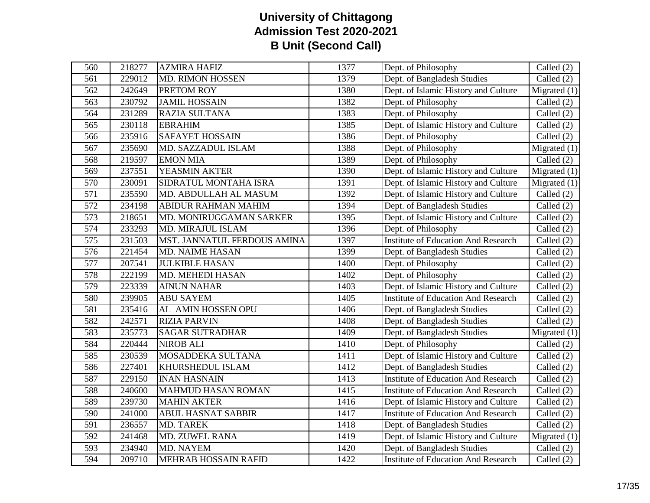| 560              | 218277 | <b>AZMIRA HAFIZ</b>         | 1377 | Dept. of Philosophy                        | Called (2)     |
|------------------|--------|-----------------------------|------|--------------------------------------------|----------------|
| 561              | 229012 | <b>MD. RIMON HOSSEN</b>     | 1379 | Dept. of Bangladesh Studies                | Called $(2)$   |
| 562              | 242649 | <b>PRETOM ROY</b>           | 1380 | Dept. of Islamic History and Culture       | Migrated $(1)$ |
| 563              | 230792 | <b>JAMIL HOSSAIN</b>        | 1382 | Dept. of Philosophy                        | Called (2)     |
| 564              | 231289 | RAZIA SULTANA               | 1383 | Dept. of Philosophy                        | Called $(2)$   |
| 565              | 230118 | <b>EBRAHIM</b>              | 1385 | Dept. of Islamic History and Culture       | Called $(2)$   |
| 566              | 235916 | <b>SAFAYET HOSSAIN</b>      | 1386 | Dept. of Philosophy                        | Called (2)     |
| 567              | 235690 | MD. SAZZADUL ISLAM          | 1388 | Dept. of Philosophy                        | Migrated $(1)$ |
| 568              | 219597 | <b>EMON MIA</b>             | 1389 | Dept. of Philosophy                        | Called $(2)$   |
| 569              | 237551 | YEASMIN AKTER               | 1390 | Dept. of Islamic History and Culture       | Migrated $(1)$ |
| 570              | 230091 | SIDRATUL MONTAHA ISRA       | 1391 | Dept. of Islamic History and Culture       | Migrated $(1)$ |
| $\overline{571}$ | 235590 | MD. ABDULLAH AL MASUM       | 1392 | Dept. of Islamic History and Culture       | Called $(2)$   |
| 572              | 234198 | <b>ABIDUR RAHMAN MAHIM</b>  | 1394 | Dept. of Bangladesh Studies                | Called (2)     |
| $\overline{573}$ | 218651 | MD. MONIRUGGAMAN SARKER     | 1395 | Dept. of Islamic History and Culture       | Called (2)     |
| 574              | 233293 | MD. MIRAJUL ISLAM           | 1396 | Dept. of Philosophy                        | Called (2)     |
| $\overline{575}$ | 231503 | MST. JANNATUL FERDOUS AMINA | 1397 | <b>Institute of Education And Research</b> | Called (2)     |
| 576              | 221454 | <b>MD. NAIME HASAN</b>      | 1399 | Dept. of Bangladesh Studies                | Called (2)     |
| 577              | 207541 | <b>JULKIBLE HASAN</b>       | 1400 | Dept. of Philosophy                        | Called (2)     |
| 578              | 222199 | MD. MEHEDI HASAN            | 1402 | Dept. of Philosophy                        | Called (2)     |
| 579              | 223339 | <b>AINUN NAHAR</b>          | 1403 | Dept. of Islamic History and Culture       | Called (2)     |
| 580              | 239905 | <b>ABU SAYEM</b>            | 1405 | <b>Institute of Education And Research</b> | Called (2)     |
| 581              | 235416 | AL AMIN HOSSEN OPU          | 1406 | Dept. of Bangladesh Studies                | Called (2)     |
| 582              | 242571 | <b>RIZIA PARVIN</b>         | 1408 | Dept. of Bangladesh Studies                | Called (2)     |
| 583              | 235773 | <b>SAGAR SUTRADHAR</b>      | 1409 | Dept. of Bangladesh Studies                | Migrated $(1)$ |
| 584              | 220444 | <b>NIROB ALI</b>            | 1410 | Dept. of Philosophy                        | Called $(2)$   |
| 585              | 230539 | MOSADDEKA SULTANA           | 1411 | Dept. of Islamic History and Culture       | Called (2)     |
| 586              | 227401 | KHURSHEDUL ISLAM            | 1412 | Dept. of Bangladesh Studies                | Called (2)     |
| 587              | 229150 | <b>INAN HASNAIN</b>         | 1413 | <b>Institute of Education And Research</b> | Called (2)     |
| 588              | 240600 | <b>MAHMUD HASAN ROMAN</b>   | 1415 | <b>Institute of Education And Research</b> | Called (2)     |
| 589              | 239730 | <b>MAHIN AKTER</b>          | 1416 | Dept. of Islamic History and Culture       | Called (2)     |
| 590              | 241000 | <b>ABUL HASNAT SABBIR</b>   | 1417 | <b>Institute of Education And Research</b> | Called (2)     |
| $\overline{591}$ | 236557 | <b>MD. TAREK</b>            | 1418 | Dept. of Bangladesh Studies                | Called (2)     |
| 592              | 241468 | MD. ZUWEL RANA              | 1419 | Dept. of Islamic History and Culture       | Migrated $(1)$ |
| 593              | 234940 | <b>MD. NAYEM</b>            | 1420 | Dept. of Bangladesh Studies                | Called $(2)$   |
| 594              | 209710 | <b>MEHRAB HOSSAIN RAFID</b> | 1422 | <b>Institute of Education And Research</b> | Called (2)     |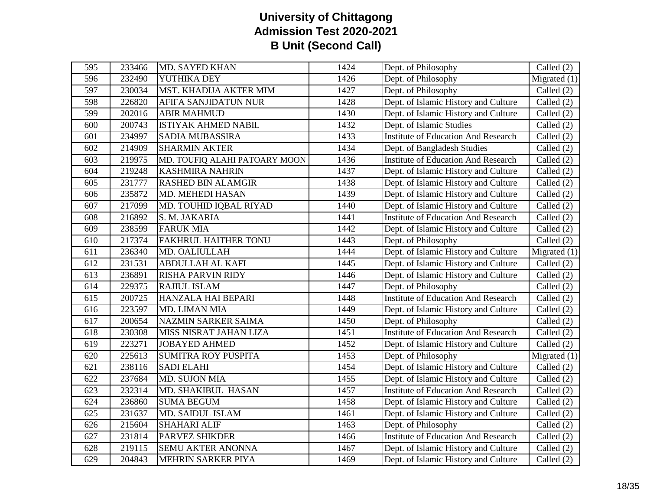| 595 | 233466 | <b>MD. SAYED KHAN</b>         | 1424 | Dept. of Philosophy                        | Called $(2)$                   |
|-----|--------|-------------------------------|------|--------------------------------------------|--------------------------------|
| 596 | 232490 | YUTHIKA DEY                   | 1426 | Dept. of Philosophy                        | Migrated $(1)$                 |
| 597 | 230034 | MST. KHADIJA AKTER MIM        | 1427 | Dept. of Philosophy                        | Called (2)                     |
| 598 | 226820 | AFIFA SANJIDATUN NUR          | 1428 | Dept. of Islamic History and Culture       | Called (2)                     |
| 599 | 202016 | <b>ABIR MAHMUD</b>            | 1430 | Dept. of Islamic History and Culture       | Called (2)                     |
| 600 | 200743 | <b>ISTIYAK AHMED NABIL</b>    | 1432 | Dept. of Islamic Studies                   | Called (2)                     |
| 601 | 234997 | <b>SADIA MUBASSIRA</b>        | 1433 | <b>Institute of Education And Research</b> | Called (2)                     |
| 602 | 214909 | <b>SHARMIN AKTER</b>          | 1434 | Dept. of Bangladesh Studies                | Called (2)                     |
| 603 | 219975 | MD. TOUFIQ ALAHI PATOARY MOON | 1436 | <b>Institute of Education And Research</b> | Called (2)                     |
| 604 | 219248 | <b>KASHMIRA NAHRIN</b>        | 1437 | Dept. of Islamic History and Culture       | Called $(2)$                   |
| 605 | 231777 | <b>RASHED BIN ALAMGIR</b>     | 1438 | Dept. of Islamic History and Culture       | Called (2)                     |
| 606 | 235872 | <b>MD. MEHEDI HASAN</b>       | 1439 | Dept. of Islamic History and Culture       | Called (2)                     |
| 607 | 217099 | MD. TOUHID IQBAL RIYAD        | 1440 | Dept. of Islamic History and Culture       | Called (2)                     |
| 608 | 216892 | S. M. JAKARIA                 | 1441 | <b>Institute of Education And Research</b> | Called $(2)$                   |
| 609 | 238599 | <b>FARUK MIA</b>              | 1442 | Dept. of Islamic History and Culture       | Called (2)                     |
| 610 | 217374 | FAKHRUL HAITHER TONU          | 1443 | Dept. of Philosophy                        | Called $(2)$                   |
| 611 | 236340 | MD. OALIULLAH                 | 1444 | Dept. of Islamic History and Culture       | Migrated $(1)$                 |
| 612 | 231531 | <b>ABDULLAH AL KAFI</b>       | 1445 | Dept. of Islamic History and Culture       | Called $(2)$                   |
| 613 | 236891 | <b>RISHA PARVIN RIDY</b>      | 1446 | Dept. of Islamic History and Culture       | Called $(2)$                   |
| 614 | 229375 | RAJIUL ISLAM                  | 1447 | Dept. of Philosophy                        | Called (2)                     |
| 615 | 200725 | HANZALA HAI BEPARI            | 1448 | <b>Institute of Education And Research</b> | Called (2)                     |
| 616 | 223597 | MD. LIMAN MIA                 | 1449 | Dept. of Islamic History and Culture       | Called (2)                     |
| 617 | 200654 | NAZMIN SARKER SAIMA           | 1450 | Dept. of Philosophy                        | Called $(2)$                   |
| 618 | 230308 | MISS NISRAT JAHAN LIZA        | 1451 | <b>Institute of Education And Research</b> | Called (2)                     |
| 619 | 223271 | <b>JOBAYED AHMED</b>          | 1452 | Dept. of Islamic History and Culture       | Called (2)                     |
| 620 | 225613 | <b>SUMITRA ROY PUSPITA</b>    | 1453 | Dept. of Philosophy                        | Migrated $(1)$                 |
| 621 | 238116 | <b>SADI ELAHI</b>             | 1454 | Dept. of Islamic History and Culture       | Called $(2)$                   |
| 622 | 237684 | MD. SUJON MIA                 | 1455 | Dept. of Islamic History and Culture       | Called (2)                     |
| 623 | 232314 | MD. SHAKIBUL HASAN            | 1457 | <b>Institute of Education And Research</b> | Called $(2)$                   |
| 624 | 236860 | <b>SUMA BEGUM</b>             | 1458 | Dept. of Islamic History and Culture       | Called (2)                     |
| 625 | 231637 | <b>MD. SAIDUL ISLAM</b>       | 1461 | Dept. of Islamic History and Culture       | Called (2)                     |
| 626 | 215604 | <b>SHAHARI ALIF</b>           | 1463 | Dept. of Philosophy                        | Called $(2)$                   |
| 627 | 231814 | <b>PARVEZ SHIKDER</b>         | 1466 | <b>Institute of Education And Research</b> | Called $(2)$                   |
| 628 | 219115 | <b>SEMU AKTER ANONNA</b>      | 1467 | Dept. of Islamic History and Culture       | $\overline{\text{Called}}$ (2) |
| 629 | 204843 | MEHRIN SARKER PIYA            | 1469 | Dept. of Islamic History and Culture       | Called (2)                     |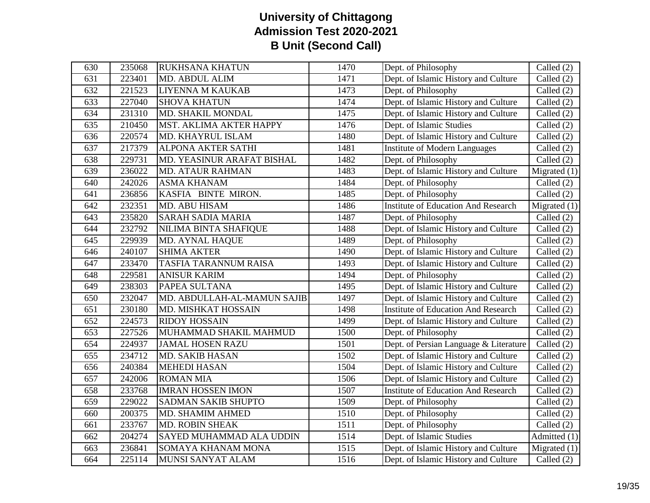| 630 | 235068 | <b>RUKHSANA KHATUN</b>      | 1470 | Dept. of Philosophy                        | Called (2)     |
|-----|--------|-----------------------------|------|--------------------------------------------|----------------|
| 631 | 223401 | MD. ABDUL ALIM              | 1471 | Dept. of Islamic History and Culture       | Called $(2)$   |
| 632 | 221523 | LIYENNA M KAUKAB            | 1473 | Dept. of Philosophy                        | Called $(2)$   |
| 633 | 227040 | <b>SHOVA KHATUN</b>         | 1474 | Dept. of Islamic History and Culture       | Called $(2)$   |
| 634 | 231310 | MD. SHAKIL MONDAL           | 1475 | Dept. of Islamic History and Culture       | Called $(2)$   |
| 635 | 210450 | MST. AKLIMA AKTER HAPPY     | 1476 | Dept. of Islamic Studies                   | Called $(2)$   |
| 636 | 220574 | MD. KHAYRUL ISLAM           | 1480 | Dept. of Islamic History and Culture       | Called $(2)$   |
| 637 | 217379 | ALPONA AKTER SATHI          | 1481 | <b>Institute of Modern Languages</b>       | Called $(2)$   |
| 638 | 229731 | MD. YEASINUR ARAFAT BISHAL  | 1482 | Dept. of Philosophy                        | Called $(2)$   |
| 639 | 236022 | <b>MD. ATAUR RAHMAN</b>     | 1483 | Dept. of Islamic History and Culture       | Migrated $(1)$ |
| 640 | 242026 | <b>ASMA KHANAM</b>          | 1484 | Dept. of Philosophy                        | Called $(2)$   |
| 641 | 236856 | KASFIA BINTE MIRON.         | 1485 | Dept. of Philosophy                        | Called $(2)$   |
| 642 | 232351 | MD. ABU HISAM               | 1486 | <b>Institute of Education And Research</b> | Migrated $(1)$ |
| 643 | 235820 | <b>SARAH SADIA MARIA</b>    | 1487 | Dept. of Philosophy                        | Called $(2)$   |
| 644 | 232792 | NILIMA BINTA SHAFIQUE       | 1488 | Dept. of Islamic History and Culture       | Called $(2)$   |
| 645 | 229939 | <b>MD. AYNAL HAQUE</b>      | 1489 | Dept. of Philosophy                        | Called $(2)$   |
| 646 | 240107 | <b>SHIMA AKTER</b>          | 1490 | Dept. of Islamic History and Culture       | Called $(2)$   |
| 647 | 233470 | TASFIA TARANNUM RAISA       | 1493 | Dept. of Islamic History and Culture       | Called $(2)$   |
| 648 | 229581 | <b>ANISUR KARIM</b>         | 1494 | Dept. of Philosophy                        | Called $(2)$   |
| 649 | 238303 | PAPEA SULTANA               | 1495 | Dept. of Islamic History and Culture       | Called $(2)$   |
| 650 | 232047 | MD. ABDULLAH-AL-MAMUN SAJIB | 1497 | Dept. of Islamic History and Culture       | Called (2)     |
| 651 | 230180 | MD. MISHKAT HOSSAIN         | 1498 | <b>Institute of Education And Research</b> | Called $(2)$   |
| 652 | 224573 | <b>RIDOY HOSSAIN</b>        | 1499 | Dept. of Islamic History and Culture       | Called $(2)$   |
| 653 | 227526 | MUHAMMAD SHAKIL MAHMUD      | 1500 | Dept. of Philosophy                        | Called $(2)$   |
| 654 | 224937 | <b>JAMAL HOSEN RAZU</b>     | 1501 | Dept. of Persian Language & Literature     | Called $(2)$   |
| 655 | 234712 | <b>MD. SAKIB HASAN</b>      | 1502 | Dept. of Islamic History and Culture       | Called $(2)$   |
| 656 | 240384 | <b>MEHEDI HASAN</b>         | 1504 | Dept. of Islamic History and Culture       | Called $(2)$   |
| 657 | 242006 | <b>ROMAN MIA</b>            | 1506 | Dept. of Islamic History and Culture       | Called (2)     |
| 658 | 233768 | <b>IMRAN HOSSEN IMON</b>    | 1507 | <b>Institute of Education And Research</b> | Called $(2)$   |
| 659 | 229022 | <b>SADMAN SAKIB SHUPTO</b>  | 1509 | Dept. of Philosophy                        | Called $(2)$   |
| 660 | 200375 | MD. SHAMIM AHMED            | 1510 | Dept. of Philosophy                        | Called (2)     |
| 661 | 233767 | MD. ROBIN SHEAK             | 1511 | Dept. of Philosophy                        | Called $(2)$   |
| 662 | 204274 | SAYED MUHAMMAD ALA UDDIN    | 1514 | Dept. of Islamic Studies                   | Admitted (1)   |
| 663 | 236841 | SOMAYA KHANAM MONA          | 1515 | Dept. of Islamic History and Culture       | Migrated $(1)$ |
| 664 | 225114 | MUNSI SANYAT ALAM           | 1516 | Dept. of Islamic History and Culture       | Called $(2)$   |
|     |        |                             |      |                                            |                |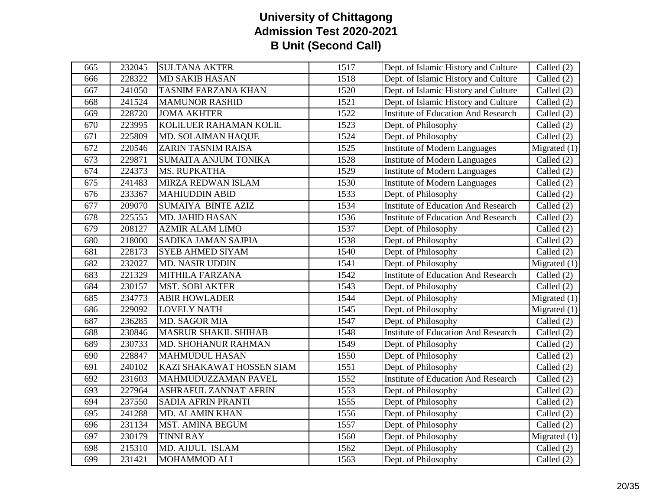| 665 | 232045 | <b>SULTANA AKTER</b>         | 1517 | Dept. of Islamic History and Culture       | Called (2)     |
|-----|--------|------------------------------|------|--------------------------------------------|----------------|
| 666 | 228322 | <b>MD SAKIB HASAN</b>        | 1518 | Dept. of Islamic History and Culture       | Called $(2)$   |
| 667 | 241050 | <b>TASNIM FARZANA KHAN</b>   | 1520 | Dept. of Islamic History and Culture       | Called $(2)$   |
| 668 | 241524 | <b>MAMUNOR RASHID</b>        | 1521 | Dept. of Islamic History and Culture       | Called $(2)$   |
| 669 | 228720 | <b>JOMA AKHTER</b>           | 1522 | <b>Institute of Education And Research</b> | Called $(2)$   |
| 670 | 223995 | KOLILUER RAHAMAN KOLIL       | 1523 | Dept. of Philosophy                        | Called $(2)$   |
| 671 | 225809 | MD. SOLAIMAN HAQUE           | 1524 | Dept. of Philosophy                        | Called $(2)$   |
| 672 | 220546 | ZARIN TASNIM RAISA           | 1525 | <b>Institute of Modern Languages</b>       | Migrated $(1)$ |
| 673 | 229871 | <b>SUMAITA ANJUM TONIKA</b>  | 1528 | <b>Institute of Modern Languages</b>       | Called $(2)$   |
| 674 | 224373 | <b>MS. RUPKATHA</b>          | 1529 | <b>Institute of Modern Languages</b>       | Called $(2)$   |
| 675 | 241483 | <b>MIRZA REDWAN ISLAM</b>    | 1530 | <b>Institute of Modern Languages</b>       | Called $(2)$   |
| 676 | 233367 | <b>MAHIUDDIN ABID</b>        | 1533 | Dept. of Philosophy                        | Called $(2)$   |
| 677 | 209070 | SUMAIYA BINTE AZIZ           | 1534 | <b>Institute of Education And Research</b> | Called $(2)$   |
| 678 | 225555 | <b>MD. JAHID HASAN</b>       | 1536 | <b>Institute of Education And Research</b> | Called $(2)$   |
| 679 | 208127 | <b>AZMIR ALAM LIMO</b>       | 1537 | Dept. of Philosophy                        | Called $(2)$   |
| 680 | 218000 | SADIKA JAMAN SAJPIA          | 1538 | Dept. of Philosophy                        | Called $(2)$   |
| 681 | 228173 | <b>SYEB AHMED SIYAM</b>      | 1540 | Dept. of Philosophy                        | Called $(2)$   |
| 682 | 232027 | <b>MD. NASIR UDDIN</b>       | 1541 | Dept. of Philosophy                        | Migrated $(1)$ |
| 683 | 221329 | <b>MITHILA FARZANA</b>       | 1542 | <b>Institute of Education And Research</b> | Called $(2)$   |
| 684 | 230157 | <b>MST. SOBI AKTER</b>       | 1543 | Dept. of Philosophy                        | Called $(2)$   |
| 685 | 234773 | <b>ABIR HOWLADER</b>         | 1544 | Dept. of Philosophy                        | Migrated $(1)$ |
| 686 | 229092 | <b>LOVELY NATH</b>           | 1545 | Dept. of Philosophy                        | Migrated $(1)$ |
| 687 | 236285 | MD. SAGOR MIA                | 1547 | Dept. of Philosophy                        | Called $(2)$   |
| 688 | 230846 | <b>MASRUR SHAKIL SHIHAB</b>  | 1548 | <b>Institute of Education And Research</b> | Called (2)     |
| 689 | 230733 | MD. SHOHANUR RAHMAN          | 1549 | Dept. of Philosophy                        | Called $(2)$   |
| 690 | 228847 | <b>MAHMUDUL HASAN</b>        | 1550 | Dept. of Philosophy                        | Called $(2)$   |
| 691 | 240102 | KAZI SHAKAWAT HOSSEN SIAM    | 1551 | Dept. of Philosophy                        | Called $(2)$   |
| 692 | 231603 | MAHMUDUZZAMAN PAVEL          | 1552 | <b>Institute of Education And Research</b> | Called (2)     |
| 693 | 227964 | <b>ASHRAFUL ZANNAT AFRIN</b> | 1553 | Dept. of Philosophy                        | Called $(2)$   |
| 694 | 237550 | <b>SADIA AFRIN PRANTI</b>    | 1555 | Dept. of Philosophy                        | Called (2)     |
| 695 | 241288 | MD. ALAMIN KHAN              | 1556 | Dept. of Philosophy                        | Called $(2)$   |
| 696 | 231134 | MST. AMINA BEGUM             | 1557 | Dept. of Philosophy                        | Called $(2)$   |
| 697 | 230179 | <b>TINNI RAY</b>             | 1560 | Dept. of Philosophy                        | Migrated $(1)$ |
| 698 | 215310 | MD. AJIJUL ISLAM             | 1562 | Dept. of Philosophy                        | Called $(2)$   |
| 699 | 231421 | <b>MOHAMMOD ALI</b>          | 1563 | Dept. of Philosophy                        | Called $(2)$   |
|     |        |                              |      |                                            |                |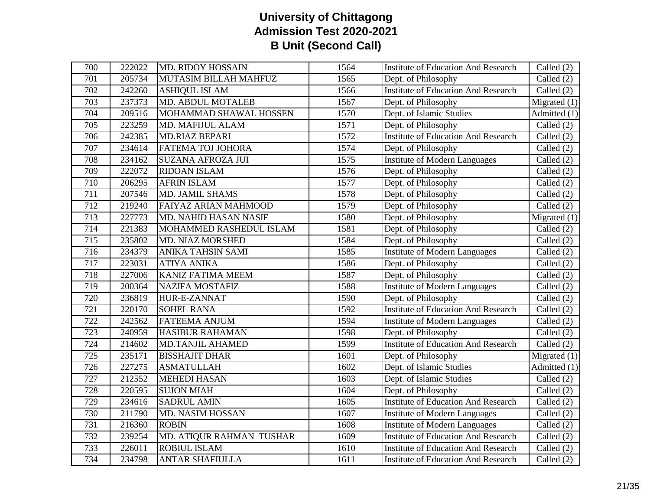| 700 | 222022 | <b>MD. RIDOY HOSSAIN</b> | 1564              | <b>Institute of Education And Research</b> | Called (2)     |
|-----|--------|--------------------------|-------------------|--------------------------------------------|----------------|
| 701 | 205734 | MUTASIM BILLAH MAHFUZ    | 1565              | Dept. of Philosophy                        | Called (2)     |
| 702 | 242260 | <b>ASHIQUL ISLAM</b>     | 1566              | <b>Institute of Education And Research</b> | Called $(2)$   |
| 703 | 237373 | <b>MD. ABDUL MOTALEB</b> | 1567              | Dept. of Philosophy                        | Migrated $(1)$ |
| 704 | 209516 | MOHAMMAD SHAWAL HOSSEN   | 1570              | Dept. of Islamic Studies                   | Admitted (1)   |
| 705 | 223259 | MD. MAFIJUL ALAM         | 1571              | Dept. of Philosophy                        | Called $(2)$   |
| 706 | 242385 | <b>MD.RIAZ BEPARI</b>    | $\overline{1572}$ | <b>Institute of Education And Research</b> | Called (2)     |
| 707 | 234614 | FATEMA TOJ JOHORA        | 1574              | Dept. of Philosophy                        | Called (2)     |
| 708 | 234162 | <b>SUZANA AFROZA JUI</b> | 1575              | <b>Institute of Modern Languages</b>       | Called (2)     |
| 709 | 222072 | <b>RIDOAN ISLAM</b>      | 1576              | Dept. of Philosophy                        | Called $(2)$   |
| 710 | 206295 | <b>AFRIN ISLAM</b>       | 1577              | Dept. of Philosophy                        | Called (2)     |
| 711 | 207546 | MD. JAMIL SHAMS          | 1578              | Dept. of Philosophy                        | Called $(2)$   |
| 712 | 219240 | FAIYAZ ARIAN MAHMOOD     | 1579              | Dept. of Philosophy                        | Called (2)     |
| 713 | 227773 | MD. NAHID HASAN NASIF    | 1580              | Dept. of Philosophy                        | Migrated $(1)$ |
| 714 | 221383 | MOHAMMED RASHEDUL ISLAM  | 1581              | Dept. of Philosophy                        | Called (2)     |
| 715 | 235802 | <b>MD. NIAZ MORSHED</b>  | 1584              | Dept. of Philosophy                        | Called $(2)$   |
| 716 | 234379 | ANIKA TAHSIN SAMI        | 1585              | <b>Institute of Modern Languages</b>       | Called (2)     |
| 717 | 223031 | <b>ATIYA ANIKA</b>       | 1586              | Dept. of Philosophy                        | Called (2)     |
| 718 | 227006 | <b>KANIZ FATIMA MEEM</b> | 1587              | Dept. of Philosophy                        | Called (2)     |
| 719 | 200364 | <b>NAZIFA MOSTAFIZ</b>   | 1588              | <b>Institute of Modern Languages</b>       | Called (2)     |
| 720 | 236819 | HUR-E-ZANNAT             | 1590              | Dept. of Philosophy                        | Called (2)     |
| 721 | 220170 | <b>SOHEL RANA</b>        | 1592              | <b>Institute of Education And Research</b> | Called (2)     |
| 722 | 242562 | <b>FATEEMA ANJUM</b>     | 1594              | <b>Institute of Modern Languages</b>       | Called $(2)$   |
| 723 | 240959 | <b>HASIBUR RAHAMAN</b>   | 1598              | Dept. of Philosophy                        | Called (2)     |
| 724 | 214602 | <b>MD.TANJIL AHAMED</b>  | 1599              | <b>Institute of Education And Research</b> | Called (2)     |
| 725 | 235171 | <b>BISSHAJIT DHAR</b>    | 1601              | Dept. of Philosophy                        | Migrated $(1)$ |
| 726 | 227275 | <b>ASMATULLAH</b>        | 1602              | Dept. of Islamic Studies                   | Admitted (1)   |
| 727 | 212552 | <b>MEHEDI HASAN</b>      | 1603              | Dept. of Islamic Studies                   | Called $(2)$   |
| 728 | 220595 | <b>SUJON MIAH</b>        | 1604              | Dept. of Philosophy                        | Called (2)     |
| 729 | 234616 | <b>SADRUL AMIN</b>       | 1605              | <b>Institute of Education And Research</b> | Called (2)     |
| 730 | 211790 | MD. NASIM HOSSAN         | 1607              | <b>Institute of Modern Languages</b>       | Called (2)     |
| 731 | 216360 | <b>ROBIN</b>             | 1608              | <b>Institute of Modern Languages</b>       | Called $(2)$   |
| 732 | 239254 | MD. ATIQUR RAHMAN TUSHAR | 1609              | <b>Institute of Education And Research</b> | Called $(2)$   |
| 733 | 226011 | <b>ROBIUL ISLAM</b>      | 1610              | <b>Institute of Education And Research</b> | Called (2)     |
| 734 | 234798 | <b>ANTAR SHAFIULLA</b>   | 1611              | <b>Institute of Education And Research</b> | Called $(2)$   |
|     |        |                          |                   |                                            |                |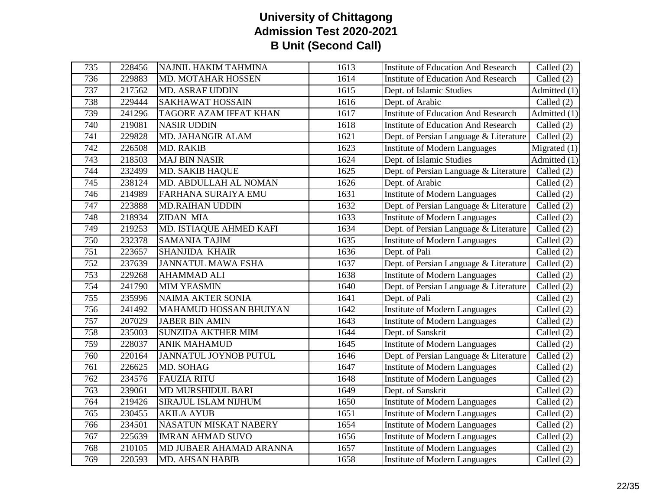| 735 | 228456 | NAJNIL HAKIM TAHMINA          | 1613 | <b>Institute of Education And Research</b> | Called (2)                      |
|-----|--------|-------------------------------|------|--------------------------------------------|---------------------------------|
| 736 | 229883 | MD. MOTAHAR HOSSEN            | 1614 | <b>Institute of Education And Research</b> | Called (2)                      |
| 737 | 217562 | <b>MD. ASRAF UDDIN</b>        | 1615 | Dept. of Islamic Studies                   | Admitted (1)                    |
| 738 | 229444 | <b>SAKHAWAT HOSSAIN</b>       | 1616 | Dept. of Arabic                            | Called (2)                      |
| 739 | 241296 | <b>TAGORE AZAM IFFAT KHAN</b> | 1617 | <b>Institute of Education And Research</b> | Admitted (1)                    |
| 740 | 219081 | <b>NASIR UDDIN</b>            | 1618 | <b>Institute of Education And Research</b> | Called $(2)$                    |
| 741 | 229828 | MD. JAHANGIR ALAM             | 1621 | Dept. of Persian Language & Literature     | Called (2)                      |
| 742 | 226508 | MD. RAKIB                     | 1623 | <b>Institute of Modern Languages</b>       | Migrated $(1)$                  |
| 743 | 218503 | <b>MAJ BIN NASIR</b>          | 1624 | Dept. of Islamic Studies                   | $\overline{\text{Admitted}}(1)$ |
| 744 | 232499 | <b>MD. SAKIB HAQUE</b>        | 1625 | Dept. of Persian Language & Literature     | Called (2)                      |
| 745 | 238124 | MD. ABDULLAH AL NOMAN         | 1626 | Dept. of Arabic                            | Called (2)                      |
| 746 | 214989 | <b>FARHANA SURAIYA EMU</b>    | 1631 | <b>Institute of Modern Languages</b>       | Called $(2)$                    |
| 747 | 223888 | <b>MD.RAIHAN UDDIN</b>        | 1632 | Dept. of Persian Language & Literature     | Called (2)                      |
| 748 | 218934 | <b>ZIDAN MIA</b>              | 1633 | <b>Institute of Modern Languages</b>       | Called (2)                      |
| 749 | 219253 | MD. ISTIAQUE AHMED KAFI       | 1634 | Dept. of Persian Language & Literature     | Called (2)                      |
| 750 | 232378 | <b>SAMANJA TAJIM</b>          | 1635 | <b>Institute of Modern Languages</b>       | Called $(2)$                    |
| 751 | 223657 | <b>SHANJIDA KHAIR</b>         | 1636 | Dept. of Pali                              | Called (2)                      |
| 752 | 237639 | <b>JANNATUL MAWA ESHA</b>     | 1637 | Dept. of Persian Language & Literature     | Called $(2)$                    |
| 753 | 229268 | <b>AHAMMAD ALI</b>            | 1638 | <b>Institute of Modern Languages</b>       | Called (2)                      |
| 754 | 241790 | <b>MIM YEASMIN</b>            | 1640 | Dept. of Persian Language & Literature     | Called $(2)$                    |
| 755 | 235996 | <b>NAIMA AKTER SONIA</b>      | 1641 | Dept. of Pali                              | Called (2)                      |
| 756 | 241492 | <b>MAHAMUD HOSSAN BHUIYAN</b> | 1642 | <b>Institute of Modern Languages</b>       | Called (2)                      |
| 757 | 207029 | <b>JABER BIN AMIN</b>         | 1643 | <b>Institute of Modern Languages</b>       | Called (2)                      |
| 758 | 235003 | <b>SUNZIDA AKTHER MIM</b>     | 1644 | Dept. of Sanskrit                          | Called (2)                      |
| 759 | 228037 | <b>ANIK MAHAMUD</b>           | 1645 | <b>Institute of Modern Languages</b>       | Called (2)                      |
| 760 | 220164 | <b>JANNATUL JOYNOB PUTUL</b>  | 1646 | Dept. of Persian Language & Literature     | Called (2)                      |
| 761 | 226625 | MD. SOHAG                     | 1647 | <b>Institute of Modern Languages</b>       | Called (2)                      |
| 762 | 234576 | <b>FAUZIA RITU</b>            | 1648 | <b>Institute of Modern Languages</b>       | Called (2)                      |
| 763 | 239061 | <b>MD MURSHIDUL BARI</b>      | 1649 | Dept. of Sanskrit                          | Called (2)                      |
| 764 | 219426 | SIRAJUL ISLAM NIJHUM          | 1650 | <b>Institute of Modern Languages</b>       | Called (2)                      |
| 765 | 230455 | <b>AKILA AYUB</b>             | 1651 | <b>Institute of Modern Languages</b>       | Called (2)                      |
| 766 | 234501 | <b>NASATUN MISKAT NABERY</b>  | 1654 | <b>Institute of Modern Languages</b>       | Called (2)                      |
| 767 | 225639 | <b>IMRAN AHMAD SUVO</b>       | 1656 | <b>Institute of Modern Languages</b>       | Called $(2)$                    |
| 768 | 210105 | MD JUBAER AHAMAD ARANNA       | 1657 | <b>Institute of Modern Languages</b>       | $\overline{\text{Called}}$ (2)  |
| 769 | 220593 | <b>MD. AHSAN HABIB</b>        | 1658 | <b>Institute of Modern Languages</b>       | Called (2)                      |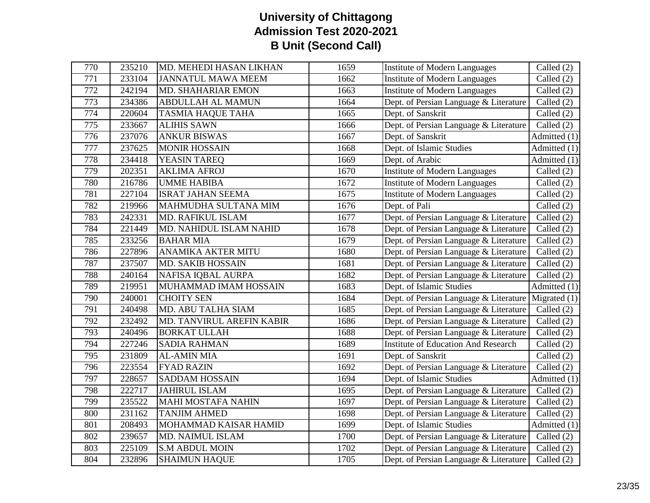| 770 | 235210              | MD. MEHEDI HASAN LIKHAN   | 1659 | <b>Institute of Modern Languages</b>       | Called (2)                      |
|-----|---------------------|---------------------------|------|--------------------------------------------|---------------------------------|
| 771 | 233104              | <b>JANNATUL MAWA MEEM</b> | 1662 | <b>Institute of Modern Languages</b>       | Called (2)                      |
| 772 | 242194              | MD. SHAHARIAR EMON        | 1663 | <b>Institute of Modern Languages</b>       | Called $(2)$                    |
| 773 | 234386              | <b>ABDULLAH AL MAMUN</b>  | 1664 | Dept. of Persian Language & Literature     | Called (2)                      |
| 774 | 220604              | <b>TASMIA HAQUE TAHA</b>  | 1665 | Dept. of Sanskrit                          | Called (2)                      |
| 775 | 233667              | <b>ALIHIS SAWN</b>        | 1666 | Dept. of Persian Language & Literature     | Called (2)                      |
| 776 | 237076              | <b>ANKUR BISWAS</b>       | 1667 | Dept. of Sanskrit                          | Admitted (1)                    |
| 777 | 237625              | <b>MONIR HOSSAIN</b>      | 1668 | Dept. of Islamic Studies                   | Admitted (1)                    |
| 778 | 234418              | YEASIN TAREQ              | 1669 | Dept. of Arabic                            | Admitted (1)                    |
| 779 | 202351              | <b>AKLIMA AFROJ</b>       | 1670 | <b>Institute of Modern Languages</b>       | Called (2)                      |
| 780 | 216786              | <b>UMME HABIBA</b>        | 1672 | <b>Institute of Modern Languages</b>       | Called $(2)$                    |
| 781 | $\overline{227104}$ | <b>ISRAT JAHAN SEEMA</b>  | 1675 | <b>Institute of Modern Languages</b>       | Called $(2)$                    |
| 782 | 219966              | MAHMUDHA SULTANA MIM      | 1676 | Dept. of Pali                              | Called (2)                      |
| 783 | 242331              | <b>MD. RAFIKUL ISLAM</b>  | 1677 | Dept. of Persian Language & Literature     | Called $(2)$                    |
| 784 | 221449              | MD. NAHIDUL ISLAM NAHID   | 1678 | Dept. of Persian Language & Literature     | Called (2)                      |
| 785 | 233256              | <b>BAHAR MIA</b>          | 1679 | Dept. of Persian Language & Literature     | Called (2)                      |
| 786 | 227896              | <b>ANAMIKA AKTER MITU</b> | 1680 | Dept. of Persian Language & Literature     | Called (2)                      |
| 787 | 237507              | <b>MD. SAKIB HOSSAIN</b>  | 1681 | Dept. of Persian Language & Literature     | Called (2)                      |
| 788 | 240164              | NAFISA IQBAL AURPA        | 1682 | Dept. of Persian Language & Literature     | Called (2)                      |
| 789 | 219951              | MUHAMMAD IMAM HOSSAIN     | 1683 | Dept. of Islamic Studies                   | $\overline{\text{Admitted}}(1)$ |
| 790 | 240001              | <b>CHOITY SEN</b>         | 1684 | Dept. of Persian Language & Literature     | Migrated $(1)$                  |
| 791 | 240498              | MD. ABU TALHA SIAM        | 1685 | Dept. of Persian Language & Literature     | Called (2)                      |
| 792 | 232492              | MD. TANVIRUL AREFIN KABIR | 1686 | Dept. of Persian Language & Literature     | Called $(2)$                    |
| 793 | 240496              | <b>BORKAT ULLAH</b>       | 1688 | Dept. of Persian Language & Literature     | Called (2)                      |
| 794 | 227246              | <b>SADIA RAHMAN</b>       | 1689 | <b>Institute of Education And Research</b> | Called (2)                      |
| 795 | 231809              | <b>AL-AMIN MIA</b>        | 1691 | Dept. of Sanskrit                          | Called (2)                      |
| 796 | 223554              | <b>FYAD RAZIN</b>         | 1692 | Dept. of Persian Language & Literature     | Called (2)                      |
| 797 | 228657              | <b>SADDAM HOSSAIN</b>     | 1694 | Dept. of Islamic Studies                   | Admitted $(1)$                  |
| 798 | 222717              | <b>JAHIRUL ISLAM</b>      | 1695 | Dept. of Persian Language & Literature     | Called $(2)$                    |
| 799 | 235522              | <b>MAHI MOSTAFA NAHIN</b> | 1697 | Dept. of Persian Language & Literature     | Called (2)                      |
| 800 | 231162              | <b>TANJIM AHMED</b>       | 1698 | Dept. of Persian Language & Literature     | Called (2)                      |
| 801 | 208493              | MOHAMMAD KAISAR HAMID     | 1699 | Dept. of Islamic Studies                   | $\overline{\text{Admitted}}(1)$ |
| 802 | 239657              | MD. NAIMUL ISLAM          | 1700 | Dept. of Persian Language & Literature     | Called $(2)$                    |
| 803 | 225109              | <b>S.M ABDUL MOIN</b>     | 1702 | Dept. of Persian Language & Literature     | Called $(2)$                    |
| 804 | 232896              | <b>SHAIMUN HAQUE</b>      | 1705 | Dept. of Persian Language & Literature     | Called (2)                      |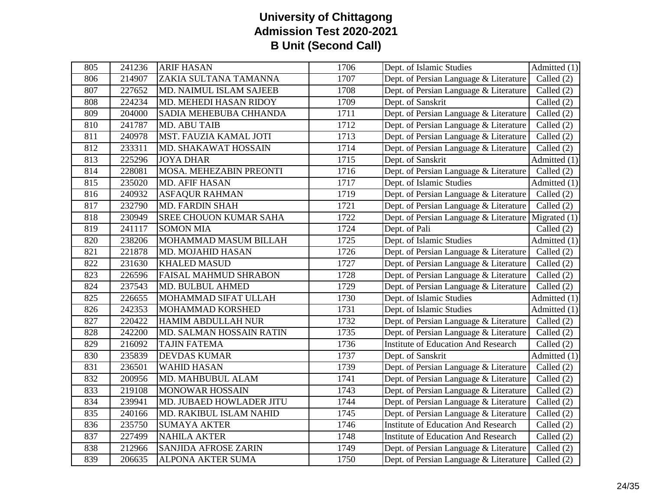| 805 | 241236 | <b>ARIF HASAN</b>             | 1706 | Dept. of Islamic Studies                   | $\overline{\text{Admitted}}(1)$ |
|-----|--------|-------------------------------|------|--------------------------------------------|---------------------------------|
| 806 | 214907 | ZAKIA SULTANA TAMANNA         | 1707 | Dept. of Persian Language & Literature     | Called $(2)$                    |
| 807 | 227652 | MD. NAIMUL ISLAM SAJEEB       | 1708 | Dept. of Persian Language & Literature     | Called (2)                      |
| 808 | 224234 | MD. MEHEDI HASAN RIDOY        | 1709 | Dept. of Sanskrit                          | Called $(2)$                    |
| 809 | 204000 | SADIA MEHEBUBA CHHANDA        | 1711 | Dept. of Persian Language & Literature     | Called $(2)$                    |
| 810 | 241787 | MD. ABU TAIB                  | 1712 | Dept. of Persian Language & Literature     | Called (2)                      |
| 811 | 240978 | MST. FAUZIA KAMAL JOTI        | 1713 | Dept. of Persian Language & Literature     | Called (2)                      |
| 812 | 233311 | MD. SHAKAWAT HOSSAIN          | 1714 | Dept. of Persian Language & Literature     | Called (2)                      |
| 813 | 225296 | <b>JOYA DHAR</b>              | 1715 | Dept. of Sanskrit                          | Admitted (1)                    |
| 814 | 228081 | MOSA. MEHEZABIN PREONTI       | 1716 | Dept. of Persian Language & Literature     | Called $(2)$                    |
| 815 | 235020 | <b>MD. AFIF HASAN</b>         | 1717 | Dept. of Islamic Studies                   | $\overline{\text{Admitted}}(1)$ |
| 816 | 240932 | <b>ASFAQUR RAHMAN</b>         | 1719 | Dept. of Persian Language & Literature     | Called (2)                      |
| 817 | 232790 | <b>MD. FARDIN SHAH</b>        | 1721 | Dept. of Persian Language & Literature     | Called (2)                      |
| 818 | 230949 | <b>SREE CHOUON KUMAR SAHA</b> | 1722 | Dept. of Persian Language & Literature     | Migrated $(1)$                  |
| 819 | 241117 | <b>SOMON MIA</b>              | 1724 | Dept. of Pali                              | Called $(2)$                    |
| 820 | 238206 | MOHAMMAD MASUM BILLAH         | 1725 | Dept. of Islamic Studies                   | $\overline{\text{Admitted}}(1)$ |
| 821 | 221878 | MD. MOJAHID HASAN             | 1726 | Dept. of Persian Language & Literature     | Called $(2)$                    |
| 822 | 231630 | <b>KHALED MASUD</b>           | 1727 | Dept. of Persian Language & Literature     | Called (2)                      |
| 823 | 226596 | <b>FAISAL MAHMUD SHRABON</b>  | 1728 | Dept. of Persian Language & Literature     | Called (2)                      |
| 824 | 237543 | MD. BULBUL AHMED              | 1729 | Dept. of Persian Language & Literature     | Called (2)                      |
| 825 | 226655 | MOHAMMAD SIFAT ULLAH          | 1730 | Dept. of Islamic Studies                   | Admitted (1)                    |
| 826 | 242353 | MOHAMMAD KORSHED              | 1731 | Dept. of Islamic Studies                   | Admitted (1)                    |
| 827 | 220422 | HAMIM ABDULLAH NUR            | 1732 | Dept. of Persian Language & Literature     | Called $(2)$                    |
| 828 | 242200 | MD. SALMAN HOSSAIN RATIN      | 1735 | Dept. of Persian Language & Literature     | Called (2)                      |
| 829 | 216092 | <b>TAJIN FATEMA</b>           | 1736 | <b>Institute of Education And Research</b> | Called $(2)$                    |
| 830 | 235839 | <b>DEVDAS KUMAR</b>           | 1737 | Dept. of Sanskrit                          | Admitted (1)                    |
| 831 | 236501 | <b>WAHID HASAN</b>            | 1739 | Dept. of Persian Language & Literature     | Called (2)                      |
| 832 | 200956 | MD. MAHBUBUL ALAM             | 1741 | Dept. of Persian Language & Literature     | Called (2)                      |
| 833 | 219108 | <b>MONOWAR HOSSAIN</b>        | 1743 | Dept. of Persian Language & Literature     | Called (2)                      |
| 834 | 239941 | MD. JUBAED HOWLADER JITU      | 1744 | Dept. of Persian Language & Literature     | Called (2)                      |
| 835 | 240166 | MD. RAKIBUL ISLAM NAHID       | 1745 | Dept. of Persian Language & Literature     | Called $(2)$                    |
| 836 | 235750 | <b>SUMAYA AKTER</b>           | 1746 | <b>Institute of Education And Research</b> | Called (2)                      |
| 837 | 227499 | <b>NAHILA AKTER</b>           | 1748 | <b>Institute of Education And Research</b> | Called $(2)$                    |
| 838 | 212966 | <b>SANJIDA AFROSE ZARIN</b>   | 1749 | Dept. of Persian Language & Literature     | Called $(2)$                    |
| 839 | 206635 | <b>ALPONA AKTER SUMA</b>      | 1750 | Dept. of Persian Language & Literature     | Called (2)                      |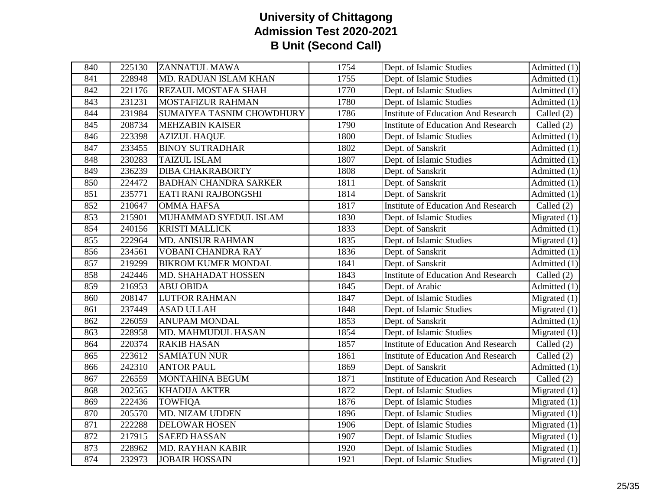| 840 | 225130 | <b>ZANNATUL MAWA</b>             | 1754 | Dept. of Islamic Studies                   | Admitted $(1)$                  |
|-----|--------|----------------------------------|------|--------------------------------------------|---------------------------------|
| 841 | 228948 | MD. RADUAN ISLAM KHAN            | 1755 | Dept. of Islamic Studies                   | Admitted (1)                    |
| 842 | 221176 | REZAUL MOSTAFA SHAH              | 1770 | Dept. of Islamic Studies                   | Admitted $(1)$                  |
| 843 | 231231 | <b>MOSTAFIZUR RAHMAN</b>         | 1780 | Dept. of Islamic Studies                   | Admitted (1)                    |
| 844 | 231984 | <b>SUMAIYEA TASNIM CHOWDHURY</b> | 1786 | <b>Institute of Education And Research</b> | Called $(2)$                    |
| 845 | 208734 | <b>MEHZABIN KAISER</b>           | 1790 | <b>Institute of Education And Research</b> | Called $(2)$                    |
| 846 | 223398 | <b>AZIZUL HAQUE</b>              | 1800 | Dept. of Islamic Studies                   | Admitted (1)                    |
| 847 | 233455 | <b>BINOY SUTRADHAR</b>           | 1802 | Dept. of Sanskrit                          | $\overline{\text{Admitted}}(1)$ |
| 848 | 230283 | <b>TAIZUL ISLAM</b>              | 1807 | Dept. of Islamic Studies                   | Admitted (1)                    |
| 849 | 236239 | <b>DIBA CHAKRABORTY</b>          | 1808 | Dept. of Sanskrit                          | Admitted (1)                    |
| 850 | 224472 | <b>BADHAN CHANDRA SARKER</b>     | 1811 | Dept. of Sanskrit                          | Admitted (1)                    |
| 851 | 235771 | EATI RANI RAJBONGSHI             | 1814 | Dept. of Sanskrit                          | $\overline{\text{Admitted}}(1)$ |
| 852 | 210647 | <b>OMMA HAFSA</b>                | 1817 | <b>Institute of Education And Research</b> | Called $(2)$                    |
| 853 | 215901 | MUHAMMAD SYEDUL ISLAM            | 1830 | Dept. of Islamic Studies                   | Migrated $(1)$                  |
| 854 | 240156 | <b>KRISTI MALLICK</b>            | 1833 | Dept. of Sanskrit                          | Admitted (1)                    |
| 855 | 222964 | <b>MD. ANISUR RAHMAN</b>         | 1835 | Dept. of Islamic Studies                   | $\overline{\text{Migrated}}(1)$ |
| 856 | 234561 | VOBANI CHANDRA RAY               | 1836 | Dept. of Sanskrit                          | Admitted (1)                    |
| 857 | 219299 | <b>BIKROM KUMER MONDAL</b>       | 1841 | Dept. of Sanskrit                          | Admitted $(1)$                  |
| 858 | 242446 | MD. SHAHADAT HOSSEN              | 1843 | <b>Institute of Education And Research</b> | Called $(2)$                    |
| 859 | 216953 | <b>ABU OBIDA</b>                 | 1845 | Dept. of Arabic                            | Admitted (1)                    |
| 860 | 208147 | <b>LUTFOR RAHMAN</b>             | 1847 | Dept. of Islamic Studies                   | Migrated $(1)$                  |
| 861 | 237449 | <b>ASAD ULLAH</b>                | 1848 | Dept. of Islamic Studies                   | Migrated $(1)$                  |
| 862 | 226059 | <b>ANUPAM MONDAL</b>             | 1853 | Dept. of Sanskrit                          | $\overline{\text{Admitted}}(1)$ |
| 863 | 228958 | MD. MAHMUDUL HASAN               | 1854 | Dept. of Islamic Studies                   | $\overline{\text{Migrated}}(1)$ |
| 864 | 220374 | <b>RAKIB HASAN</b>               | 1857 | <b>Institute of Education And Research</b> | Called $(2)$                    |
| 865 | 223612 | <b>SAMIATUN NUR</b>              | 1861 | <b>Institute of Education And Research</b> | Called (2)                      |
| 866 | 242310 | <b>ANTOR PAUL</b>                | 1869 | Dept. of Sanskrit                          | Admitted (1)                    |
| 867 | 226559 | MONTAHINA BEGUM                  | 1871 | <b>Institute of Education And Research</b> | Called $(2)$                    |
| 868 | 202565 | <b>KHADIJA AKTER</b>             | 1872 | Dept. of Islamic Studies                   | Migrated $(1)$                  |
| 869 | 222436 | <b>TOWFIQA</b>                   | 1876 | Dept. of Islamic Studies                   | Migrated $(1)$                  |
| 870 | 205570 | <b>MD. NIZAM UDDEN</b>           | 1896 | Dept. of Islamic Studies                   | Migrated $(1)$                  |
| 871 | 222288 | <b>DELOWAR HOSEN</b>             | 1906 | Dept. of Islamic Studies                   | Migrated $(1)$                  |
| 872 | 217915 | <b>SAEED HASSAN</b>              | 1907 | Dept. of Islamic Studies                   | Migrated $(1)$                  |
| 873 | 228962 | <b>MD. RAYHAN KABIR</b>          | 1920 | Dept. of Islamic Studies                   | Migrated $(1)$                  |
| 874 | 232973 | <b>JOBAIR HOSSAIN</b>            | 1921 | Dept. of Islamic Studies                   | Migrated $(1)$                  |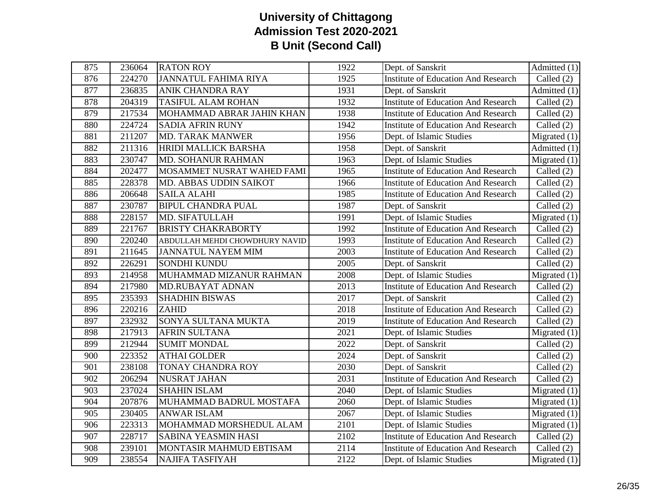| 875 | 236064 | <b>RATON ROY</b>               | 1922 | Dept. of Sanskrit                          | Admitted $(1)$                  |
|-----|--------|--------------------------------|------|--------------------------------------------|---------------------------------|
| 876 | 224270 | <b>JANNATUL FAHIMA RIYA</b>    | 1925 | <b>Institute of Education And Research</b> | Called $(2)$                    |
| 877 | 236835 | ANIK CHANDRA RAY               | 1931 | Dept. of Sanskrit                          | $\overline{\text{Admitted}}(1)$ |
| 878 | 204319 | <b>TASIFUL ALAM ROHAN</b>      | 1932 | <b>Institute of Education And Research</b> | Called $(2)$                    |
| 879 | 217534 | MOHAMMAD ABRAR JAHIN KHAN      | 1938 | <b>Institute of Education And Research</b> | Called $(2)$                    |
| 880 | 224724 | <b>SADIA AFRIN RUNY</b>        | 1942 | <b>Institute of Education And Research</b> | Called (2)                      |
| 881 | 211207 | <b>MD. TARAK MANWER</b>        | 1956 | Dept. of Islamic Studies                   | Migrated $(1)$                  |
| 882 | 211316 | HRIDI MALLICK BARSHA           | 1958 | Dept. of Sanskrit                          | Admitted (1)                    |
| 883 | 230747 | MD. SOHANUR RAHMAN             | 1963 | Dept. of Islamic Studies                   | Migrated $(1)$                  |
| 884 | 202477 | MOSAMMET NUSRAT WAHED FAMI     | 1965 | <b>Institute of Education And Research</b> | Called $(2)$                    |
| 885 | 228378 | MD. ABBAS UDDIN SAIKOT         | 1966 | <b>Institute of Education And Research</b> | Called (2)                      |
| 886 | 206648 | <b>SAILA ALAHI</b>             | 1985 | <b>Institute of Education And Research</b> | Called $(2)$                    |
| 887 | 230787 | <b>BIPUL CHANDRA PUAL</b>      | 1987 | Dept. of Sanskrit                          | Called (2)                      |
| 888 | 228157 | MD. SIFATULLAH                 | 1991 | Dept. of Islamic Studies                   | Migrated $(1)$                  |
| 889 | 221767 | <b>BRISTY CHAKRABORTY</b>      | 1992 | <b>Institute of Education And Research</b> | Called $(2)$                    |
| 890 | 220240 | ABDULLAH MEHDI CHOWDHURY NAVID | 1993 | <b>Institute of Education And Research</b> | Called (2)                      |
| 891 | 211645 | <b>JANNATUL NAYEM MIM</b>      | 2003 | <b>Institute of Education And Research</b> | Called $(2)$                    |
| 892 | 226291 | SONDHI KUNDU                   | 2005 | Dept. of Sanskrit                          | Called $(2)$                    |
| 893 | 214958 | MUHAMMAD MIZANUR RAHMAN        | 2008 | Dept. of Islamic Studies                   | Migrated $(1)$                  |
| 894 | 217980 | MD.RUBAYAT ADNAN               | 2013 | <b>Institute of Education And Research</b> | Called $(2)$                    |
| 895 | 235393 | <b>SHADHIN BISWAS</b>          | 2017 | Dept. of Sanskrit                          | Called $(2)$                    |
| 896 | 220216 | <b>ZAHID</b>                   | 2018 | <b>Institute of Education And Research</b> | Called (2)                      |
| 897 | 232932 | SONYA SULTANA MUKTA            | 2019 | <b>Institute of Education And Research</b> | Called (2)                      |
| 898 | 217913 | <b>AFRIN SULTANA</b>           | 2021 | Dept. of Islamic Studies                   | Migrated $(1)$                  |
| 899 | 212944 | <b>SUMIT MONDAL</b>            | 2022 | Dept. of Sanskrit                          | Called $(2)$                    |
| 900 | 223352 | <b>ATHAI GOLDER</b>            | 2024 | Dept. of Sanskrit                          | Called $(2)$                    |
| 901 | 238108 | <b>TONAY CHANDRA ROY</b>       | 2030 | Dept. of Sanskrit                          | Called $(2)$                    |
| 902 | 206294 | <b>NUSRAT JAHAN</b>            | 2031 | <b>Institute of Education And Research</b> | Called $(2)$                    |
| 903 | 237024 | <b>SHAHIN ISLAM</b>            | 2040 | Dept. of Islamic Studies                   | Migrated $(1)$                  |
| 904 | 207876 | MUHAMMAD BADRUL MOSTAFA        | 2060 | Dept. of Islamic Studies                   | Migrated $(1)$                  |
| 905 | 230405 | <b>ANWAR ISLAM</b>             | 2067 | Dept. of Islamic Studies                   | Migrated $(1)$                  |
| 906 | 223313 | MOHAMMAD MORSHEDUL ALAM        | 2101 | Dept. of Islamic Studies                   | Migrated $(1)$                  |
| 907 | 228717 | <b>SABINA YEASMIN HASI</b>     | 2102 | <b>Institute of Education And Research</b> | Called $(2)$                    |
| 908 | 239101 | MONTASIR MAHMUD EBTISAM        | 2114 | <b>Institute of Education And Research</b> | Called $(2)$                    |
| 909 | 238554 | <b>NAJIFA TASFIYAH</b>         | 2122 | Dept. of Islamic Studies                   | Migrated $(1)$                  |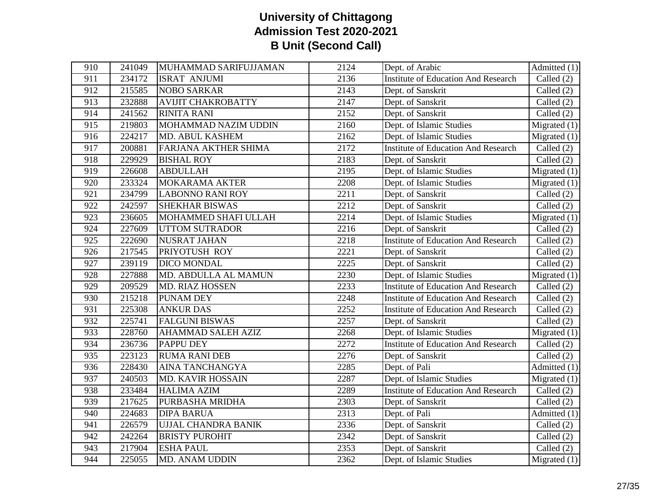| 910 | 241049 | MUHAMMAD SARIFUJJAMAN     | 2124 | Dept. of Arabic                            | Admitted $(1)$                  |
|-----|--------|---------------------------|------|--------------------------------------------|---------------------------------|
| 911 | 234172 | <b>ISRAT ANJUMI</b>       | 2136 | <b>Institute of Education And Research</b> | Called $(2)$                    |
| 912 | 215585 | <b>NOBO SARKAR</b>        | 2143 | Dept. of Sanskrit                          | Called $(2)$                    |
| 913 | 232888 | <b>AVIJIT CHAKROBATTY</b> | 2147 | Dept. of Sanskrit                          | Called $(2)$                    |
| 914 | 241562 | <b>RINITA RANI</b>        | 2152 | Dept. of Sanskrit                          | Called $(2)$                    |
| 915 | 219803 | MOHAMMAD NAZIM UDDIN      | 2160 | Dept. of Islamic Studies                   | Migrated $(1)$                  |
| 916 | 224217 | MD. ABUL KASHEM           | 2162 | Dept. of Islamic Studies                   | Migrated $(1)$                  |
| 917 | 200881 | FARJANA AKTHER SHIMA      | 2172 | <b>Institute of Education And Research</b> | Called $(2)$                    |
| 918 | 229929 | <b>BISHAL ROY</b>         | 2183 | Dept. of Sanskrit                          | Called (2)                      |
| 919 | 226608 | <b>ABDULLAH</b>           | 2195 | Dept. of Islamic Studies                   | Migrated $(1)$                  |
| 920 | 233324 | <b>MOKARAMA AKTER</b>     | 2208 | Dept. of Islamic Studies                   | Migrated $(1)$                  |
| 921 | 234799 | <b>LABONNO RANI ROY</b>   | 2211 | Dept. of Sanskrit                          | Called $(2)$                    |
| 922 | 242597 | <b>SHEKHAR BISWAS</b>     | 2212 | Dept. of Sanskrit                          | Called $(2)$                    |
| 923 | 236605 | MOHAMMED SHAFI ULLAH      | 2214 | Dept. of Islamic Studies                   | $\overline{\text{Migrated}}(1)$ |
| 924 | 227609 | <b>UTTOM SUTRADOR</b>     | 2216 | Dept. of Sanskrit                          | Called $(2)$                    |
| 925 | 222690 | NUSRAT JAHAN              | 2218 | <b>Institute of Education And Research</b> | Called $(2)$                    |
| 926 | 217545 | PRIYOTUSH ROY             | 2221 | Dept. of Sanskrit                          | Called $(2)$                    |
| 927 | 239119 | DICO MONDAL               | 2225 | Dept. of Sanskrit                          | Called (2)                      |
| 928 | 227888 | MD. ABDULLA AL MAMUN      | 2230 | Dept. of Islamic Studies                   | Migrated $(1)$                  |
| 929 | 209529 | MD. RIAZ HOSSEN           | 2233 | <b>Institute of Education And Research</b> | Called $(2)$                    |
| 930 | 215218 | <b>PUNAM DEY</b>          | 2248 | <b>Institute of Education And Research</b> | Called (2)                      |
| 931 | 225308 | <b>ANKUR DAS</b>          | 2252 | <b>Institute of Education And Research</b> | Called (2)                      |
| 932 | 225741 | <b>FALGUNI BISWAS</b>     | 2257 | Dept. of Sanskrit                          | Called $(2)$                    |
| 933 | 228760 | <b>AHAMMAD SALEH AZIZ</b> | 2268 | Dept. of Islamic Studies                   | Migrated $(1)$                  |
| 934 | 236736 | <b>PAPPU DEY</b>          | 2272 | <b>Institute of Education And Research</b> | Called $(2)$                    |
| 935 | 223123 | <b>RUMA RANI DEB</b>      | 2276 | Dept. of Sanskrit                          | Called $(2)$                    |
| 936 | 228430 | AINA TANCHANGYA           | 2285 | Dept. of Pali                              | Admitted (1)                    |
| 937 | 240503 | <b>MD. KAVIR HOSSAIN</b>  | 2287 | Dept. of Islamic Studies                   | Migrated $(1)$                  |
| 938 | 233484 | <b>HALIMA AZIM</b>        | 2289 | <b>Institute of Education And Research</b> | Called $(2)$                    |
| 939 | 217625 | PURBASHA MRIDHA           | 2303 | Dept. of Sanskrit                          | Called $(2)$                    |
| 940 | 224683 | <b>DIPA BARUA</b>         | 2313 | Dept. of Pali                              | Admitted (1)                    |
| 941 | 226579 | UJJAL CHANDRA BANIK       | 2336 | Dept. of Sanskrit                          | Called $(2)$                    |
| 942 | 242264 | <b>BRISTY PUROHIT</b>     | 2342 | Dept. of Sanskrit                          | Called $(2)$                    |
| 943 | 217904 | <b>ESHA PAUL</b>          | 2353 | Dept. of Sanskrit                          | Called $(2)$                    |
| 944 | 225055 | <b>MD. ANAM UDDIN</b>     | 2362 | Dept. of Islamic Studies                   | Migrated $(1)$                  |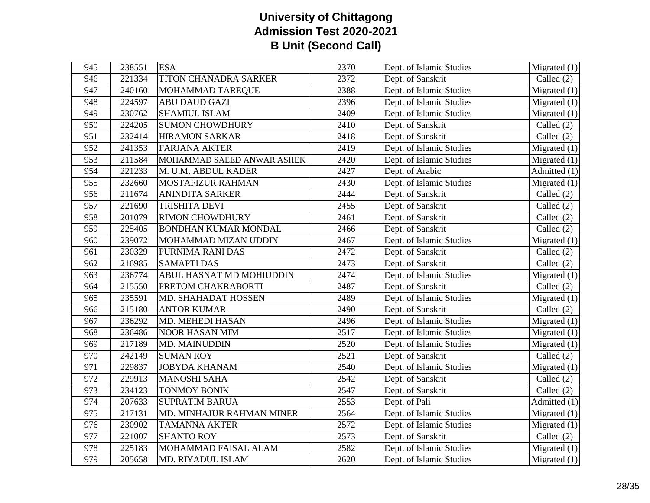| 945              | 238551 | <b>ESA</b>                  | 2370             | Dept. of Islamic Studies | $\overline{\text{Migrated}}(1)$   |
|------------------|--------|-----------------------------|------------------|--------------------------|-----------------------------------|
| 946              | 221334 | TITON CHANADRA SARKER       | 2372             | Dept. of Sanskrit        | Called $(2)$                      |
| 947              | 240160 | MOHAMMAD TAREQUE            | 2388             | Dept. of Islamic Studies | $\overline{\text{Migrated}}(1)$   |
| 948              | 224597 | <b>ABU DAUD GAZI</b>        | 2396             | Dept. of Islamic Studies | Migrated $(1)$                    |
| 949              | 230762 | <b>SHAMIUL ISLAM</b>        | 2409             | Dept. of Islamic Studies | Migrated $(1)$                    |
| 950              | 224205 | <b>SUMON CHOWDHURY</b>      | 2410             | Dept. of Sanskrit        | Called $(2)$                      |
| 951              | 232414 | <b>HIRAMON SARKAR</b>       | 2418             | Dept. of Sanskrit        | Called $(2)$                      |
| 952              | 241353 | <b>FARJANA AKTER</b>        | 2419             | Dept. of Islamic Studies | Migrated $(1)$                    |
| 953              | 211584 | MOHAMMAD SAEED ANWAR ASHEK  | 2420             | Dept. of Islamic Studies | Migrated $(1)$                    |
| 954              | 221233 | M. U.M. ABDUL KADER         | 2427             | Dept. of Arabic          | Admitted $(1)$                    |
| 955              | 232660 | <b>MOSTAFIZUR RAHMAN</b>    | 2430             | Dept. of Islamic Studies | Migrated $(1)$                    |
| 956              | 211674 | <b>ANINDITA SARKER</b>      | 2444             | Dept. of Sanskrit        | Called $(2)$                      |
| 957              | 221690 | <b>TRISHITA DEVI</b>        | 2455             | Dept. of Sanskrit        | Called $(2)$                      |
| 958              | 201079 | <b>RIMON CHOWDHURY</b>      | 2461             | Dept. of Sanskrit        | Called $(2)$                      |
| 959              | 225405 | <b>BONDHAN KUMAR MONDAL</b> | 2466             | Dept. of Sanskrit        | Called (2)                        |
| 960              | 239072 | MOHAMMAD MIZAN UDDIN        | 2467             | Dept. of Islamic Studies | Migrated $(1)$                    |
| 961              | 230329 | PURNIMA RANI DAS            | 2472             | Dept. of Sanskrit        | Called $(2)$                      |
| 962              | 216985 | <b>SAMAPTI DAS</b>          | 2473             | Dept. of Sanskrit        | Called $(2)$                      |
| 963              | 236774 | ABUL HASNAT MD MOHIUDDIN    | 2474             | Dept. of Islamic Studies | Migrated (1)                      |
| 964              | 215550 | PRETOM CHAKRABORTI          | 2487             | Dept. of Sanskrit        | Called (2)                        |
| 965              | 235591 | MD. SHAHADAT HOSSEN         | 2489             | Dept. of Islamic Studies | $\overline{\text{M}}$ igrated (1) |
| 966              | 215180 | <b>ANTOR KUMAR</b>          | 2490             | Dept. of Sanskrit        | Called $(2)$                      |
| 967              | 236292 | MD. MEHEDI HASAN            | 2496             | Dept. of Islamic Studies | Migrated $(1)$                    |
| 968              | 236486 | <b>NOOR HASAN MIM</b>       | 2517             | Dept. of Islamic Studies | Migrated $(1)$                    |
| 969              | 217189 | <b>MD. MAINUDDIN</b>        | 2520             | Dept. of Islamic Studies | Migrated $(1)$                    |
| 970              | 242149 | <b>SUMAN ROY</b>            | 2521             | Dept. of Sanskrit        | Called $(2)$                      |
| 971              | 229837 | <b>JOBYDA KHANAM</b>        | 2540             | Dept. of Islamic Studies | Migrated $(1)$                    |
| 972              | 229913 | <b>MANOSHI SAHA</b>         | 2542             | Dept. of Sanskrit        | Called $(2)$                      |
| 973              | 234123 | <b>TONMOY BONIK</b>         | 2547             | Dept. of Sanskrit        | Called $(2)$                      |
| 974              | 207633 | <b>SUPRATIM BARUA</b>       | 2553             | Dept. of Pali            | Admitted (1)                      |
| 975              | 217131 | MD. MINHAJUR RAHMAN MINER   | 2564             | Dept. of Islamic Studies | Migrated $(1)$                    |
| $\overline{976}$ | 230902 | <b>TAMANNA AKTER</b>        | $\frac{2572}{ }$ | Dept. of Islamic Studies | $\overline{\text{Migrated}}(1)$   |
| 977              | 221007 | <b>SHANTO ROY</b>           | 2573             | Dept. of Sanskrit        | Called $(2)$                      |
| 978              | 225183 | MOHAMMAD FAISAL ALAM        | 2582             | Dept. of Islamic Studies | Migrated $(1)$                    |
| 979              | 205658 | MD. RIYADUL ISLAM           | 2620             | Dept. of Islamic Studies | Migrated $(1)$                    |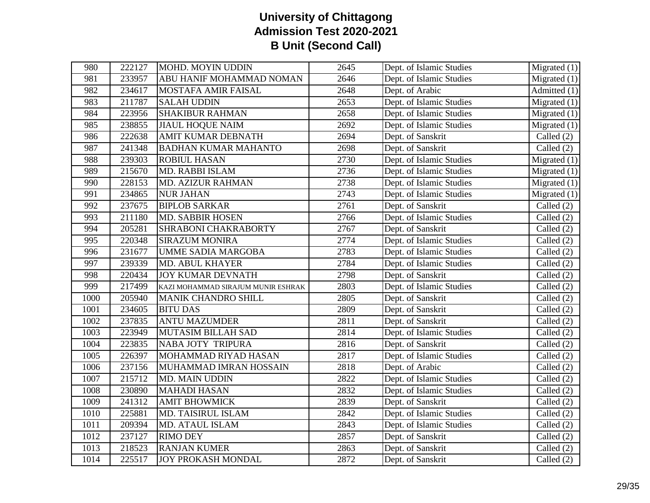| 980  | 222127 | <b>MOHD. MOYIN UDDIN</b>           | 2645 | Dept. of Islamic Studies | $\overline{\text{Migrated}}(1)$ |
|------|--------|------------------------------------|------|--------------------------|---------------------------------|
| 981  | 233957 | ABU HANIF MOHAMMAD NOMAN           | 2646 | Dept. of Islamic Studies | Migrated $(1)$                  |
| 982  | 234617 | MOSTAFA AMIR FAISAL                | 2648 | Dept. of Arabic          | Admitted $(1)$                  |
| 983  | 211787 | <b>SALAH UDDIN</b>                 | 2653 | Dept. of Islamic Studies | Migrated $(1)$                  |
| 984  | 223956 | <b>SHAKIBUR RAHMAN</b>             | 2658 | Dept. of Islamic Studies | Migrated $(1)$                  |
| 985  | 238855 | <b>JIAUL HOQUE NAIM</b>            | 2692 | Dept. of Islamic Studies | Migrated $(1)$                  |
| 986  | 222638 | <b>AMIT KUMAR DEBNATH</b>          | 2694 | Dept. of Sanskrit        | Called $(2)$                    |
| 987  | 241348 | <b>BADHAN KUMAR MAHANTO</b>        | 2698 | Dept. of Sanskrit        | Called $(2)$                    |
| 988  | 239303 | <b>ROBIUL HASAN</b>                | 2730 | Dept. of Islamic Studies | Migrated $(1)$                  |
| 989  | 215670 | MD. RABBI ISLAM                    | 2736 | Dept. of Islamic Studies | Migrated $(1)$                  |
| 990  | 228153 | <b>MD. AZIZUR RAHMAN</b>           | 2738 | Dept. of Islamic Studies | Migrated $(1)$                  |
| 991  | 234865 | <b>NUR JAHAN</b>                   | 2743 | Dept. of Islamic Studies | $\overline{\text{Migrated}}(1)$ |
| 992  | 237675 | <b>BIPLOB SARKAR</b>               | 2761 | Dept. of Sanskrit        | Called $(2)$                    |
| 993  | 211180 | <b>MD. SABBIR HOSEN</b>            | 2766 | Dept. of Islamic Studies | Called (2)                      |
| 994  | 205281 | SHRABONI CHAKRABORTY               | 2767 | Dept. of Sanskrit        | Called $(2)$                    |
| 995  | 220348 | <b>SIRAZUM MONIRA</b>              | 2774 | Dept. of Islamic Studies | Called $(2)$                    |
| 996  | 231677 | <b>UMME SADIA MARGOBA</b>          | 2783 | Dept. of Islamic Studies | Called $(2)$                    |
| 997  | 239339 | <b>MD. ABUL KHAYER</b>             | 2784 | Dept. of Islamic Studies | Called (2)                      |
| 998  | 220434 | <b>JOY KUMAR DEVNATH</b>           | 2798 | Dept. of Sanskrit        | Called (2)                      |
| 999  | 217499 | KAZI MOHAMMAD SIRAJUM MUNIR ESHRAK | 2803 | Dept. of Islamic Studies | Called $(2)$                    |
| 1000 | 205940 | <b>MANIK CHANDRO SHILL</b>         | 2805 | Dept. of Sanskrit        | Called $(2)$                    |
| 1001 | 234605 | <b>BITU DAS</b>                    | 2809 | Dept. of Sanskrit        | Called (2)                      |
| 1002 | 237835 | <b>ANTU MAZUMDER</b>               | 2811 | Dept. of Sanskrit        | Called $(2)$                    |
| 1003 | 223949 | MUTASIM BILLAH SAD                 | 2814 | Dept. of Islamic Studies | Called $(2)$                    |
| 1004 | 223835 | NABA JOTY TRIPURA                  | 2816 | Dept. of Sanskrit        | Called $(2)$                    |
| 1005 | 226397 | MOHAMMAD RIYAD HASAN               | 2817 | Dept. of Islamic Studies | Called $(2)$                    |
| 1006 | 237156 | MUHAMMAD IMRAN HOSSAIN             | 2818 | Dept. of Arabic          | Called (2)                      |
| 1007 | 215712 | MD. MAIN UDDIN                     | 2822 | Dept. of Islamic Studies | Called $(2)$                    |
| 1008 | 230890 | <b>MAHADI HASAN</b>                | 2832 | Dept. of Islamic Studies | Called $(2)$                    |
| 1009 | 241312 | <b>AMIT BHOWMICK</b>               | 2839 | Dept. of Sanskrit        | Called $(2)$                    |
| 1010 | 225881 | MD. TAISIRUL ISLAM                 | 2842 | Dept. of Islamic Studies | Called (2)                      |
| 1011 | 209394 | MD. ATAUL ISLAM                    | 2843 | Dept. of Islamic Studies | Called $(2)$                    |
| 1012 | 237127 | <b>RIMO DEY</b>                    | 2857 | Dept. of Sanskrit        | Called $(2)$                    |
| 1013 | 218523 | <b>RANJAN KUMER</b>                | 2863 | Dept. of Sanskrit        | Called $(2)$                    |
| 1014 | 225517 | <b>JOY PROKASH MONDAL</b>          | 2872 | Dept. of Sanskrit        | Called (2)                      |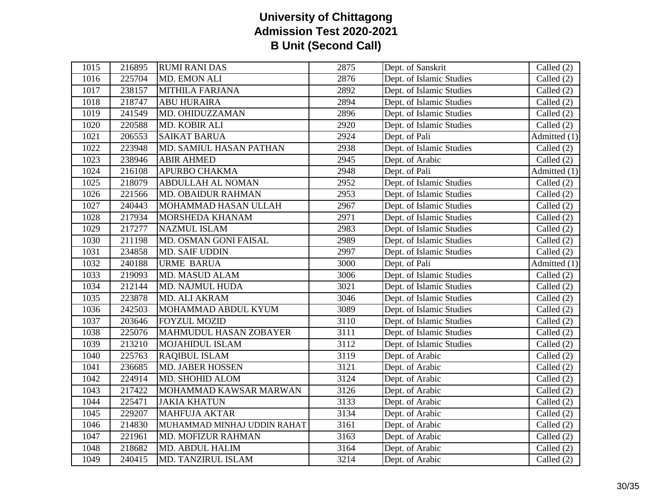| 1015 | 216895 | <b>RUMI RANI DAS</b>        | 2875 | Dept. of Sanskrit        | Called (2)                      |
|------|--------|-----------------------------|------|--------------------------|---------------------------------|
| 1016 | 225704 | <b>MD. EMON ALI</b>         | 2876 | Dept. of Islamic Studies | Called $(2)$                    |
| 1017 | 238157 | <b>MITHILA FARJANA</b>      | 2892 | Dept. of Islamic Studies | Called $(2)$                    |
| 1018 | 218747 | <b>ABU HURAIRA</b>          | 2894 | Dept. of Islamic Studies | Called (2)                      |
| 1019 | 241549 | MD. OHIDUZZAMAN             | 2896 | Dept. of Islamic Studies | Called $(2)$                    |
| 1020 | 220588 | MD. KOBIR ALI               | 2920 | Dept. of Islamic Studies | Called (2)                      |
| 1021 | 206553 | <b>SAIKAT BARUA</b>         | 2924 | Dept. of Pali            | Admitted (1)                    |
| 1022 | 223948 | MD. SAMIUL HASAN PATHAN     | 2938 | Dept. of Islamic Studies | Called $(2)$                    |
| 1023 | 238946 | <b>ABIR AHMED</b>           | 2945 | Dept. of Arabic          | Called (2)                      |
| 1024 | 216108 | <b>APURBO CHAKMA</b>        | 2948 | Dept. of Pali            | $\overline{\text{Admitted}}(1)$ |
| 1025 | 218079 | <b>ABDULLAH AL NOMAN</b>    | 2952 | Dept. of Islamic Studies | Called $(2)$                    |
| 1026 | 221566 | <b>MD. OBAIDUR RAHMAN</b>   | 2953 | Dept. of Islamic Studies | Called $(2)$                    |
| 1027 | 240443 | MOHAMMAD HASAN ULLAH        | 2967 | Dept. of Islamic Studies | Called $(2)$                    |
| 1028 | 217934 | MORSHEDA KHANAM             | 2971 | Dept. of Islamic Studies | Called $(2)$                    |
| 1029 | 217277 | <b>NAZMUL ISLAM</b>         | 2983 | Dept. of Islamic Studies | Called (2)                      |
| 1030 | 211198 | MD. OSMAN GONI FAISAL       | 2989 | Dept. of Islamic Studies | Called (2)                      |
| 1031 | 234858 | <b>MD. SAIF UDDIN</b>       | 2997 | Dept. of Islamic Studies | Called $(2)$                    |
| 1032 | 240188 | <b>URME BARUA</b>           | 3000 | Dept. of Pali            | Admitted (1)                    |
| 1033 | 219093 | MD. MASUD ALAM              | 3006 | Dept. of Islamic Studies | Called (2)                      |
| 1034 | 212144 | MD. NAJMUL HUDA             | 3021 | Dept. of Islamic Studies | Called $(2)$                    |
| 1035 | 223878 | MD. ALI AKRAM               | 3046 | Dept. of Islamic Studies | Called (2)                      |
| 1036 | 242503 | MOHAMMAD ABDUL KYUM         | 3089 | Dept. of Islamic Studies | Called (2)                      |
| 1037 | 203646 | <b>FOYZUL MOZID</b>         | 3110 | Dept. of Islamic Studies | Called (2)                      |
| 1038 | 225076 | MAHMUDUL HASAN ZOBAYER      | 3111 | Dept. of Islamic Studies | Called $(2)$                    |
| 1039 | 213210 | MOJAHIDUL ISLAM             | 3112 | Dept. of Islamic Studies | Called (2)                      |
| 1040 | 225763 | <b>RAQIBUL ISLAM</b>        | 3119 | Dept. of Arabic          | Called $(2)$                    |
| 1041 | 236685 | <b>MD. JABER HOSSEN</b>     | 3121 | Dept. of Arabic          | Called (2)                      |
| 1042 | 224914 | MD. SHOHID ALOM             | 3124 | Dept. of Arabic          | Called (2)                      |
| 1043 | 217422 | MOHAMMAD KAWSAR MARWAN      | 3126 | Dept. of Arabic          | Called (2)                      |
| 1044 | 225471 | <b>JAKIA KHATUN</b>         | 3133 | Dept. of Arabic          | Called $(2)$                    |
| 1045 | 229207 | <b>MAHFUJA AKTAR</b>        | 3134 | Dept. of Arabic          | Called (2)                      |
| 1046 | 214830 | MUHAMMAD MINHAJ UDDIN RAHAT | 3161 | Dept. of Arabic          | Called $(2)$                    |
| 1047 | 221961 | MD. MOFIZUR RAHMAN          | 3163 | Dept. of Arabic          | Called $(2)$                    |
| 1048 | 218682 | MD. ABDUL HALIM             | 3164 | Dept. of Arabic          | Called $(2)$                    |
| 1049 | 240415 | <b>MD. TANZIRUL ISLAM</b>   | 3214 | Dept. of Arabic          | Called (2)                      |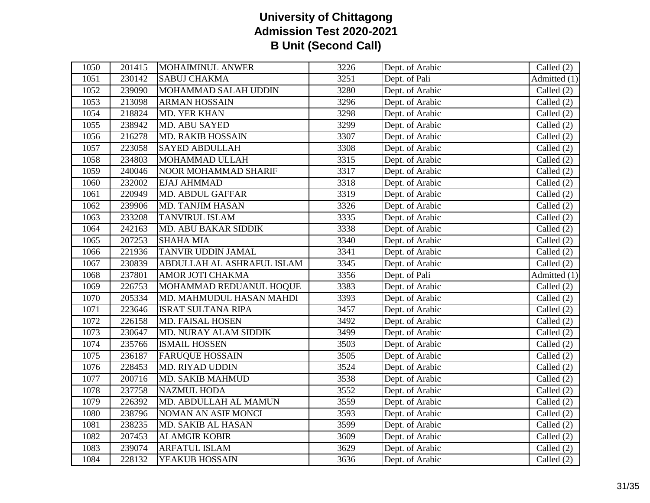| 1050 | 201415 | <b>MOHAIMINUL ANWER</b>     | 3226 | Dept. of Arabic | Called $(2)$                    |
|------|--------|-----------------------------|------|-----------------|---------------------------------|
| 1051 | 230142 | <b>SABUJ CHAKMA</b>         | 3251 | Dept. of Pali   | $\overline{\text{Admitted}}(1)$ |
| 1052 | 239090 | MOHAMMAD SALAH UDDIN        | 3280 | Dept. of Arabic | Called $(2)$                    |
| 1053 | 213098 | <b>ARMAN HOSSAIN</b>        | 3296 | Dept. of Arabic | Called (2)                      |
| 1054 | 218824 | <b>MD. YER KHAN</b>         | 3298 | Dept. of Arabic | Called $(2)$                    |
| 1055 | 238942 | MD. ABU SAYED               | 3299 | Dept. of Arabic | Called $(2)$                    |
| 1056 | 216278 | <b>MD. RAKIB HOSSAIN</b>    | 3307 | Dept. of Arabic | Called (2)                      |
| 1057 | 223058 | <b>SAYED ABDULLAH</b>       | 3308 | Dept. of Arabic | Called (2)                      |
| 1058 | 234803 | MOHAMMAD ULLAH              | 3315 | Dept. of Arabic | Called $(2)$                    |
| 1059 | 240046 | <b>NOOR MOHAMMAD SHARIF</b> | 3317 | Dept. of Arabic | Called (2)                      |
| 1060 | 232002 | EJAJ AHMMAD                 | 3318 | Dept. of Arabic | $\overline{\text{Called}}$ (2)  |
| 1061 | 220949 | <b>MD. ABDUL GAFFAR</b>     | 3319 | Dept. of Arabic | Called $(2)$                    |
| 1062 | 239906 | MD. TANJIM HASAN            | 3326 | Dept. of Arabic | Called (2)                      |
| 1063 | 233208 | <b>TANVIRUL ISLAM</b>       | 3335 | Dept. of Arabic | Called (2)                      |
| 1064 | 242163 | MD. ABU BAKAR SIDDIK        | 3338 | Dept. of Arabic | Called (2)                      |
| 1065 | 207253 | <b>SHAHA MIA</b>            | 3340 | Dept. of Arabic | Called $(2)$                    |
| 1066 | 221936 | TANVIR UDDIN JAMAL          | 3341 | Dept. of Arabic | Called (2)                      |
| 1067 | 230839 | ABDULLAH AL ASHRAFUL ISLAM  | 3345 | Dept. of Arabic | Called $(2)$                    |
| 1068 | 237801 | AMOR JOTI CHAKMA            | 3356 | Dept. of Pali   | Admitted (1)                    |
| 1069 | 226753 | MOHAMMAD REDUANUL HOQUE     | 3383 | Dept. of Arabic | Called (2)                      |
| 1070 | 205334 | MD. MAHMUDUL HASAN MAHDI    | 3393 | Dept. of Arabic | Called (2)                      |
| 1071 | 223646 | <b>ISRAT SULTANA RIPA</b>   | 3457 | Dept. of Arabic | Called (2)                      |
| 1072 | 226158 | <b>MD. FAISAL HOSEN</b>     | 3492 | Dept. of Arabic | Called $(2)$                    |
| 1073 | 230647 | MD. NURAY ALAM SIDDIK       | 3499 | Dept. of Arabic | Called (2)                      |
| 1074 | 235766 | <b>ISMAIL HOSSEN</b>        | 3503 | Dept. of Arabic | Called $(2)$                    |
| 1075 | 236187 | <b>FARUQUE HOSSAIN</b>      | 3505 | Dept. of Arabic | Called (2)                      |
| 1076 | 228453 | <b>MD. RIYAD UDDIN</b>      | 3524 | Dept. of Arabic | Called (2)                      |
| 1077 | 200716 | <b>MD. SAKIB MAHMUD</b>     | 3538 | Dept. of Arabic | Called (2)                      |
| 1078 | 237758 | <b>NAZMUL HODA</b>          | 3552 | Dept. of Arabic | Called $(2)$                    |
| 1079 | 226392 | MD. ABDULLAH AL MAMUN       | 3559 | Dept. of Arabic | Called (2)                      |
| 1080 | 238796 | NOMAN AN ASIF MONCI         | 3593 | Dept. of Arabic | Called $(2)$                    |
| 1081 | 238235 | MD. SAKIB AL HASAN          | 3599 | Dept. of Arabic | Called (2)                      |
| 1082 | 207453 | <b>ALAMGIR KOBIR</b>        | 3609 | Dept. of Arabic | Called $(2)$                    |
| 1083 | 239074 | <b>ARFATUL ISLAM</b>        | 3629 | Dept. of Arabic | Called (2)                      |
| 1084 | 228132 | YEAKUB HOSSAIN              | 3636 | Dept. of Arabic | Called (2)                      |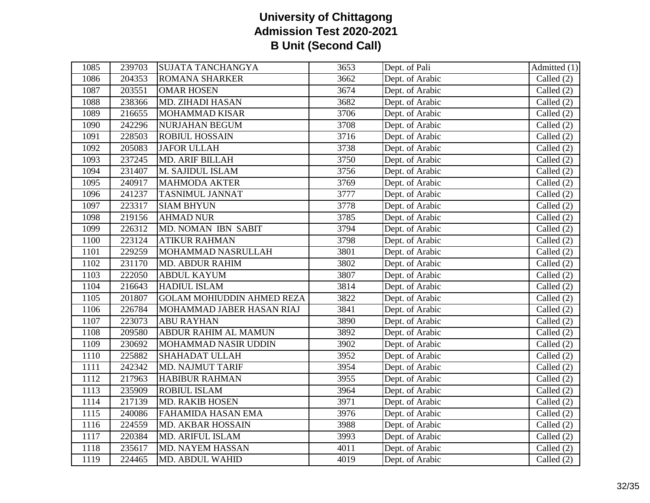| 1085 | 239703 | <b>SUJATA TANCHANGYA</b>          | 3653 | Dept. of Pali   | Admitted (1) |
|------|--------|-----------------------------------|------|-----------------|--------------|
| 1086 | 204353 | <b>ROMANA SHARKER</b>             | 3662 | Dept. of Arabic | Called $(2)$ |
| 1087 | 203551 | <b>OMAR HOSEN</b>                 | 3674 | Dept. of Arabic | Called $(2)$ |
| 1088 | 238366 | MD. ZIHADI HASAN                  | 3682 | Dept. of Arabic | Called $(2)$ |
| 1089 | 216655 | <b>MOHAMMAD KISAR</b>             | 3706 | Dept. of Arabic | Called $(2)$ |
| 1090 | 242296 | NURJAHAN BEGUM                    | 3708 | Dept. of Arabic | Called (2)   |
| 1091 | 228503 | <b>ROBIUL HOSSAIN</b>             | 3716 | Dept. of Arabic | Called $(2)$ |
| 1092 | 205083 | <b>JAFOR ULLAH</b>                | 3738 | Dept. of Arabic | Called (2)   |
| 1093 | 237245 | <b>MD. ARIF BILLAH</b>            | 3750 | Dept. of Arabic | Called $(2)$ |
| 1094 | 231407 | M. SAJIDUL ISLAM                  | 3756 | Dept. of Arabic | Called (2)   |
| 1095 | 240917 | <b>MAHMODA AKTER</b>              | 3769 | Dept. of Arabic | Called (2)   |
| 1096 | 241237 | <b>TASNIMUL JANNAT</b>            | 3777 | Dept. of Arabic | Called $(2)$ |
| 1097 | 223317 | <b>SIAM BHYUN</b>                 | 3778 | Dept. of Arabic | Called (2)   |
| 1098 | 219156 | <b>AHMAD NUR</b>                  | 3785 | Dept. of Arabic | Called (2)   |
| 1099 | 226312 | MD. NOMAN IBN SABIT               | 3794 | Dept. of Arabic | Called (2)   |
| 1100 | 223124 | <b>ATIKUR RAHMAN</b>              | 3798 | Dept. of Arabic | Called $(2)$ |
| 1101 | 229259 | MOHAMMAD NASRULLAH                | 3801 | Dept. of Arabic | Called (2)   |
| 1102 | 231170 | <b>MD. ABDUR RAHIM</b>            | 3802 | Dept. of Arabic | Called (2)   |
| 1103 | 222050 | <b>ABDUL KAYUM</b>                | 3807 | Dept. of Arabic | Called (2)   |
| 1104 | 216643 | <b>HADIUL ISLAM</b>               | 3814 | Dept. of Arabic | Called $(2)$ |
| 1105 | 201807 | <b>GOLAM MOHIUDDIN AHMED REZA</b> | 3822 | Dept. of Arabic | Called $(2)$ |
| 1106 | 226784 | MOHAMMAD JABER HASAN RIAJ         | 3841 | Dept. of Arabic | Called $(2)$ |
| 1107 | 223073 | <b>ABU RAYHAN</b>                 | 3890 | Dept. of Arabic | Called (2)   |
| 1108 | 209580 | <b>ABDUR RAHIM AL MAMUN</b>       | 3892 | Dept. of Arabic | Called (2)   |
| 1109 | 230692 | MOHAMMAD NASIR UDDIN              | 3902 | Dept. of Arabic | Called (2)   |
| 1110 | 225882 | <b>SHAHADAT ULLAH</b>             | 3952 | Dept. of Arabic | Called (2)   |
| 1111 | 242342 | <b>MD. NAJMUT TARIF</b>           | 3954 | Dept. of Arabic | Called (2)   |
| 1112 | 217963 | <b>HABIBUR RAHMAN</b>             | 3955 | Dept. of Arabic | Called $(2)$ |
| 1113 | 235909 | <b>ROBIUL ISLAM</b>               | 3964 | Dept. of Arabic | Called (2)   |
| 1114 | 217139 | <b>MD. RAKIB HOSEN</b>            | 3971 | Dept. of Arabic | Called (2)   |
| 1115 | 240086 | <b>FAHAMIDA HASAN EMA</b>         | 3976 | Dept. of Arabic | Called (2)   |
| 1116 | 224559 | MD. AKBAR HOSSAIN                 | 3988 | Dept. of Arabic | Called $(2)$ |
| 1117 | 220384 | <b>MD. ARIFUL ISLAM</b>           | 3993 | Dept. of Arabic | Called (2)   |
| 1118 | 235617 | MD. NAYEM HASSAN                  | 4011 | Dept. of Arabic | Called $(2)$ |
| 1119 | 224465 | <b>MD. ABDUL WAHID</b>            | 4019 | Dept. of Arabic | Called (2)   |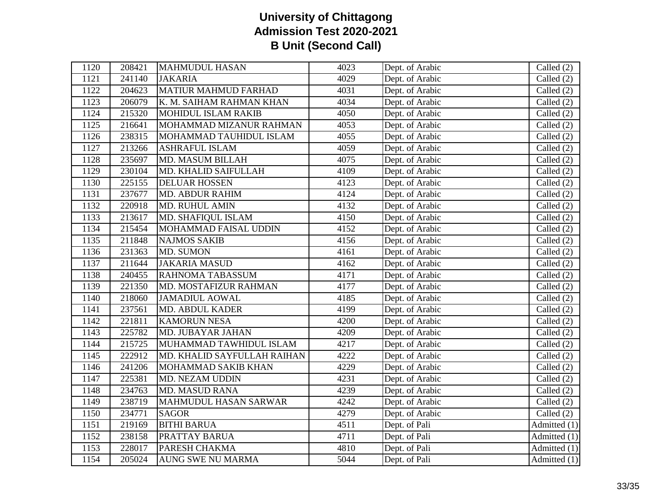| 1120 | 208421 | <b>MAHMUDUL HASAN</b>       | 4023 | Dept. of Arabic | Called $(2)$                    |
|------|--------|-----------------------------|------|-----------------|---------------------------------|
| 1121 | 241140 | <b>JAKARIA</b>              | 4029 | Dept. of Arabic | Called (2)                      |
| 1122 | 204623 | <b>MATIUR MAHMUD FARHAD</b> | 4031 | Dept. of Arabic | Called $(2)$                    |
| 1123 | 206079 | K. M. SAIHAM RAHMAN KHAN    | 4034 | Dept. of Arabic | Called $(2)$                    |
| 1124 | 215320 | <b>MOHIDUL ISLAM RAKIB</b>  | 4050 | Dept. of Arabic | Called $(2)$                    |
| 1125 | 216641 | MOHAMMAD MIZANUR RAHMAN     | 4053 | Dept. of Arabic | Called $(2)$                    |
| 1126 | 238315 | MOHAMMAD TAUHIDUL ISLAM     | 4055 | Dept. of Arabic | Called $(2)$                    |
| 1127 | 213266 | <b>ASHRAFUL ISLAM</b>       | 4059 | Dept. of Arabic | Called $(2)$                    |
| 1128 | 235697 | MD. MASUM BILLAH            | 4075 | Dept. of Arabic | Called (2)                      |
| 1129 | 230104 | MD. KHALID SAIFULLAH        | 4109 | Dept. of Arabic | Called $(2)$                    |
| 1130 | 225155 | <b>DELUAR HOSSEN</b>        | 4123 | Dept. of Arabic | Called (2)                      |
| 1131 | 237677 | <b>MD. ABDUR RAHIM</b>      | 4124 | Dept. of Arabic | Called (2)                      |
| 1132 | 220918 | <b>MD. RUHUL AMIN</b>       | 4132 | Dept. of Arabic | Called (2)                      |
| 1133 | 213617 | MD. SHAFIQUL ISLAM          | 4150 | Dept. of Arabic | Called $(2)$                    |
| 1134 | 215454 | MOHAMMAD FAISAL UDDIN       | 4152 | Dept. of Arabic | Called $(2)$                    |
| 1135 | 211848 | <b>NAJMOS SAKIB</b>         | 4156 | Dept. of Arabic | Called (2)                      |
| 1136 | 231363 | MD. SUMON                   | 4161 | Dept. of Arabic | Called $(2)$                    |
| 1137 | 211644 | <b>JAKARIA MASUD</b>        | 4162 | Dept. of Arabic | Called (2)                      |
| 1138 | 240455 | RAHNOMA TABASSUM            | 4171 | Dept. of Arabic | Called (2)                      |
| 1139 | 221350 | MD. MOSTAFIZUR RAHMAN       | 4177 | Dept. of Arabic | Called (2)                      |
| 1140 | 218060 | <b>JAMADIUL AOWAL</b>       | 4185 | Dept. of Arabic | Called $(2)$                    |
| 1141 | 237561 | <b>MD. ABDUL KADER</b>      | 4199 | Dept. of Arabic | Called $(2)$                    |
| 1142 | 221811 | <b>KAMORUN NESA</b>         | 4200 | Dept. of Arabic | Called $(2)$                    |
| 1143 | 225782 | MD. JUBAYAR JAHAN           | 4209 | Dept. of Arabic | Called (2)                      |
| 1144 | 215725 | MUHAMMAD TAWHIDUL ISLAM     | 4217 | Dept. of Arabic | Called (2)                      |
| 1145 | 222912 | MD. KHALID SAYFULLAH RAIHAN | 4222 | Dept. of Arabic | Called $(2)$                    |
| 1146 | 241206 | MOHAMMAD SAKIB KHAN         | 4229 | Dept. of Arabic | Called (2)                      |
| 1147 | 225381 | MD. NEZAM UDDIN             | 4231 | Dept. of Arabic | Called (2)                      |
| 1148 | 234763 | <b>MD. MASUD RANA</b>       | 4239 | Dept. of Arabic | Called $(2)$                    |
| 1149 | 238719 | MAHMUDUL HASAN SARWAR       | 4242 | Dept. of Arabic | Called (2)                      |
| 1150 | 234771 | <b>SAGOR</b>                | 4279 | Dept. of Arabic | Called $(2)$                    |
| 1151 | 219169 | <b>BITHI BARUA</b>          | 4511 | Dept. of Pali   | Admitted (1)                    |
| 1152 | 238158 | PRATTAY BARUA               | 4711 | Dept. of Pali   | Admitted (1)                    |
| 1153 | 228017 | PARESH CHAKMA               | 4810 | Dept. of Pali   | Admitted (1)                    |
| 1154 | 205024 | <b>AUNG SWE NU MARMA</b>    | 5044 | Dept. of Pali   | $\overline{\text{Admitted}}(1)$ |
|      |        |                             |      |                 |                                 |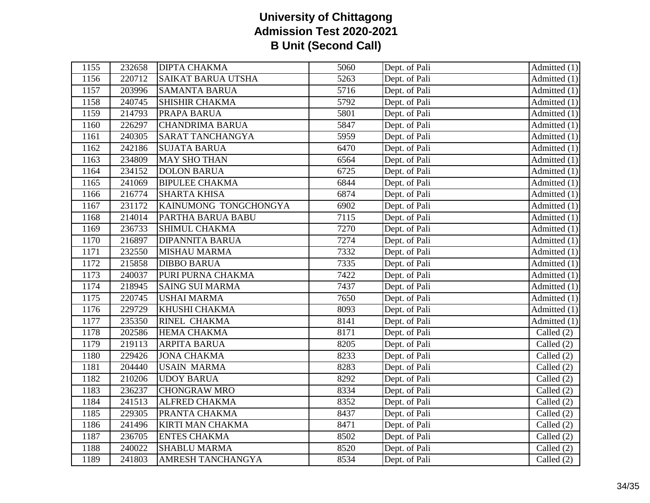| 1155 | 232658 | <b>DIPTA CHAKMA</b>       | 5060 | Dept. of Pali | Admitted $(1)$                  |
|------|--------|---------------------------|------|---------------|---------------------------------|
| 1156 | 220712 | <b>SAIKAT BARUA UTSHA</b> | 5263 | Dept. of Pali | Admitted $(1)$                  |
| 1157 | 203996 | <b>SAMANTA BARUA</b>      | 5716 | Dept. of Pali | Admitted $(1)$                  |
| 1158 | 240745 | <b>SHISHIR CHAKMA</b>     | 5792 | Dept. of Pali | Admitted (1)                    |
| 1159 | 214793 | PRAPA BARUA               | 5801 | Dept. of Pali | Admitted $(1)$                  |
| 1160 | 226297 | <b>CHANDRIMA BARUA</b>    | 5847 | Dept. of Pali | Admitted (1)                    |
| 1161 | 240305 | SARAT TANCHANGYA          | 5959 | Dept. of Pali | Admitted (1)                    |
| 1162 | 242186 | <b>SUJATA BARUA</b>       | 6470 | Dept. of Pali | Admitted (1)                    |
| 1163 | 234809 | <b>MAY SHO THAN</b>       | 6564 | Dept. of Pali | Admitted (1)                    |
| 1164 | 234152 | <b>DOLON BARUA</b>        | 6725 | Dept. of Pali | Admitted (1)                    |
| 1165 | 241069 | <b>BIPULEE CHAKMA</b>     | 6844 | Dept. of Pali | Admitted $(1)$                  |
| 1166 | 216774 | <b>SHARTA KHISA</b>       | 6874 | Dept. of Pali | $\overline{A}$ dmitted (1)      |
| 1167 | 231172 | KAINUMONG TONGCHONGYA     | 6902 | Dept. of Pali | Admitted (1)                    |
| 1168 | 214014 | PARTHA BARUA BABU         | 7115 | Dept. of Pali | Admitted (1)                    |
| 1169 | 236733 | SHIMUL CHAKMA             | 7270 | Dept. of Pali | Admitted (1)                    |
| 1170 | 216897 | <b>DIPANNITA BARUA</b>    | 7274 | Dept. of Pali | $\overline{\text{Admitted}}(1)$ |
| 1171 | 232550 | <b>MISHAU MARMA</b>       | 7332 | Dept. of Pali | Admitted $(1)$                  |
| 1172 | 215858 | <b>DIBBO BARUA</b>        | 7335 | Dept. of Pali | Admitted $(1)$                  |
| 1173 | 240037 | PURI PURNA CHAKMA         | 7422 | Dept. of Pali | Admitted $(1)$                  |
| 1174 | 218945 | <b>SAING SUI MARMA</b>    | 7437 | Dept. of Pali | Admitted (1)                    |
| 1175 | 220745 | <b>USHAI MARMA</b>        | 7650 | Dept. of Pali | Admitted $(1)$                  |
| 1176 | 229729 | KHUSHI CHAKMA             | 8093 | Dept. of Pali | Admitted (1)                    |
| 1177 | 235350 | <b>RINEL CHAKMA</b>       | 8141 | Dept. of Pali | Admitted (1)                    |
| 1178 | 202586 | <b>HEMA CHAKMA</b>        | 8171 | Dept. of Pali | Called (2)                      |
| 1179 | 219113 | <b>ARPITA BARUA</b>       | 8205 | Dept. of Pali | Called $(2)$                    |
| 1180 | 229426 | <b>JONA CHAKMA</b>        | 8233 | Dept. of Pali | Called $(2)$                    |
| 1181 | 204440 | <b>USAIN MARMA</b>        | 8283 | Dept. of Pali | Called (2)                      |
| 1182 | 210206 | <b>UDOY BARUA</b>         | 8292 | Dept. of Pali | Called $(2)$                    |
| 1183 | 236237 | <b>CHONGRAW MRO</b>       | 8334 | Dept. of Pali | Called (2)                      |
| 1184 | 241513 | <b>ALFRED CHAKMA</b>      | 8352 | Dept. of Pali | Called (2)                      |
| 1185 | 229305 | PRANTA CHAKMA             | 8437 | Dept. of Pali | Called (2)                      |
| 1186 | 241496 | KIRTI MAN CHAKMA          | 8471 | Dept. of Pali | Called $(2)$                    |
| 1187 | 236705 | <b>ENTES CHAKMA</b>       | 8502 | Dept. of Pali | Called $(2)$                    |
| 1188 | 240022 | <b>SHABLU MARMA</b>       | 8520 | Dept. of Pali | Called $(2)$                    |
| 1189 | 241803 | <b>AMRESH TANCHANGYA</b>  | 8534 | Dept. of Pali | Called $(2)$                    |